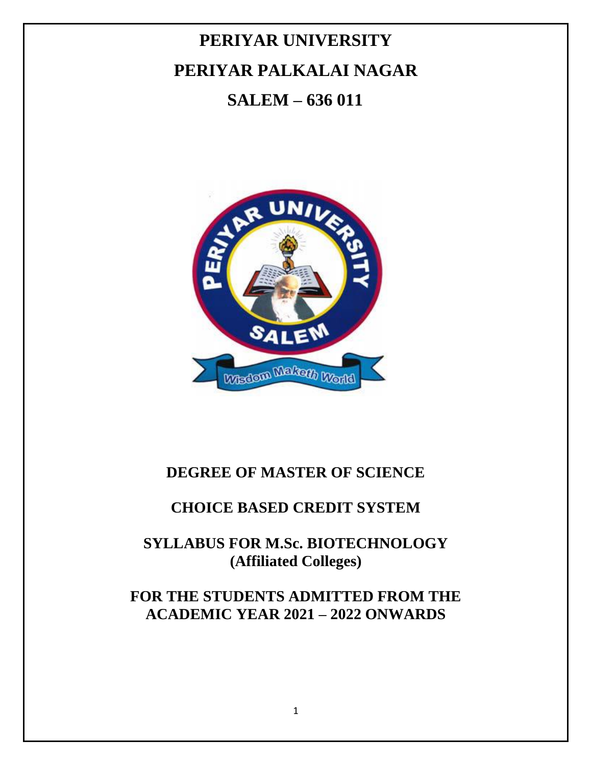# **PERIYAR UNIVERSITY PERIYAR PALKALAI NAGAR SALEM – 636 011**



# **DEGREE OF MASTER OF SCIENCE**

# **CHOICE BASED CREDIT SYSTEM**

# **SYLLABUS FOR M.Sc. BIOTECHNOLOGY (Affiliated Colleges)**

# **FOR THE STUDENTS ADMITTED FROM THE ACADEMIC YEAR 2021 – 2022 ONWARDS**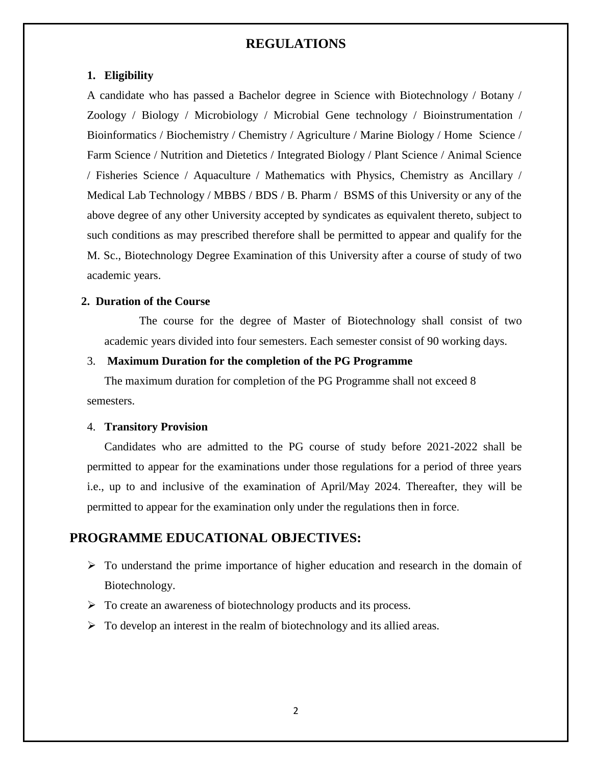### **REGULATIONS**

#### **1. Eligibility**

A candidate who has passed a Bachelor degree in Science with Biotechnology / Botany / Zoology / Biology / Microbiology / Microbial Gene technology / Bioinstrumentation / Bioinformatics / Biochemistry / Chemistry / Agriculture / Marine Biology / Home Science / Farm Science / Nutrition and Dietetics / Integrated Biology / Plant Science / Animal Science / Fisheries Science / Aquaculture / Mathematics with Physics, Chemistry as Ancillary / Medical Lab Technology / MBBS / BDS / B. Pharm / BSMS of this University or any of the above degree of any other University accepted by syndicates as equivalent thereto, subject to such conditions as may prescribed therefore shall be permitted to appear and qualify for the M. Sc., Biotechnology Degree Examination of this University after a course of study of two academic years.

#### **2. Duration of the Course**

The course for the degree of Master of Biotechnology shall consist of two academic years divided into four semesters. Each semester consist of 90 working days.

#### 3. **Maximum Duration for the completion of the PG Programme**

The maximum duration for completion of the PG Programme shall not exceed 8 semesters.

#### 4. **Transitory Provision**

Candidates who are admitted to the PG course of study before 2021-2022 shall be permitted to appear for the examinations under those regulations for a period of three years i.e., up to and inclusive of the examination of April/May 2024. Thereafter, they will be permitted to appear for the examination only under the regulations then in force.

# **PROGRAMME EDUCATIONAL OBJECTIVES:**

- $\triangleright$  To understand the prime importance of higher education and research in the domain of Biotechnology.
- $\triangleright$  To create an awareness of biotechnology products and its process.
- $\triangleright$  To develop an interest in the realm of biotechnology and its allied areas.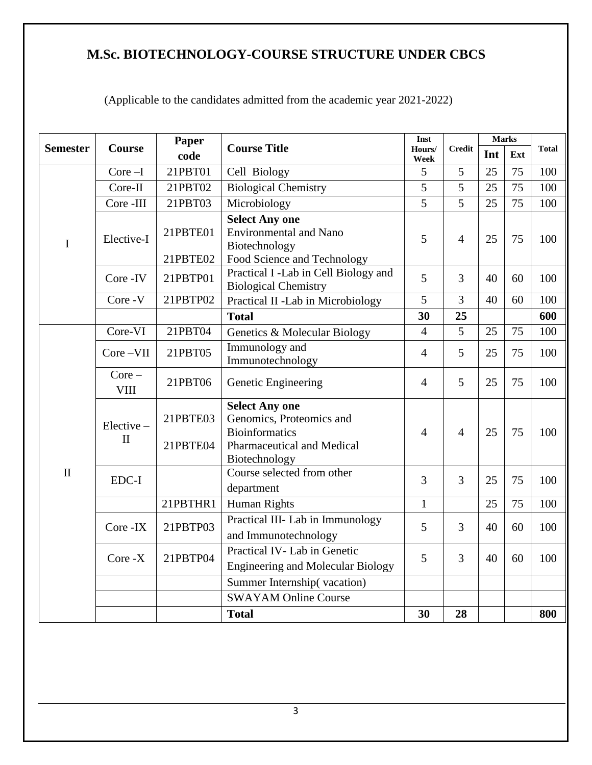# **M.Sc. BIOTECHNOLOGY-COURSE STRUCTURE UNDER CBCS**

|                 |                           | Paper                |                                                                                                                           | Inst           |                | <b>Marks</b> |     |              |
|-----------------|---------------------------|----------------------|---------------------------------------------------------------------------------------------------------------------------|----------------|----------------|--------------|-----|--------------|
| <b>Semester</b> | <b>Course</b>             | code                 | <b>Course Title</b>                                                                                                       | Hours/<br>Week | <b>Credit</b>  | Int          | Ext | <b>Total</b> |
|                 | $Core-I$                  | 21PBT01              | Cell Biology                                                                                                              | 5              | 5              | 25           | 75  | 100          |
|                 | Core-II                   | 21PBT02              | <b>Biological Chemistry</b>                                                                                               | 5              | 5              | 25           | 75  | 100          |
|                 | Core -III                 | 21PBT03              | Microbiology                                                                                                              | $\overline{5}$ | 5              | 25           | 75  | 100          |
| $\mathbf I$     | Elective-I                | 21PBTE01<br>21PBTE02 | <b>Select Any one</b><br><b>Environmental and Nano</b><br>Biotechnology<br>Food Science and Technology                    | 5              | $\overline{4}$ | 25           | 75  | 100          |
|                 | Core -IV                  | 21PBTP01             | Practical I -Lab in Cell Biology and<br><b>Biological Chemistry</b>                                                       | 5              | 3              | 40           | 60  | 100          |
|                 | Core - V                  | 21PBTP02             | Practical II -Lab in Microbiology                                                                                         | 5              | 3              | 40           | 60  | 100          |
|                 |                           |                      | <b>Total</b>                                                                                                              | 30             | 25             |              |     | 600          |
|                 | Core-VI                   | 21PBT04              | Genetics & Molecular Biology                                                                                              | $\overline{4}$ | $\overline{5}$ | 25           | 75  | 100          |
|                 | $Core-VII$                | 21PBT05              | Immunology and<br>Immunotechnology                                                                                        | $\overline{4}$ | 5              | 25           | 75  | 100          |
|                 | $Core -$<br><b>VIII</b>   | 21PBT06              | Genetic Engineering                                                                                                       | $\overline{4}$ | 5              | 25           | 75  | 100          |
|                 | Elective-<br>$\mathbf{I}$ | 21PBTE03<br>21PBTE04 | <b>Select Any one</b><br>Genomics, Proteomics and<br><b>Bioinformatics</b><br>Pharmaceutical and Medical<br>Biotechnology | $\overline{4}$ | $\overline{4}$ | 25           | 75  | 100          |
| $\mathbf{I}$    | EDC-I                     |                      | Course selected from other<br>department                                                                                  | 3              | 3              | 25           | 75  | 100          |
|                 |                           | 21PBTHR1             | Human Rights                                                                                                              | $\mathbf{1}$   |                | 25           | 75  | 100          |
|                 | Core -IX                  | 21PBTP03             | Practical III- Lab in Immunology<br>and Immunotechnology                                                                  | 5              | 3              | 40           | 60  | 100          |
|                 | Core -X                   | 21PBTP04             | Practical IV-Lab in Genetic<br><b>Engineering and Molecular Biology</b>                                                   | 5              | 3              | 40           | 60  | 100          |
|                 |                           |                      | Summer Internship(vacation)                                                                                               |                |                |              |     |              |
|                 |                           |                      | <b>SWAYAM Online Course</b>                                                                                               |                |                |              |     |              |
|                 |                           |                      | <b>Total</b>                                                                                                              | 30             | 28             |              |     | 800          |

(Applicable to the candidates admitted from the academic year 2021-2022)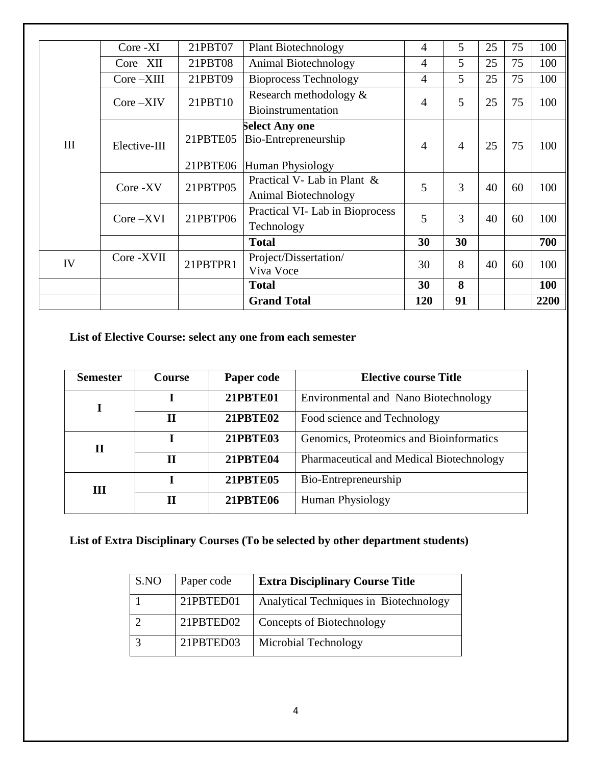|     | Core -XI      | 21PBT07  | <b>Plant Biotechnology</b>                          | 4              | 5              | 25 | 75 | 100  |
|-----|---------------|----------|-----------------------------------------------------|----------------|----------------|----|----|------|
|     | $Core - XII$  | 21PBT08  | Animal Biotechnology                                | 4              | 5              | 25 | 75 | 100  |
|     | $Core - XIII$ | 21PBT09  | <b>Bioprocess Technology</b>                        | $\overline{4}$ | 5              | 25 | 75 | 100  |
|     | $Core - XIV$  | 21PBT10  | Research methodology &<br><b>Bioinstrumentation</b> | 4              | 5              | 25 | 75 | 100  |
| III | Elective-III  | 21PBTE05 | Select Any one<br>Bio-Entrepreneurship              | $\overline{4}$ | $\overline{4}$ | 25 | 75 | 100  |
|     |               | 21PBTE06 | Human Physiology                                    |                |                |    |    |      |
|     | Core -XV      | 21PBTP05 | Practical V- Lab in Plant &<br>Animal Biotechnology | 5              | 3              | 40 | 60 | 100  |
|     | $Core - XVI$  | 21PBTP06 | Practical VI-Lab in Bioprocess<br>Technology        | 5              | 3              | 40 | 60 | 100  |
|     |               |          | <b>Total</b>                                        | 30             | 30             |    |    | 700  |
| IV  | Core - XVII   | 21PBTPR1 | Project/Dissertation/<br>Viva Voce                  | 30             | 8              | 40 | 60 | 100  |
|     |               |          | <b>Total</b>                                        | 30             | 8              |    |    | 100  |
|     |               |          | <b>Grand Total</b>                                  | 120            | 91             |    |    | 2200 |

**List of Elective Course: select any one from each semester**

| <b>Semester</b> | Course | Paper code                                                                                                   | <b>Elective course Title</b>             |
|-----------------|--------|--------------------------------------------------------------------------------------------------------------|------------------------------------------|
|                 |        | <b>21PBTE01</b>                                                                                              | Environmental and Nano Biotechnology     |
|                 | Н      | <b>21PBTE02</b><br>Food science and Technology<br>Genomics, Proteomics and Bioinformatics<br><b>21PBTE03</b> |                                          |
| $\mathbf H$     |        |                                                                                                              |                                          |
|                 | П      | <b>21PBTE04</b>                                                                                              | Pharmaceutical and Medical Biotechnology |
| <b>III</b>      |        | <b>21PBTE05</b>                                                                                              | Bio-Entrepreneurship                     |
|                 | Н      | <b>21PBTE06</b>                                                                                              | <b>Human Physiology</b>                  |

# **List of Extra Disciplinary Courses (To be selected by other department students)**

| S.NO | Paper code | <b>Extra Disciplinary Course Title</b> |
|------|------------|----------------------------------------|
|      | 21PBTED01  | Analytical Techniques in Biotechnology |
|      | 21PBTED02  | Concepts of Biotechnology              |
|      | 21PBTED03  | Microbial Technology                   |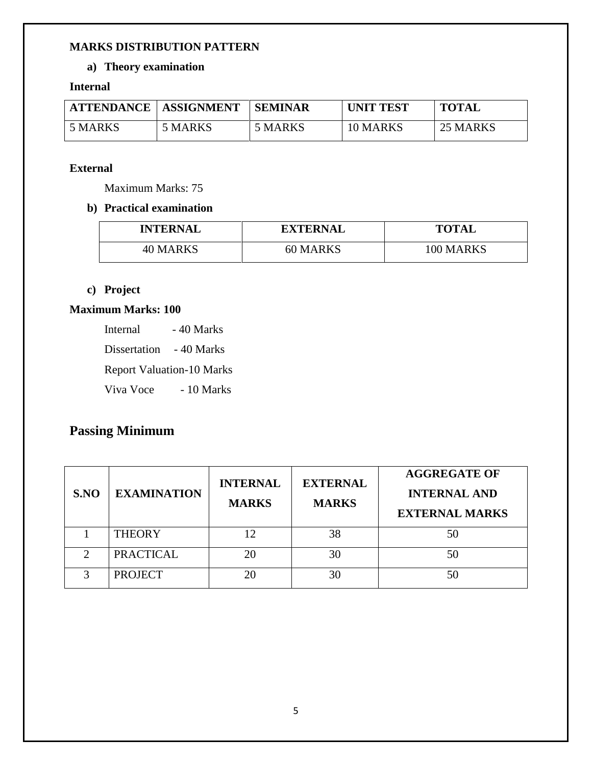#### **MARKS DISTRIBUTION PATTERN**

# **a) Theory examination**

#### **Internal**

| <b>ATTENDANCE</b> | <b>ASSIGNMENT</b> | <b>SEMINAR</b> | <b>UNIT TEST</b> | <b>TOTAL</b> |
|-------------------|-------------------|----------------|------------------|--------------|
| 5 MARKS           | 5 MARKS           | 5 MARKS        | 10 MARKS         | 25 MARKS     |

#### **External**

Maximum Marks: 75

### **b) Practical examination**

| <b>INTERNAL</b> | <b>EXTERNAL</b> | <b>TOTAL</b> |
|-----------------|-----------------|--------------|
| 40 MARKS        | 60 MARKS        | 100 MARKS    |

# **c) Project**

# **Maximum Marks: 100**

Internal - 40 Marks

Dissertation - 40 Marks

Report Valuation-10 Marks

Viva Voce - 10 Marks

# **Passing Minimum**

| S.NO          | <b>EXAMINATION</b> | <b>INTERNAL</b><br><b>MARKS</b> | <b>EXTERNAL</b><br><b>MARKS</b> | <b>AGGREGATE OF</b><br><b>INTERNAL AND</b><br><b>EXTERNAL MARKS</b> |
|---------------|--------------------|---------------------------------|---------------------------------|---------------------------------------------------------------------|
|               | <b>THEORY</b>      | 12                              | 38                              | 50                                                                  |
|               | <b>PRACTICAL</b>   | 20                              | 30                              | 50                                                                  |
| $\mathcal{L}$ | <b>PROJECT</b>     | 20                              | 30                              | 50                                                                  |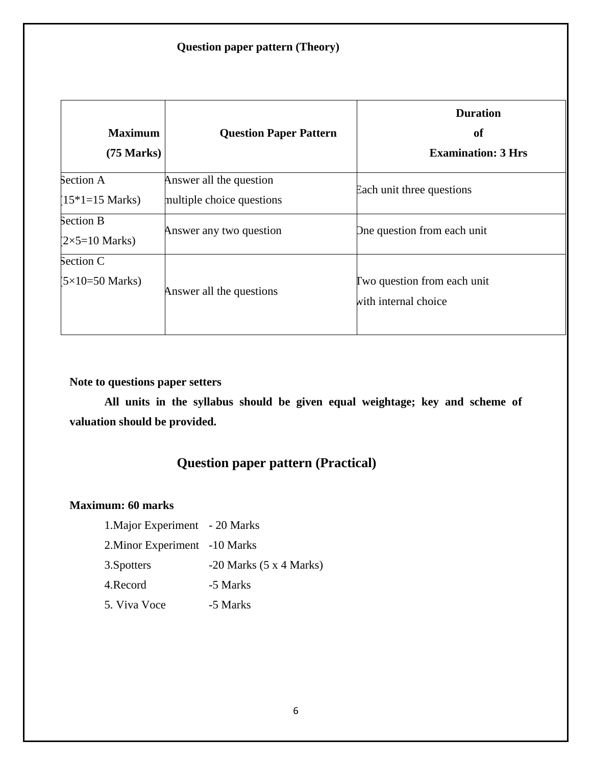# **Question paper pattern (Theory)**

| <b>Maximum</b><br>$(75 \text{ Marks})$     | <b>Question Paper Pattern</b>                        | <b>Duration</b><br>of<br><b>Examination: 3 Hrs</b>  |
|--------------------------------------------|------------------------------------------------------|-----------------------------------------------------|
| Section A<br>$(15*1=15 \text{ Marks})$     | Answer all the question<br>multiple choice questions | Each unit three questions                           |
| Section B<br>$(2\times5=10 \text{ Marks})$ | Answer any two question                              | One question from each unit                         |
| Section C<br>$(5\times10=50$ Marks)        | Answer all the questions                             | Two question from each unit<br>with internal choice |

**Note to questions paper setters** 

**All units in the syllabus should be given equal weightage; key and scheme of valuation should be provided.**

# **Question paper pattern (Practical)**

#### **Maximum: 60 marks**

1. Major Experiment - 20 Marks 2.Minor Experiment -10 Marks 3.Spotters -20 Marks (5 x 4 Marks) 4.Record -5 Marks 5. Viva Voce -5 Marks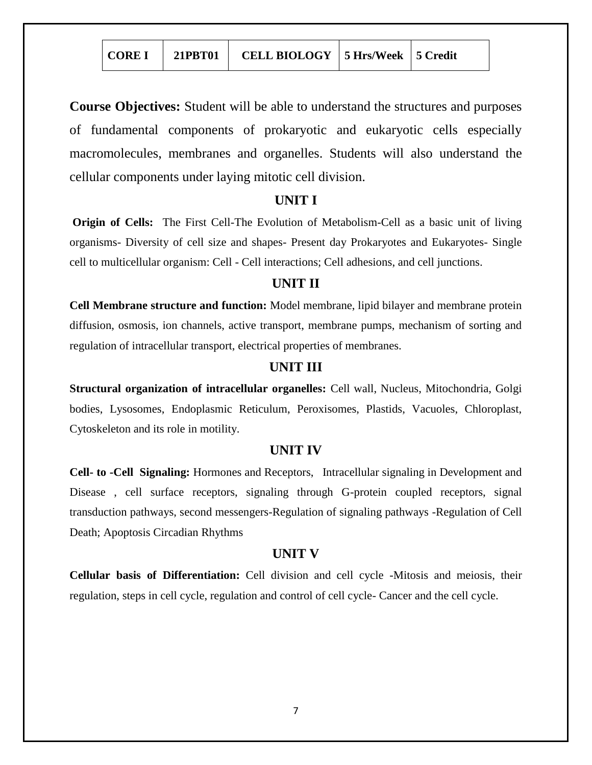**Course Objectives:** Student will be able to understand the structures and purposes of fundamental components of prokaryotic and eukaryotic cells especially macromolecules, membranes and organelles. Students will also understand the cellular components under laying mitotic cell division.

#### **UNIT I**

**Origin of Cells:** The First Cell-The Evolution of Metabolism-Cell as a basic unit of living organisms- Diversity of cell size and shapes- Present day Prokaryotes and Eukaryotes- Single cell to multicellular organism: Cell - Cell interactions; Cell adhesions, and cell junctions.

## **UNIT II**

**Cell Membrane structure and function:** Model membrane, lipid bilayer and membrane protein diffusion, osmosis, ion channels, active transport, membrane pumps, mechanism of sorting and regulation of intracellular transport, electrical properties of membranes.

# **UNIT III**

**Structural organization of intracellular organelles:** Cell wall, Nucleus, Mitochondria, Golgi bodies, Lysosomes, Endoplasmic Reticulum, Peroxisomes, Plastids, Vacuoles, Chloroplast, Cytoskeleton and its role in motility.

## **UNIT IV**

**Cell- to -Cell Signaling:** Hormones and Receptors, Intracellular signaling in Development and Disease , cell surface receptors, signaling through G-protein coupled receptors, signal transduction pathways, second messengers-Regulation of signaling pathways -Regulation of Cell Death; Apoptosis Circadian Rhythms

### **UNIT V**

**Cellular basis of Differentiation:** Cell division and cell cycle -Mitosis and meiosis, their regulation, steps in cell cycle, regulation and control of cell cycle- Cancer and the cell cycle.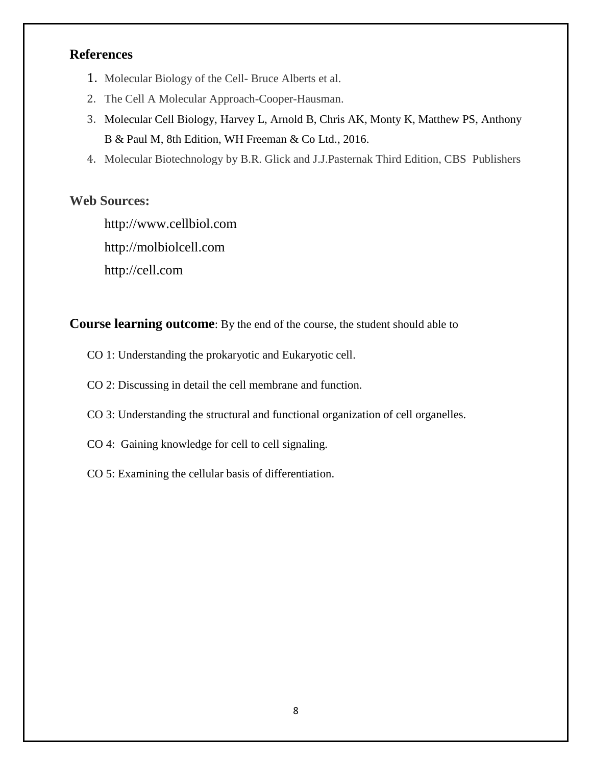# **References**

- 1. Molecular Biology of the Cell- Bruce Alberts et al.
- 2. The Cell A Molecular Approach-Cooper-Hausman.
- 3. Molecular Cell Biology, Harvey L, Arnold B, Chris AK, Monty K, Matthew PS, Anthony B & Paul M, 8th Edition, WH Freeman & Co Ltd., 2016.
- 4. Molecular Biotechnology by B.R. Glick and J.J.Pasternak Third Edition, CBS Publishers

# **Web Sources:**

[http://www.cellbiol.com](http://www.cellbiol.com/) [http://molbiolcell.com](http://molbiolcell.com/) [http://cell.com](http://cell.com/)

**Course learning outcome**: By the end of the course, the student should able to

- CO 1: Understanding the prokaryotic and Eukaryotic cell.
- CO 2: Discussing in detail the cell membrane and function.
- CO 3: Understanding the structural and functional organization of cell organelles.
- CO 4: Gaining knowledge for cell to cell signaling.
- CO 5: Examining the cellular basis of differentiation.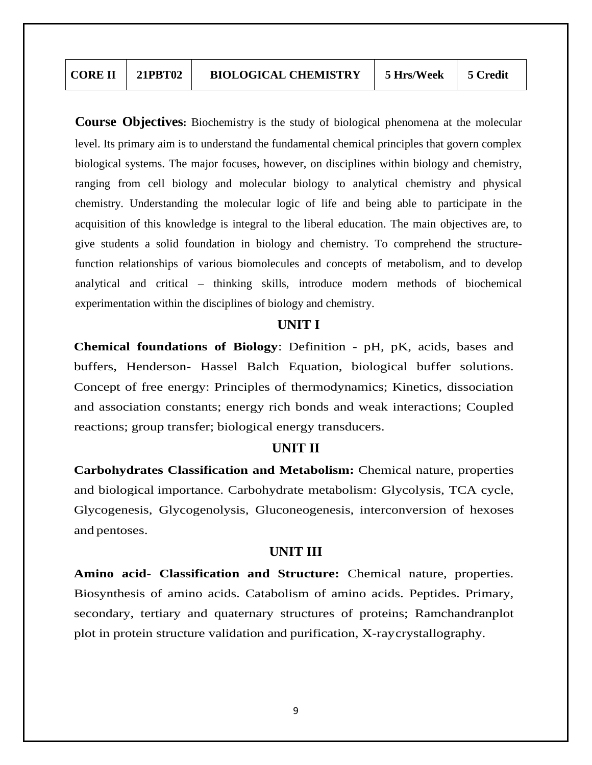| <b>CORE II</b> | 21PBT02 | <b>BIOLOGICAL CHEMISTRY</b> | 5 Hrs/Week | 5 Credit |
|----------------|---------|-----------------------------|------------|----------|
|----------------|---------|-----------------------------|------------|----------|

**Course Objectives:** Biochemistry is the study of biological phenomena at the molecular level. Its primary aim is to understand the fundamental chemical principles that govern complex biological systems. The major focuses, however, on disciplines within biology and chemistry, ranging from cell biology and molecular biology to analytical chemistry and physical chemistry. Understanding the molecular logic of life and being able to participate in the acquisition of this knowledge is integral to the liberal education. The main objectives are, to give students a solid foundation in biology and chemistry. To comprehend the structurefunction relationships of various biomolecules and concepts of metabolism, and to develop analytical and critical – thinking skills, introduce modern methods of biochemical experimentation within the disciplines of biology and chemistry.

#### **UNIT I**

**Chemical foundations of Biology**: Definition - pH, pK, acids, bases and buffers, Henderson- Hassel Balch Equation, biological buffer solutions. Concept of free energy: Principles of thermodynamics; Kinetics, dissociation and association constants; energy rich bonds and weak interactions; Coupled reactions; group transfer; biological energy transducers.

#### **UNIT II**

**Carbohydrates Classification and Metabolism:** Chemical nature, properties and biological importance. Carbohydrate metabolism: Glycolysis, TCA cycle, Glycogenesis, Glycogenolysis, Gluconeogenesis, interconversion of hexoses and pentoses.

#### **UNIT III**

**Amino acid- Classification and Structure:** Chemical nature, properties. Biosynthesis of amino acids. Catabolism of amino acids. Peptides. Primary, secondary, tertiary and quaternary structures of proteins; Ramchandranplot plot in protein structure validation and purification, X-raycrystallography.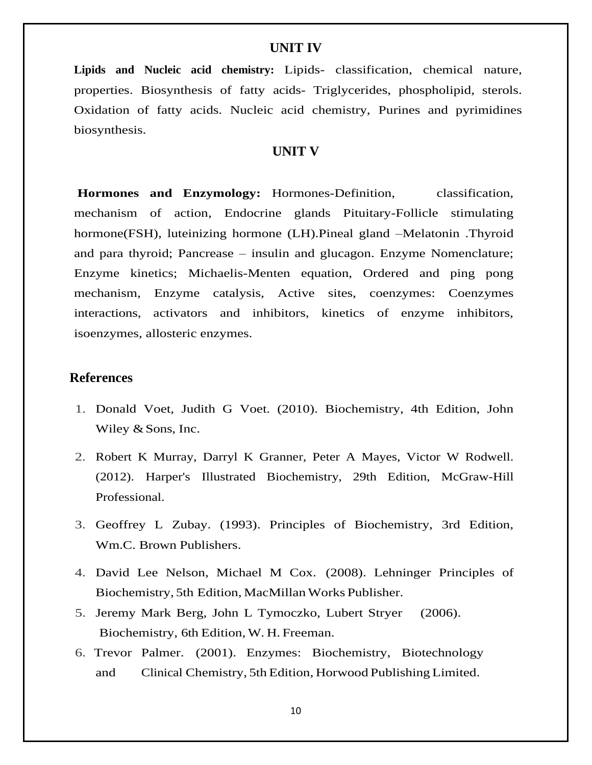#### **UNIT IV**

**Lipids and Nucleic acid chemistry:** Lipids- classification, chemical nature, properties. Biosynthesis of fatty acids- Triglycerides, phospholipid, sterols. Oxidation of fatty acids. Nucleic acid chemistry, Purines and pyrimidines biosynthesis.

#### **UNIT V**

**Hormones and Enzymology:** Hormones-Definition, classification, mechanism of action, Endocrine glands Pituitary-Follicle stimulating hormone(FSH), luteinizing hormone (LH).Pineal gland –Melatonin .Thyroid and para thyroid; Pancrease – insulin and glucagon. Enzyme Nomenclature; Enzyme kinetics; Michaelis-Menten equation, Ordered and ping pong mechanism, Enzyme catalysis, Active sites, coenzymes: Coenzymes interactions, activators and inhibitors, kinetics of enzyme inhibitors, isoenzymes, allosteric enzymes.

#### **References**

- 1. Donald Voet, Judith G Voet. (2010). Biochemistry, 4th Edition, John Wiley & Sons, Inc.
- 2. Robert K Murray, Darryl K Granner, Peter A Mayes, Victor W Rodwell. (2012). Harper's Illustrated Biochemistry, 29th Edition, McGraw-Hill Professional.
- 3. Geoffrey L Zubay. (1993). Principles of Biochemistry, 3rd Edition, Wm.C. Brown Publishers.
- 4. David Lee Nelson, Michael M Cox. (2008). Lehninger Principles of Biochemistry, 5th Edition, MacMillan Works Publisher.
- 5. Jeremy Mark Berg, John L Tymoczko, Lubert Stryer (2006). Biochemistry, 6th Edition, W. H. Freeman.
- 6. Trevor Palmer. (2001). Enzymes: Biochemistry, Biotechnology and Clinical Chemistry, 5th Edition, Horwood Publishing Limited.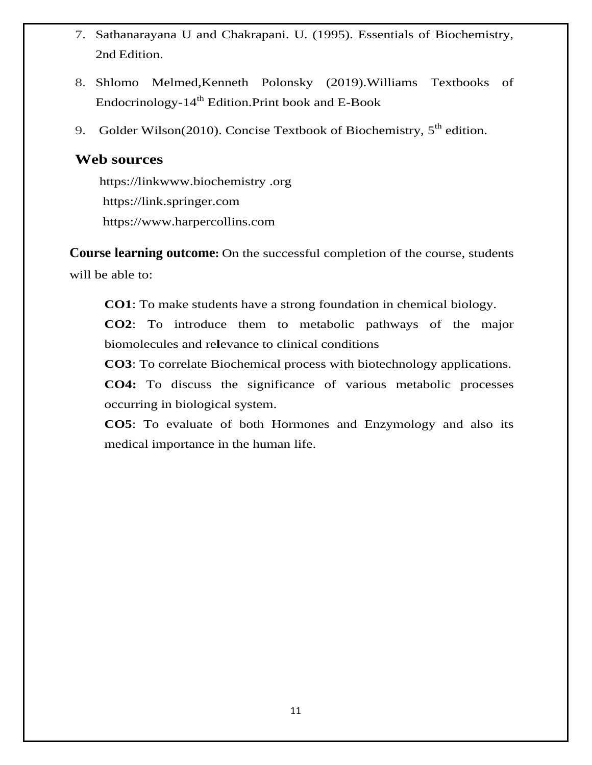- 7. Sathanarayana U and Chakrapani. U. (1995). Essentials of Biochemistry, 2nd Edition.
- 8. Shlomo Melmed,Kenneth Polonsky (2019).Williams Textbooks of Endocrinology- $14<sup>th</sup>$  Edition. Print book and E-Book
- 9. Golder Wilson(2010). Concise Textbook of Biochemistry,  $5<sup>th</sup>$  edition.

# **Web sources**

 [https://linkwww.biochemistry](https://linkwww.biochemistry/) .org [https://link.](https://link/)springer.com [https://www.harpercollins.com](https://www.harpercollins.com/)

**Course learning outcome:** On the successful completion of the course, students will be able to:

**CO1**: To make students have a strong foundation in chemical biology.

**CO2**: To introduce them to metabolic pathways of the major biomolecules and re**l**evance to clinical conditions

**CO3**: To correlate Biochemical process with biotechnology applications.

**CO4:** To discuss the significance of various metabolic processes occurring in biological system.

**CO5**: To evaluate of both Hormones and Enzymology and also its medical importance in the human life.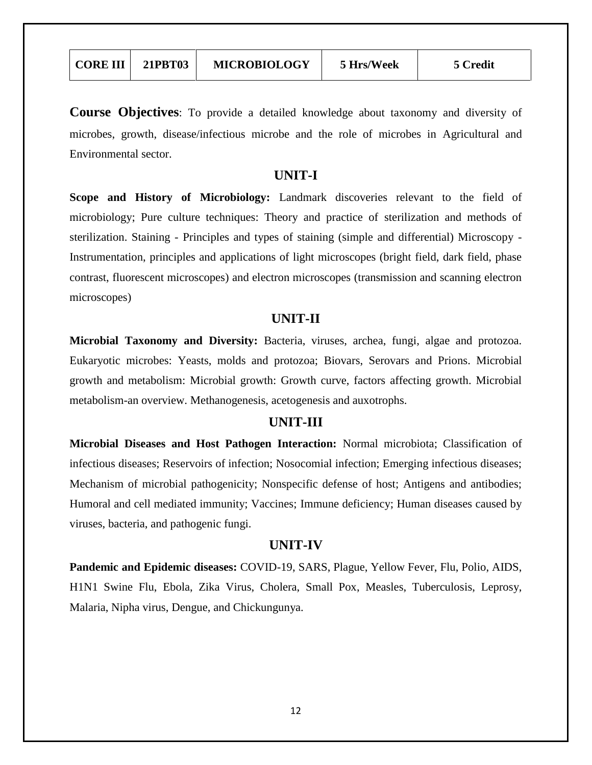| <b>CORE III</b> | <b>21PBT03</b> | <b>MICROBIOLOGY</b> | 5 Hrs/Week | 5 Credit |
|-----------------|----------------|---------------------|------------|----------|
|-----------------|----------------|---------------------|------------|----------|

**Course Objectives**: To provide a detailed knowledge about taxonomy and diversity of microbes, growth, disease/infectious microbe and the role of microbes in Agricultural and Environmental sector.

#### **UNIT-I**

**Scope and History of Microbiology:** Landmark discoveries relevant to the field of microbiology; Pure culture techniques: Theory and practice of sterilization and methods of sterilization. Staining - Principles and types of staining (simple and differential) Microscopy - Instrumentation, principles and applications of light microscopes (bright field, dark field, phase contrast, fluorescent microscopes) and electron microscopes (transmission and scanning electron microscopes)

#### **UNIT-II**

**Microbial Taxonomy and Diversity:** Bacteria, viruses, archea, fungi, algae and protozoa. Eukaryotic microbes: Yeasts, molds and protozoa; Biovars, Serovars and Prions. Microbial growth and metabolism: Microbial growth: Growth curve, factors affecting growth. Microbial metabolism-an overview. Methanogenesis, acetogenesis and auxotrophs.

#### **UNIT-III**

**Microbial Diseases and Host Pathogen Interaction:** Normal microbiota; Classification of infectious diseases; Reservoirs of infection; Nosocomial infection; Emerging infectious diseases; Mechanism of microbial pathogenicity; Nonspecific defense of host; Antigens and antibodies; Humoral and cell mediated immunity; Vaccines; Immune deficiency; Human diseases caused by viruses, bacteria, and pathogenic fungi.

#### **UNIT-IV**

**Pandemic and Epidemic diseases:** COVID-19, SARS, Plague, Yellow Fever, Flu, Polio, AIDS, H1N1 Swine Flu, Ebola, Zika Virus, Cholera, Small Pox, Measles, Tuberculosis, Leprosy, Malaria, Nipha virus, Dengue, and Chickungunya.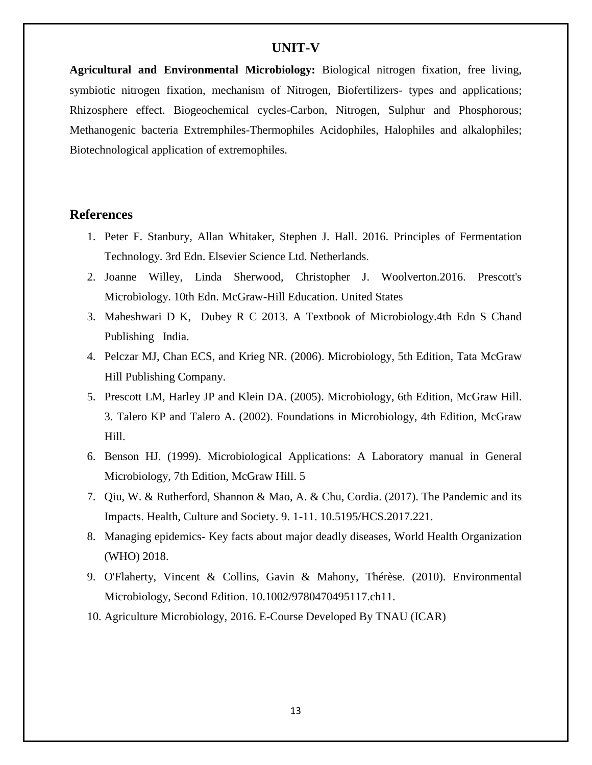#### **UNIT-V**

**Agricultural and Environmental Microbiology:** Biological nitrogen fixation, free living, symbiotic nitrogen fixation, mechanism of Nitrogen, Biofertilizers- types and applications; Rhizosphere effect. Biogeochemical cycles-Carbon, Nitrogen, Sulphur and Phosphorous; Methanogenic bacteria Extremphiles-Thermophiles Acidophiles, Halophiles and alkalophiles; Biotechnological application of extremophiles.

# **References**

- 1. Peter F. Stanbury, Allan Whitaker, Stephen J. Hall. 2016. Principles of Fermentation Technology. 3rd Edn. Elsevier Science Ltd. Netherlands.
- 2. Joanne Willey, Linda Sherwood, Christopher J. Woolverton.2016. Prescott's Microbiology. 10th Edn. McGraw-Hill Education. United States
- 3. Maheshwari D K, Dubey R C 2013. A Textbook of Microbiology.4th Edn S Chand Publishing India.
- 4. Pelczar MJ, Chan ECS, and Krieg NR. (2006). Microbiology, 5th Edition, Tata McGraw Hill Publishing Company.
- 5. Prescott LM, Harley JP and Klein DA. (2005). Microbiology, 6th Edition, McGraw Hill. 3. Talero KP and Talero A. (2002). Foundations in Microbiology, 4th Edition, McGraw Hill.
- 6. Benson HJ. (1999). Microbiological Applications: A Laboratory manual in General Microbiology, 7th Edition, McGraw Hill. 5
- 7. Qiu, W. & Rutherford, Shannon & Mao, A. & Chu, Cordia. (2017). The Pandemic and its Impacts. Health, Culture and Society. 9. 1-11. 10.5195/HCS.2017.221.
- 8. Managing epidemics- Key facts about major deadly diseases, World Health Organization (WHO) 2018.
- 9. O'Flaherty, Vincent & Collins, Gavin & Mahony, Thérèse. (2010). Environmental Microbiology, Second Edition. 10.1002/9780470495117.ch11.
- 10. Agriculture Microbiology, 2016. E-Course Developed By TNAU (ICAR)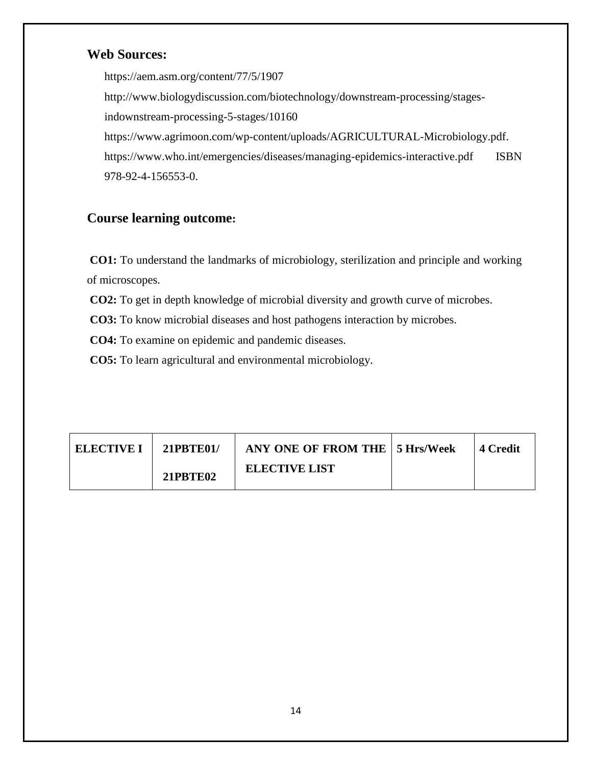# **Web Sources:**

<https://aem.asm.org/content/77/5/1907> http://www.biologydiscussion.com/biotechnology/downstream-processing/stagesindownstream-processing-5-stages/10160 [https://www.agrimoon.com/wp-content/uploads/AGRICULTURAL-Microbiology.pdf.](https://www.agrimoon.com/wp-content/uploads/AGRICULTURAL-MICROBIOLOGY.pdf) [https://www.who.int/emergencies/diseases/managing-epidemics-interactive.pdf ISBN](https://www.who.int/emergencies/diseases/managing-epidemics-interactive.pdf%20ISBN%20%20%20978-92-4-156553-0)  [978-92-4-156553-0.](https://www.who.int/emergencies/diseases/managing-epidemics-interactive.pdf%20ISBN%20%20%20978-92-4-156553-0)

# **Course learning outcome:**

**CO1:** To understand the landmarks of microbiology, sterilization and principle and working of microscopes.

 **CO2:** To get in depth knowledge of microbial diversity and growth curve of microbes.

 **CO3:** To know microbial diseases and host pathogens interaction by microbes.

 **CO4:** To examine on epidemic and pandemic diseases.

 **CO5:** To learn agricultural and environmental microbiology.

| ELECTIVE I | 21PBTE01/       | <b>ANY ONE OF FROM THE 5 Hrs/Week</b> | -4 Credit |
|------------|-----------------|---------------------------------------|-----------|
|            | <b>21PBTE02</b> | <b>ELECTIVE LIST</b>                  |           |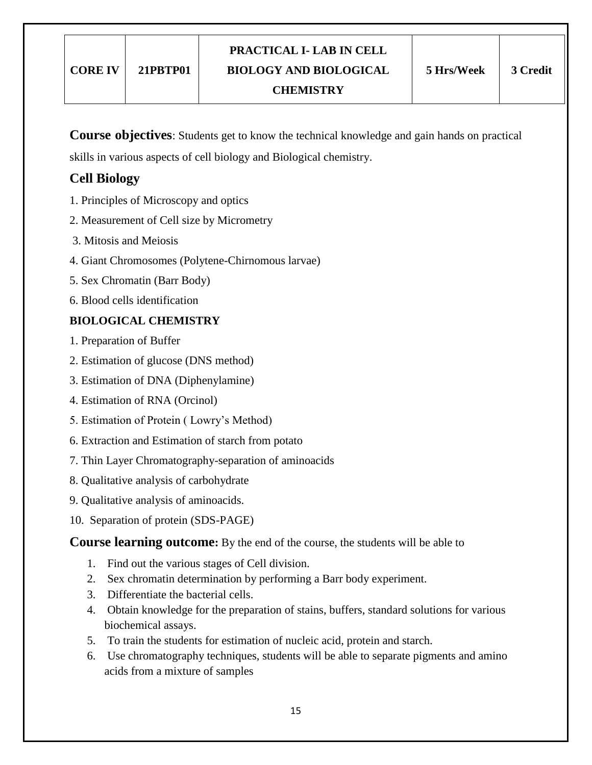**Course objectives**: Students get to know the technical knowledge and gain hands on practical

skills in various aspects of cell biology and Biological chemistry.

# **Cell Biology**

- 1. Principles of Microscopy and optics
- 2. Measurement of Cell size by Micrometry
- 3. Mitosis and Meiosis
- 4. Giant Chromosomes (Polytene-Chirnomous larvae)
- 5. Sex Chromatin (Barr Body)
- 6. Blood cells identification

# **BIOLOGICAL CHEMISTRY**

- 1. Preparation of Buffer
- 2. Estimation of glucose (DNS method)
- 3. Estimation of DNA (Diphenylamine)
- 4. Estimation of RNA (Orcinol)
- 5. Estimation of Protein ( Lowry"s Method)
- 6. Extraction and Estimation of starch from potato
- 7. Thin Layer Chromatography-separation of aminoacids
- 8. Qualitative analysis of carbohydrate
- 9. Qualitative analysis of aminoacids.
- 10. Separation of protein (SDS-PAGE)

**Course learning outcome:** By the end of the course, the students will be able to

- 1. Find out the various stages of Cell division.
- 2. Sex chromatin determination by performing a Barr body experiment.
- 3. Differentiate the bacterial cells.
- 4. Obtain knowledge for the preparation of stains, buffers, standard solutions for various biochemical assays.
- 5. To train the students for estimation of nucleic acid, protein and starch.
- 6. Use chromatography techniques, students will be able to separate pigments and amino acids from a mixture of samples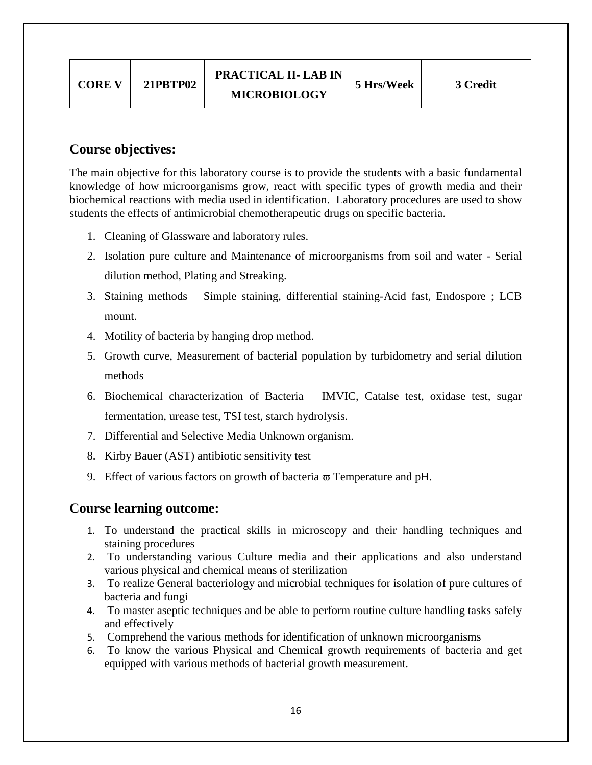| <b>PRACTICAL II- LAB IN</b><br><b>21PBTP02</b><br>5 Hrs/Week<br><b>CORE V</b><br>3 Credit<br><b>MICROBIOLOGY</b> |  |
|------------------------------------------------------------------------------------------------------------------|--|
|------------------------------------------------------------------------------------------------------------------|--|

# **Course objectives:**

The main objective for this laboratory course is to provide the students with a basic fundamental knowledge of how microorganisms grow, react with specific types of growth media and their biochemical reactions with media used in identification. Laboratory procedures are used to show students the effects of antimicrobial chemotherapeutic drugs on specific bacteria.

- 1. Cleaning of Glassware and laboratory rules.
- 2. Isolation pure culture and Maintenance of microorganisms from soil and water Serial dilution method, Plating and Streaking.
- 3. Staining methods Simple staining, differential staining-Acid fast, Endospore ; LCB mount.
- 4. Motility of bacteria by hanging drop method.
- 5. Growth curve, Measurement of bacterial population by turbidometry and serial dilution methods
- 6. Biochemical characterization of Bacteria IMVIC, Catalse test, oxidase test, sugar fermentation, urease test, TSI test, starch hydrolysis.
- 7. Differential and Selective Media Unknown organism.
- 8. Kirby Bauer (AST) antibiotic sensitivity test
- 9. Effect of various factors on growth of bacteria  $\overline{\omega}$  Temperature and pH.

# **Course learning outcome:**

- 1. To understand the practical skills in microscopy and their handling techniques and staining procedures
- 2. To understanding various Culture media and their applications and also understand various physical and chemical means of sterilization
- 3. To realize General bacteriology and microbial techniques for isolation of pure cultures of bacteria and fungi
- 4. To master aseptic techniques and be able to perform routine culture handling tasks safely and effectively
- 5. Comprehend the various methods for identification of unknown microorganisms
- 6. To know the various Physical and Chemical growth requirements of bacteria and get equipped with various methods of bacterial growth measurement.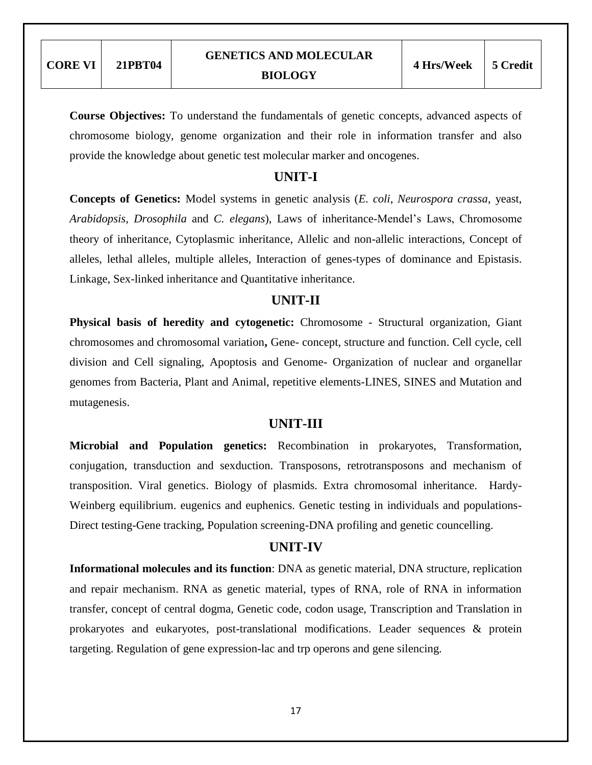**Course Objectives:** To understand the fundamentals of genetic concepts, advanced aspects of chromosome biology, genome organization and their role in information transfer and also provide the knowledge about genetic test molecular marker and oncogenes.

### **UNIT-I**

**Concepts of Genetics:** Model systems in genetic analysis (*E. coli*, *Neurospora crassa*, yeast, *Arabidopsis*, *Drosophila* and *C. elegans*), Laws of inheritance-Mendel"s Laws, Chromosome theory of inheritance, Cytoplasmic inheritance, Allelic and non-allelic interactions, Concept of alleles, lethal alleles, multiple alleles, Interaction of genes-types of dominance and Epistasis. Linkage, Sex-linked inheritance and Quantitative inheritance.

### **UNIT-II**

**Physical basis of heredity and cytogenetic:** Chromosome - Structural organization, Giant chromosomes and chromosomal variation**,** Gene- concept, structure and function. Cell cycle, cell division and Cell signaling, Apoptosis and Genome- Organization of nuclear and organellar genomes from Bacteria, Plant and Animal, repetitive elements-LINES, SINES and Mutation and mutagenesis.

#### **UNIT-III**

**Microbial and Population genetics:** Recombination in prokaryotes, Transformation, conjugation, transduction and sexduction. Transposons, retrotransposons and mechanism of transposition. Viral genetics. Biology of plasmids. Extra chromosomal inheritance. Hardy-Weinberg equilibrium. eugenics and euphenics. Genetic testing in individuals and populations-Direct testing-Gene tracking, Population screening-DNA profiling and genetic councelling.

#### **UNIT-IV**

**Informational molecules and its function**: DNA as genetic material, DNA structure, replication and repair mechanism. RNA as genetic material, types of RNA, role of RNA in information transfer, concept of central dogma, Genetic code, codon usage, Transcription and Translation in prokaryotes and eukaryotes, post-translational modifications. Leader sequences & protein targeting. Regulation of gene expression-lac and trp operons and gene silencing.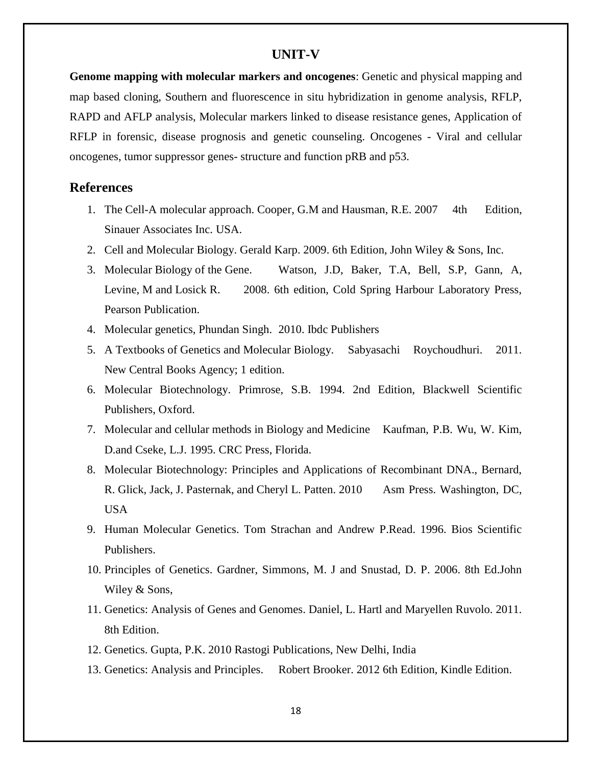#### **UNIT-V**

**Genome mapping with molecular markers and oncogenes**: Genetic and physical mapping and map based cloning, Southern and fluorescence in situ hybridization in genome analysis, RFLP, RAPD and AFLP analysis, Molecular markers linked to disease resistance genes, Application of RFLP in forensic, disease prognosis and genetic counseling. Oncogenes - Viral and cellular oncogenes, tumor suppressor genes- structure and function pRB and p53.

#### **References**

- 1. The Cell-A molecular approach. Cooper, G.M and Hausman, R.E. 2007 4th Edition, Sinauer Associates Inc. USA.
- 2. Cell and Molecular Biology. Gerald Karp. 2009. 6th Edition, John Wiley & Sons, Inc.
- 3. Molecular Biology of the Gene. Watson, J.D, Baker, T.A, Bell, S.P, Gann, A, Levine, M and Losick R. 2008. 6th edition, Cold Spring Harbour Laboratory Press, Pearson Publication.
- 4. Molecular genetics, Phundan Singh. 2010. Ibdc Publishers
- 5. A Textbooks of Genetics and Molecular Biology. Sabyasachi Roychoudhuri. 2011. New Central Books Agency; 1 edition.
- 6. Molecular Biotechnology. Primrose, S.B. 1994. 2nd Edition, Blackwell Scientific Publishers, Oxford.
- 7. Molecular and cellular methods in Biology and Medicine Kaufman, P.B. Wu, W. Kim, D.and Cseke, L.J. 1995. CRC Press, Florida.
- 8. Molecular Biotechnology: Principles and Applications of Recombinant DNA., Bernard, R. Glick, Jack, J. Pasternak, and Cheryl L. Patten. 2010 Asm Press. Washington, DC, USA
- 9. Human Molecular Genetics. Tom Strachan and Andrew P.Read. 1996. Bios Scientific Publishers.
- 10. Principles of Genetics. Gardner, Simmons, M. J and Snustad, D. P. 2006. 8th Ed.John Wiley & Sons,
- 11. Genetics: Analysis of Genes and Genomes. Daniel, L. Hartl and Maryellen Ruvolo. 2011. 8th Edition.
- 12. Genetics. Gupta, P.K. 2010 Rastogi Publications, New Delhi, India
- 13. Genetics: Analysis and Principles. Robert Brooker. 2012 6th Edition, Kindle Edition.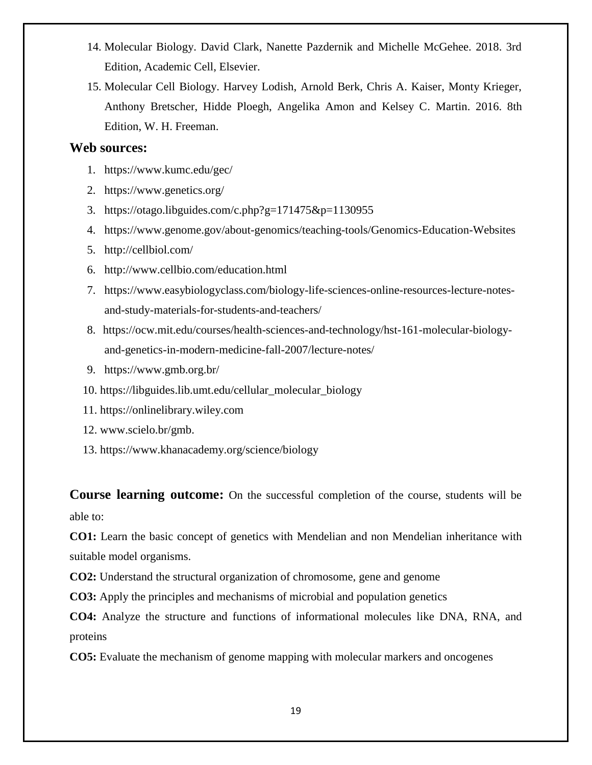- 14. Molecular Biology. David Clark, Nanette Pazdernik and Michelle McGehee. 2018. 3rd Edition, Academic Cell, Elsevier.
- 15. Molecular Cell Biology. Harvey Lodish, Arnold Berk, Chris A. Kaiser, Monty Krieger, Anthony Bretscher, Hidde Ploegh, Angelika Amon and Kelsey C. Martin. 2016. 8th Edition, W. H. Freeman.

#### **Web sources:**

- 1. <https://www.kumc.edu/gec/>
- 2. <https://www.genetics.org/>
- 3. <https://otago.libguides.com/c.php?g=171475&p=1130955>
- 4. <https://www.genome.gov/about-genomics/teaching-tools/Genomics-Education-Websites>
- 5. <http://cellbiol.com/>
- 6. <http://www.cellbio.com/education.html>
- 7. [https://www.easybiologyclass.com/biology-life-sciences-online-resources-lecture-notes](https://www.easybiologyclass.com/biology-life-sciences-online-resources-lecture-notes-and-study-materials-for-students-and-teachers/)[and-study-materials-for-students-and-teachers/](https://www.easybiologyclass.com/biology-life-sciences-online-resources-lecture-notes-and-study-materials-for-students-and-teachers/)
- 8. [https://ocw.mit.edu/courses/health-sciences-and-technology/hst-161-molecular-biology](https://ocw.mit.edu/courses/health-sciences-and-technology/hst-161-molecular-biology-and-genetics-in-modern-medicine-fall-2007/lecture-notes/)[and-genetics-in-modern-medicine-fall-2007/lecture-notes/](https://ocw.mit.edu/courses/health-sciences-and-technology/hst-161-molecular-biology-and-genetics-in-modern-medicine-fall-2007/lecture-notes/)
- 9. <https://www.gmb.org.br/>
- 10. [https://libguides.lib.umt.edu/cellular\\_molecular\\_biology](https://libguides.lib.umt.edu/cellular_molecular_biology)
- 11. [https://onlinelibrary.wiley.com](https://onlinelibrary.wiley.com/)
- 12. [www.scielo.br/gmb.](http://www.scielo.br/scielo.php?script=sci_serial&pid=1415-4757&lng=en&nrm=iso)
- 13. <https://www.khanacademy.org/science/biology>

**Course learning outcome:** On the successful completion of the course, students will be able to:

**CO1:** Learn the basic concept of genetics with Mendelian and non Mendelian inheritance with suitable model organisms.

**CO2:** Understand the structural organization of chromosome, gene and genome

**CO3:** Apply the principles and mechanisms of microbial and population genetics

**CO4:** Analyze the structure and functions of informational molecules like DNA, RNA, and proteins

**CO5:** Evaluate the mechanism of genome mapping with molecular markers and oncogenes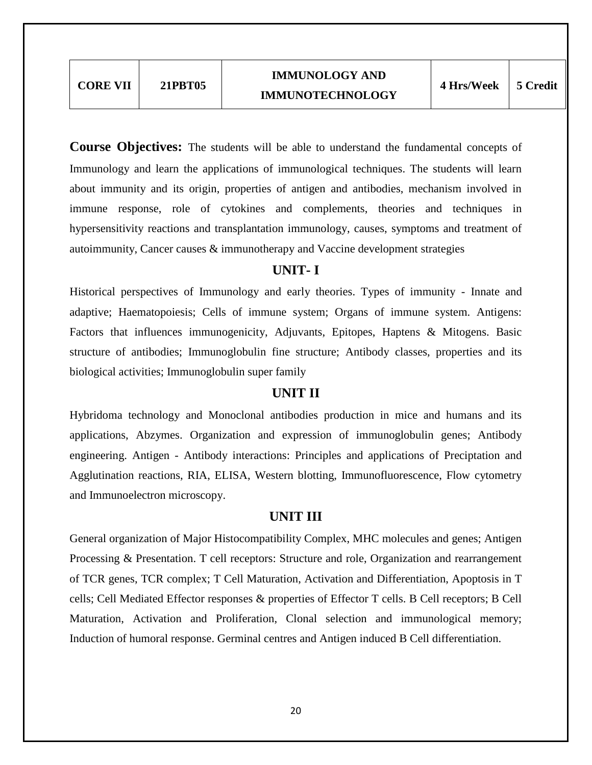**Course Objectives:** The students will be able to understand the fundamental concepts of Immunology and learn the applications of immunological techniques. The students will learn about immunity and its origin, properties of antigen and antibodies, mechanism involved in immune response, role of cytokines and complements, theories and techniques in hypersensitivity reactions and transplantation immunology, causes, symptoms and treatment of autoimmunity, Cancer causes & immunotherapy and Vaccine development strategies

# **UNIT- I**

Historical perspectives of Immunology and early theories. Types of immunity - Innate and adaptive; Haematopoiesis; Cells of immune system; Organs of immune system. Antigens: Factors that influences immunogenicity, Adjuvants, Epitopes, Haptens & Mitogens. Basic structure of antibodies; Immunoglobulin fine structure; Antibody classes, properties and its biological activities; Immunoglobulin super family

# **UNIT II**

Hybridoma technology and Monoclonal antibodies production in mice and humans and its applications, Abzymes. Organization and expression of immunoglobulin genes; Antibody engineering. Antigen - Antibody interactions: Principles and applications of Preciptation and Agglutination reactions, RIA, ELISA, Western blotting, Immunofluorescence, Flow cytometry and Immunoelectron microscopy.

# **UNIT III**

General organization of Major Histocompatibility Complex, MHC molecules and genes; Antigen Processing & Presentation. T cell receptors: Structure and role, Organization and rearrangement of TCR genes, TCR complex; T Cell Maturation, Activation and Differentiation, Apoptosis in T cells; Cell Mediated Effector responses & properties of Effector T cells. B Cell receptors; B Cell Maturation, Activation and Proliferation, Clonal selection and immunological memory; Induction of humoral response. Germinal centres and Antigen induced B Cell differentiation.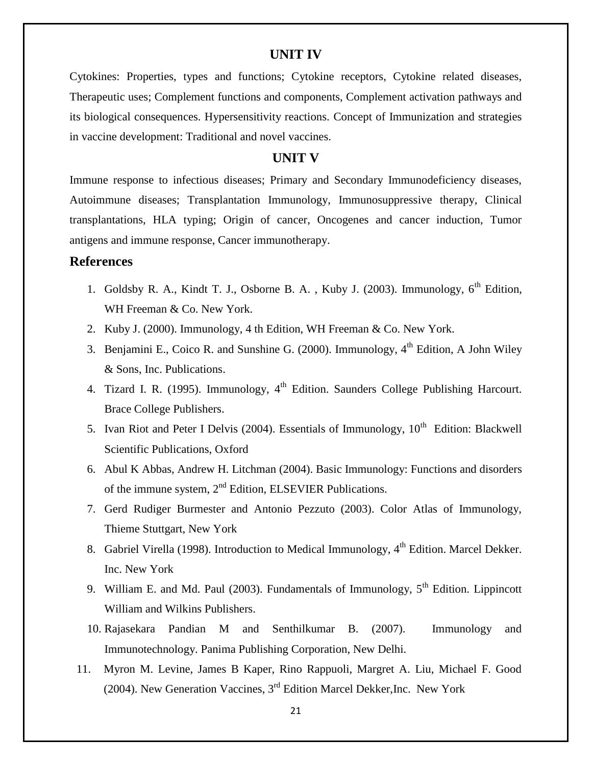#### **UNIT IV**

Cytokines: Properties, types and functions; Cytokine receptors, Cytokine related diseases, Therapeutic uses; Complement functions and components, Complement activation pathways and its biological consequences. Hypersensitivity reactions. Concept of Immunization and strategies in vaccine development: Traditional and novel vaccines.

#### **UNIT V**

Immune response to infectious diseases; Primary and Secondary Immunodeficiency diseases, Autoimmune diseases; Transplantation Immunology, Immunosuppressive therapy, Clinical transplantations, HLA typing; Origin of cancer, Oncogenes and cancer induction, Tumor antigens and immune response, Cancer immunotherapy.

# **References**

- 1. Goldsby R. A., Kindt T. J., Osborne B. A., Kuby J. (2003). Immunology, 6<sup>th</sup> Edition, WH Freeman & Co. New York.
- 2. Kuby J. (2000). Immunology, 4 th Edition, WH Freeman & Co. New York.
- 3. Benjamini E., Coico R. and Sunshine G. (2000). Immunology,  $4<sup>th</sup>$  Edition, A John Wiley & Sons, Inc. Publications.
- 4. Tizard I. R. (1995). Immunology,  $4<sup>th</sup>$  Edition. Saunders College Publishing Harcourt. Brace College Publishers.
- 5. Ivan Riot and Peter I Delvis (2004). Essentials of Immunology,  $10^{th}$  Edition: Blackwell Scientific Publications, Oxford
- 6. Abul K Abbas, Andrew H. Litchman (2004). Basic Immunology: Functions and disorders of the immune system,  $2<sup>nd</sup>$  Edition, ELSEVIER Publications.
- 7. Gerd Rudiger Burmester and Antonio Pezzuto (2003). Color Atlas of Immunology, Thieme Stuttgart, New York
- 8. Gabriel Virella (1998). Introduction to Medical Immunology, 4<sup>th</sup> Edition. Marcel Dekker. Inc. New York
- 9. William E. and Md. Paul (2003). Fundamentals of Immunology,  $5<sup>th</sup>$  Edition. Lippincott William and Wilkins Publishers.
- 10. Rajasekara Pandian M and Senthilkumar B. (2007). Immunology and Immunotechnology. Panima Publishing Corporation, New Delhi.
- 11. Myron M. Levine, James B Kaper, Rino Rappuoli, Margret A. Liu, Michael F. Good (2004). New Generation Vaccines,  $3<sup>rd</sup>$  Edition Marcel Dekker, Inc. New York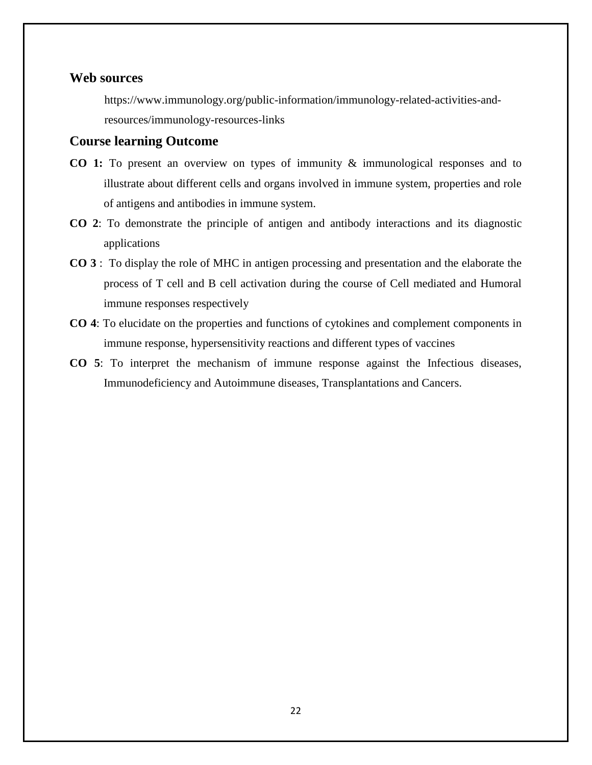#### **Web sources**

[https://www.immunology.org/public-information/immunology-related-activities-and](https://www.immunology.org/public-information/immunology-related-activities-and-resources/immunology-resources-links)[resources/immunology-resources-links](https://www.immunology.org/public-information/immunology-related-activities-and-resources/immunology-resources-links)

#### **Course learning Outcome**

- **CO 1:** To present an overview on types of immunity & immunological responses and to illustrate about different cells and organs involved in immune system, properties and role of antigens and antibodies in immune system.
- **CO 2**: To demonstrate the principle of antigen and antibody interactions and its diagnostic applications
- **CO 3** : To display the role of MHC in antigen processing and presentation and the elaborate the process of T cell and B cell activation during the course of Cell mediated and Humoral immune responses respectively
- **CO 4**: To elucidate on the properties and functions of cytokines and complement components in immune response, hypersensitivity reactions and different types of vaccines
- **CO 5**: To interpret the mechanism of immune response against the Infectious diseases, Immunodeficiency and Autoimmune diseases, Transplantations and Cancers.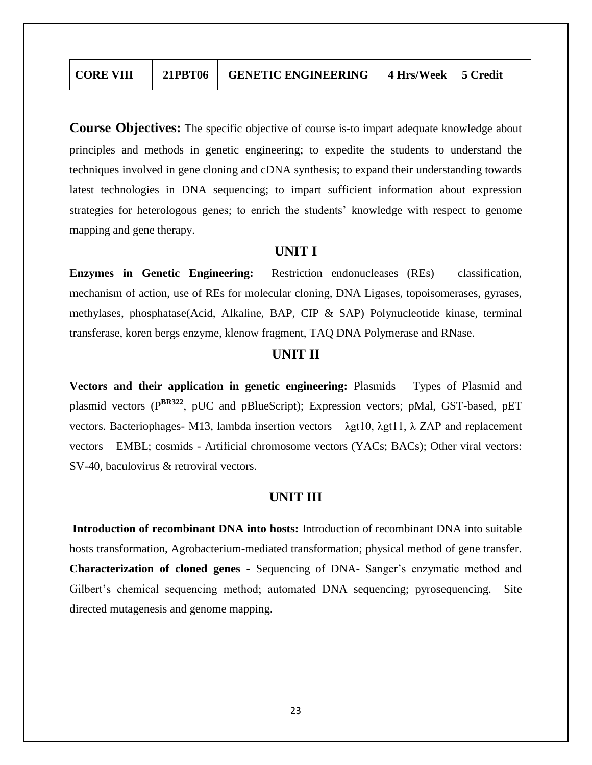**Course Objectives:** The specific objective of course is-to impart adequate knowledge about principles and methods in genetic engineering; to expedite the students to understand the techniques involved in gene cloning and cDNA synthesis; to expand their understanding towards latest technologies in DNA sequencing; to impart sufficient information about expression strategies for heterologous genes; to enrich the students' knowledge with respect to genome mapping and gene therapy.

#### **UNIT I**

**Enzymes in Genetic Engineering:** Restriction endonucleases (REs) – classification, mechanism of action, use of REs for molecular cloning, DNA Ligases, topoisomerases, gyrases, methylases, phosphatase(Acid, Alkaline, BAP, CIP & SAP) Polynucleotide kinase, terminal transferase, koren bergs enzyme, klenow fragment, TAQ DNA Polymerase and RNase.

# **UNIT II**

**Vectors and their application in genetic engineering:** Plasmids – Types of Plasmid and plasmid vectors (P**BR322**, pUC and pBlueScript); Expression vectors; pMal, GST-based, pET vectors. Bacteriophages- M13, lambda insertion vectors – λgt10, λgt11, λ ZAP and replacement vectors – EMBL; cosmids - Artificial chromosome vectors (YACs; BACs); Other viral vectors: SV-40, baculovirus & retroviral vectors.

# **UNIT III**

**Introduction of recombinant DNA into hosts:** Introduction of recombinant DNA into suitable hosts transformation, Agrobacterium-mediated transformation; physical method of gene transfer. **Characterization of cloned genes -** Sequencing of DNA- Sanger"s enzymatic method and Gilbert's chemical sequencing method; automated DNA sequencing; pyrosequencing. Site directed mutagenesis and genome mapping.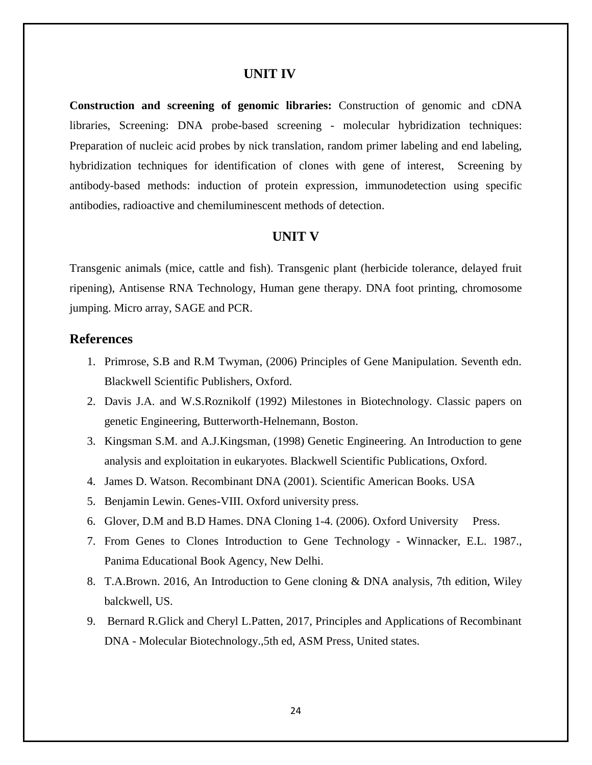#### **UNIT IV**

**Construction and screening of genomic libraries:** Construction of genomic and cDNA libraries, Screening: DNA probe-based screening - molecular hybridization techniques: Preparation of nucleic acid probes by nick translation, random primer labeling and end labeling, hybridization techniques for identification of clones with gene of interest, Screening by antibody-based methods: induction of protein expression, immunodetection using specific antibodies, radioactive and chemiluminescent methods of detection.

#### **UNIT V**

Transgenic animals (mice, cattle and fish). Transgenic plant (herbicide tolerance, delayed fruit ripening), Antisense RNA Technology, Human gene therapy. DNA foot printing, chromosome jumping. Micro array, SAGE and PCR.

### **References**

- 1. Primrose, S.B and R.M Twyman, (2006) Principles of Gene Manipulation. Seventh edn. Blackwell Scientific Publishers, Oxford.
- 2. Davis J.A. and W.S.Roznikolf (1992) Milestones in Biotechnology. Classic papers on genetic Engineering, Butterworth-Helnemann, Boston.
- 3. Kingsman S.M. and A.J.Kingsman, (1998) Genetic Engineering. An Introduction to gene analysis and exploitation in eukaryotes. Blackwell Scientific Publications, Oxford.
- 4. James D. Watson. Recombinant DNA (2001). Scientific American Books. USA
- 5. Benjamin Lewin. Genes-VIII. Oxford university press.
- 6. Glover, D.M and B.D Hames. DNA Cloning 1-4. (2006). Oxford University Press.
- 7. From Genes to Clones Introduction to Gene Technology Winnacker, E.L. 1987., Panima Educational Book Agency, New Delhi.
- 8. T.A.Brown. 2016, An Introduction to Gene cloning & DNA analysis, 7th edition, Wiley balckwell, US.
- 9. Bernard R.Glick and Cheryl L.Patten, 2017, Principles and Applications of Recombinant DNA - Molecular Biotechnology.,5th ed, ASM Press, United states.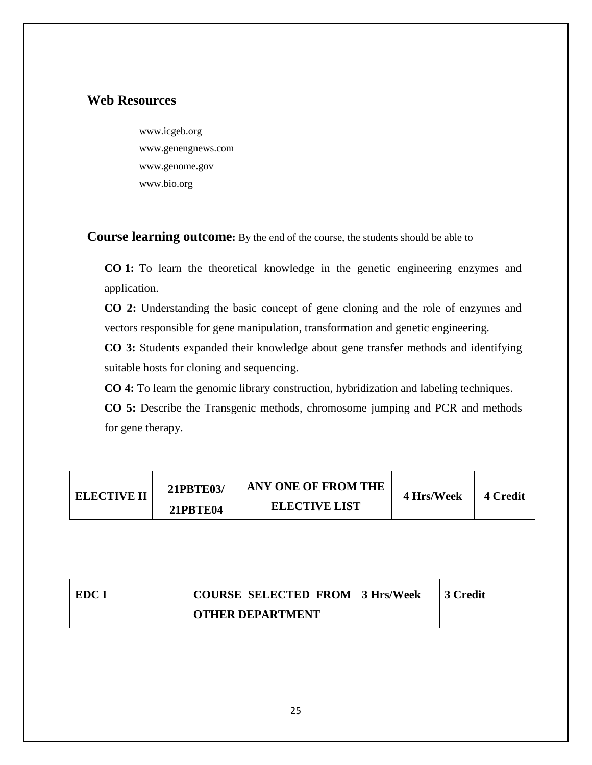# **Web Resources**

www.icgeb.org www.genengnews.com [www.genome.gov](http://www.genome.gov/) www.bio.org

**Course learning outcome:** By the end of the course, the students should be able to

**CO 1:** To learn the theoretical knowledge in the genetic engineering enzymes and application.

**CO 2:** Understanding the basic concept of gene cloning and the role of enzymes and vectors responsible for gene manipulation, transformation and genetic engineering.

**CO 3:** Students expanded their knowledge about gene transfer methods and identifying suitable hosts for cloning and sequencing.

**CO 4:** To learn the genomic library construction, hybridization and labeling techniques.

**CO 5:** Describe the Transgenic methods, chromosome jumping and PCR and methods for gene therapy.

| <b>ELECTIVE II</b> | <b>21PBTE03/</b> | ANY ONE OF FROM THE<br><b>ELECTIVE LIST</b> | 4 Hrs/Week | 4 Credit |
|--------------------|------------------|---------------------------------------------|------------|----------|
|                    | <b>21PBTE04</b>  |                                             |            |          |

| EDC I | <b>COURSE SELECTED FROM 3 Hrs/Week</b> | 3 Credit |
|-------|----------------------------------------|----------|
|       | <b>OTHER DEPARTMENT</b>                |          |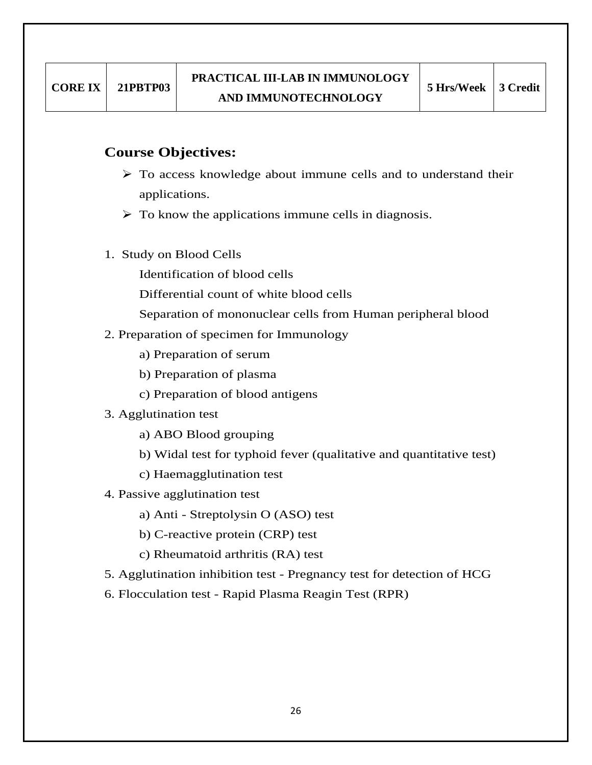# **Course Objectives:**

- $\triangleright$  To access knowledge about immune cells and to understand their applications.
- $\triangleright$  To know the applications immune cells in diagnosis.
- 1. Study on Blood Cells
	- Identification of blood cells
	- Differential count of white blood cells
	- Separation of mononuclear cells from Human peripheral blood
- 2. Preparation of specimen for Immunology
	- a) Preparation of serum
	- b) Preparation of plasma
	- c) Preparation of blood antigens
- 3. Agglutination test
	- a) ABO Blood grouping
	- b) Widal test for typhoid fever (qualitative and quantitative test)
	- c) Haemagglutination test
- 4. Passive agglutination test
	- a) Anti Streptolysin O (ASO) test
	- b) C-reactive protein (CRP) test
	- c) Rheumatoid arthritis (RA) test
- 5. Agglutination inhibition test Pregnancy test for detection of HCG
- 6. Flocculation test Rapid Plasma Reagin Test (RPR)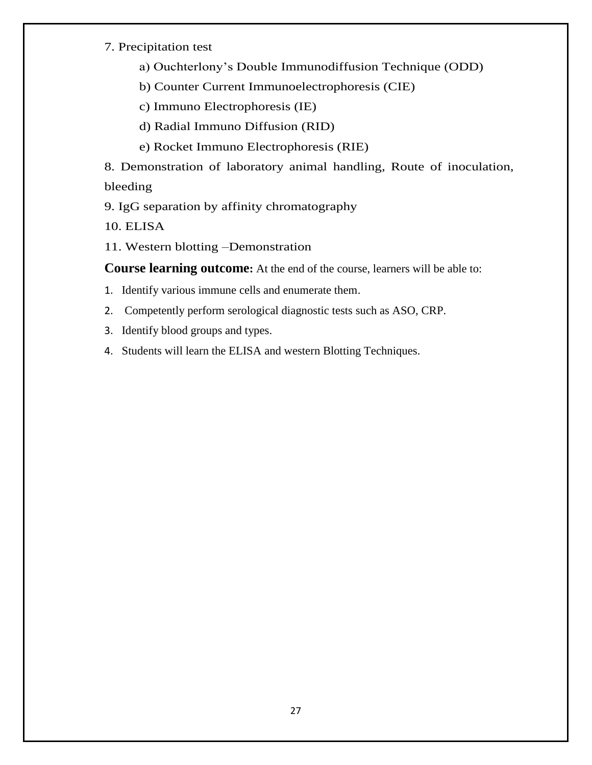#### 7. Precipitation test

I

- a) Ouchterlony"s Double Immunodiffusion Technique (ODD)
- b) Counter Current Immunoelectrophoresis (CIE)
- c) Immuno Electrophoresis (IE)
- d) Radial Immuno Diffusion (RID)
- e) Rocket Immuno Electrophoresis (RIE)

8. Demonstration of laboratory animal handling, Route of inoculation, bleeding

9. IgG separation by affinity chromatography

10. ELISA

11. Western blotting –Demonstration

**Course learning outcome:** At the end of the course, learners will be able to:

- 1. Identify various immune cells and enumerate them.
- 2. Competently perform serological diagnostic tests such as ASO, CRP.
- 3. Identify blood groups and types.
- 4. Students will learn the ELISA and western Blotting Techniques.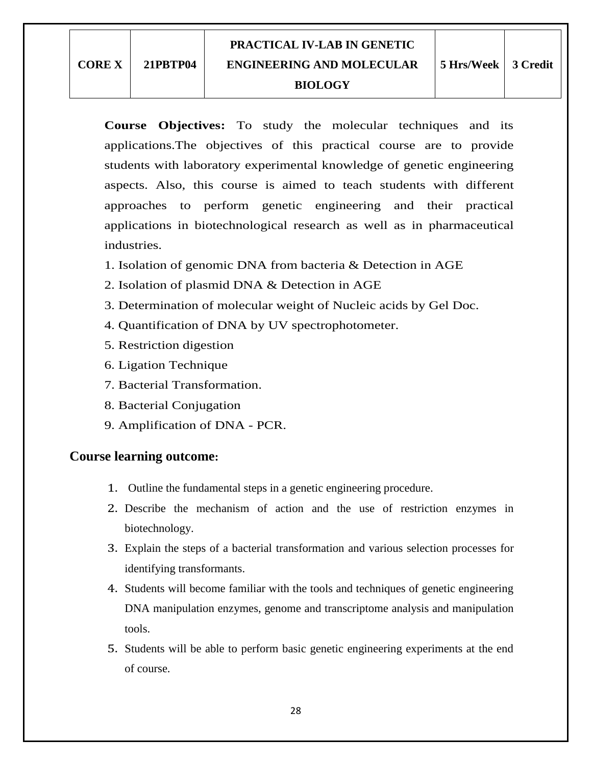**Course Objectives:** To study the molecular techniques and its applications.The objectives of this practical course are to provide students with laboratory experimental knowledge of genetic engineering aspects. Also, this course is aimed to teach students with different approaches to perform genetic engineering and their practical applications in biotechnological research as well as in pharmaceutical industries.

- 1. Isolation of genomic DNA from bacteria & Detection in AGE
- 2. Isolation of plasmid DNA & Detection in AGE
- 3. Determination of molecular weight of Nucleic acids by Gel Doc.
- 4. Quantification of DNA by UV spectrophotometer.
- 5. Restriction digestion
- 6. Ligation Technique
- 7. Bacterial Transformation.
- 8. Bacterial Conjugation
- 9. Amplification of DNA PCR.

# **Course learning outcome:**

- 1. Outline the fundamental steps in a genetic engineering procedure.
- 2. Describe the mechanism of action and the use of restriction enzymes in biotechnology.
- 3. Explain the steps of a bacterial transformation and various selection processes for identifying transformants.
- 4. Students will become familiar with the tools and techniques of genetic engineering DNA manipulation enzymes, genome and transcriptome analysis and manipulation tools.
- 5. Students will be able to perform basic genetic engineering experiments at the end of course.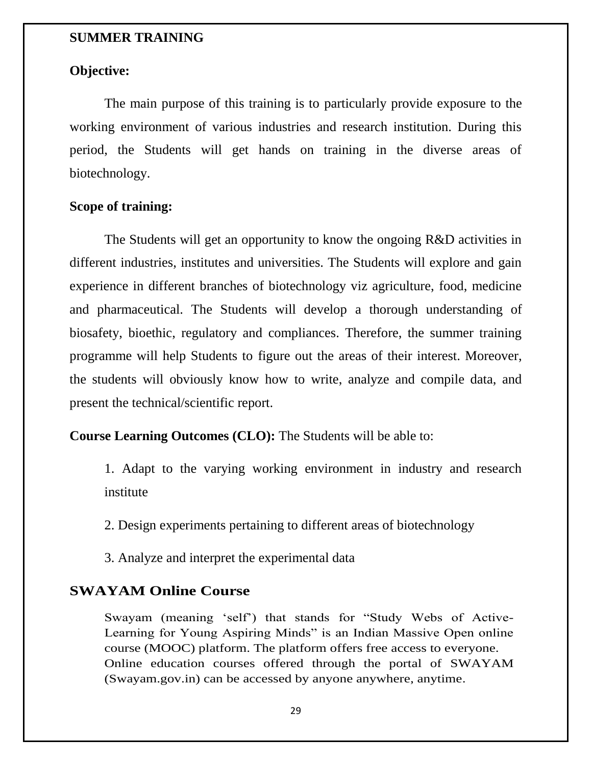### **SUMMER TRAINING**

# **Objective:**

The main purpose of this training is to particularly provide exposure to the working environment of various industries and research institution. During this period, the Students will get hands on training in the diverse areas of biotechnology.

### **Scope of training:**

The Students will get an opportunity to know the ongoing R&D activities in different industries, institutes and universities. The Students will explore and gain experience in different branches of biotechnology viz agriculture, food, medicine and pharmaceutical. The Students will develop a thorough understanding of biosafety, bioethic, regulatory and compliances. Therefore, the summer training programme will help Students to figure out the areas of their interest. Moreover, the students will obviously know how to write, analyze and compile data, and present the technical/scientific report.

# **Course Learning Outcomes (CLO):** The Students will be able to:

1. Adapt to the varying working environment in industry and research institute

2. Design experiments pertaining to different areas of biotechnology

3. Analyze and interpret the experimental data

# **SWAYAM Online Course**

Swayam (meaning "self") that stands for "Study Webs of Active-Learning for Young Aspiring Minds" is an Indian Massive Open online course (MOOC) platform. The platform offers free access to everyone. Online education courses offered through the portal of SWAYAM (Swayam.gov.in) can be accessed by anyone anywhere, anytime.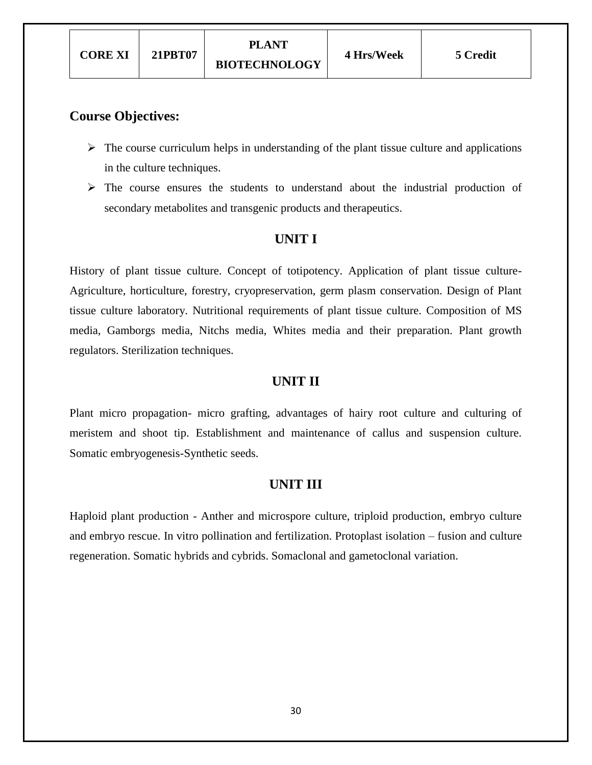#### **Course Objectives:**

- $\triangleright$  The course curriculum helps in understanding of the plant tissue culture and applications in the culture techniques.
- $\triangleright$  The course ensures the students to understand about the industrial production of secondary metabolites and transgenic products and therapeutics.

## **UNIT I**

History of plant tissue culture. Concept of totipotency. Application of plant tissue culture-Agriculture, horticulture, forestry, cryopreservation, germ plasm conservation. Design of Plant tissue culture laboratory. Nutritional requirements of plant tissue culture. Composition of MS media, Gamborgs media, Nitchs media, Whites media and their preparation. Plant growth regulators. Sterilization techniques.

# **UNIT II**

Plant micro propagation- micro grafting, advantages of hairy root culture and culturing of meristem and shoot tip. Establishment and maintenance of callus and suspension culture. Somatic embryogenesis-Synthetic seeds.

## **UNIT III**

Haploid plant production - Anther and microspore culture, triploid production, embryo culture and embryo rescue. In vitro pollination and fertilization. Protoplast isolation – fusion and culture regeneration. Somatic hybrids and cybrids. Somaclonal and gametoclonal variation.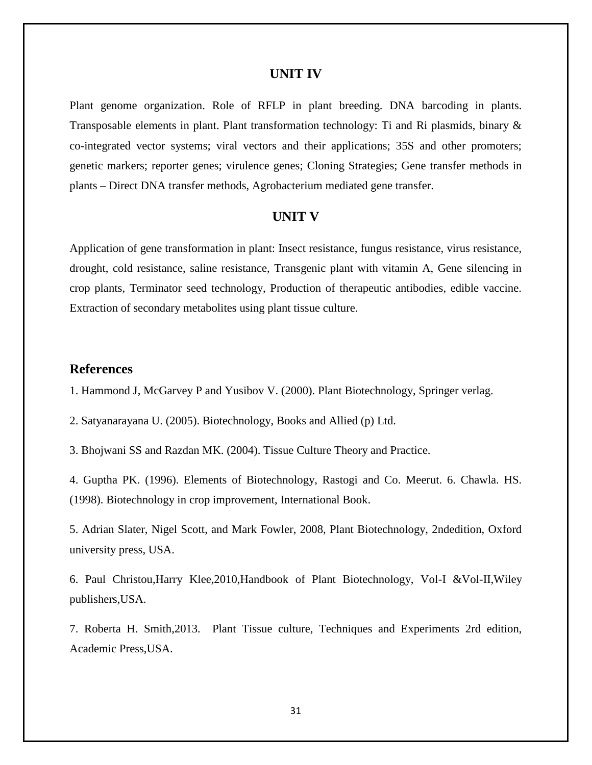#### **UNIT IV**

Plant genome organization. Role of RFLP in plant breeding. DNA barcoding in plants. Transposable elements in plant. Plant transformation technology: Ti and Ri plasmids, binary & co-integrated vector systems; viral vectors and their applications; 35S and other promoters; genetic markers; reporter genes; virulence genes; Cloning Strategies; Gene transfer methods in plants – Direct DNA transfer methods, Agrobacterium mediated gene transfer.

#### **UNIT V**

Application of gene transformation in plant: Insect resistance, fungus resistance, virus resistance, drought, cold resistance, saline resistance, Transgenic plant with vitamin A, Gene silencing in crop plants, Terminator seed technology, Production of therapeutic antibodies, edible vaccine. Extraction of secondary metabolites using plant tissue culture.

#### **References**

1. Hammond J, McGarvey P and Yusibov V. (2000). Plant Biotechnology, Springer verlag.

2. Satyanarayana U. (2005). Biotechnology, Books and Allied (p) Ltd.

3. Bhojwani SS and Razdan MK. (2004). Tissue Culture Theory and Practice.

4. Guptha PK. (1996). Elements of Biotechnology, Rastogi and Co. Meerut. 6. Chawla. HS. (1998). Biotechnology in crop improvement, International Book.

5. Adrian Slater, Nigel Scott, and Mark Fowler, 2008, Plant Biotechnology, 2ndedition, Oxford university press, USA.

6. Paul Christou,Harry Klee,2010,Handbook of Plant Biotechnology, Vol-I &Vol-II,Wiley publishers,USA.

7. Roberta H. Smith,2013. Plant Tissue culture, Techniques and Experiments 2rd edition, Academic Press,USA.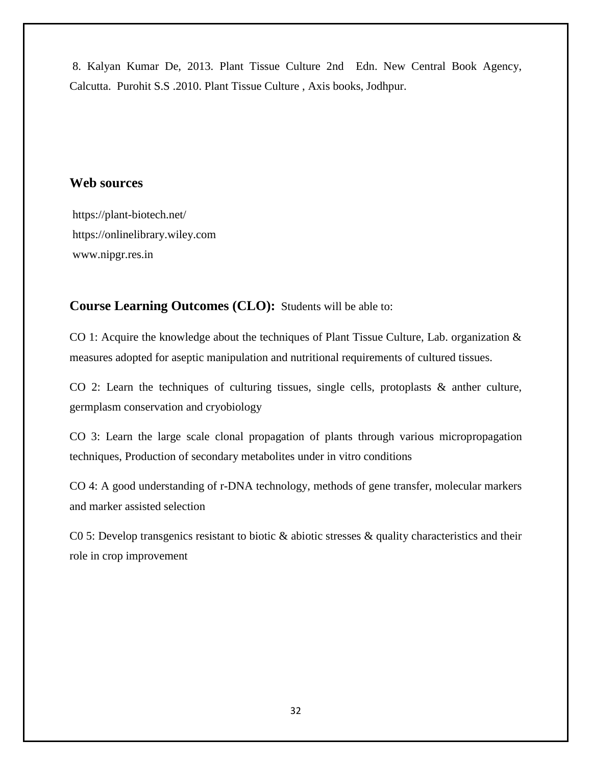8. Kalyan Kumar De, 2013. Plant Tissue Culture 2nd Edn. New Central Book Agency, Calcutta. Purohit S.S .2010. Plant Tissue Culture , Axis books, Jodhpur.

# **Web sources**

https://plant-biotech.net/ [https://onlinelibrary.wiley.com](https://onlinelibrary.wiley.com/) www.nipgr.res.in

# **Course Learning Outcomes (CLO):** Students will be able to:

CO 1: Acquire the knowledge about the techniques of Plant Tissue Culture, Lab. organization & measures adopted for aseptic manipulation and nutritional requirements of cultured tissues.

CO 2: Learn the techniques of culturing tissues, single cells, protoplasts & anther culture, germplasm conservation and cryobiology

CO 3: Learn the large scale clonal propagation of plants through various micropropagation techniques, Production of secondary metabolites under in vitro conditions

CO 4: A good understanding of r-DNA technology, methods of gene transfer, molecular markers and marker assisted selection

C0 5: Develop transgenics resistant to biotic & abiotic stresses & quality characteristics and their role in crop improvement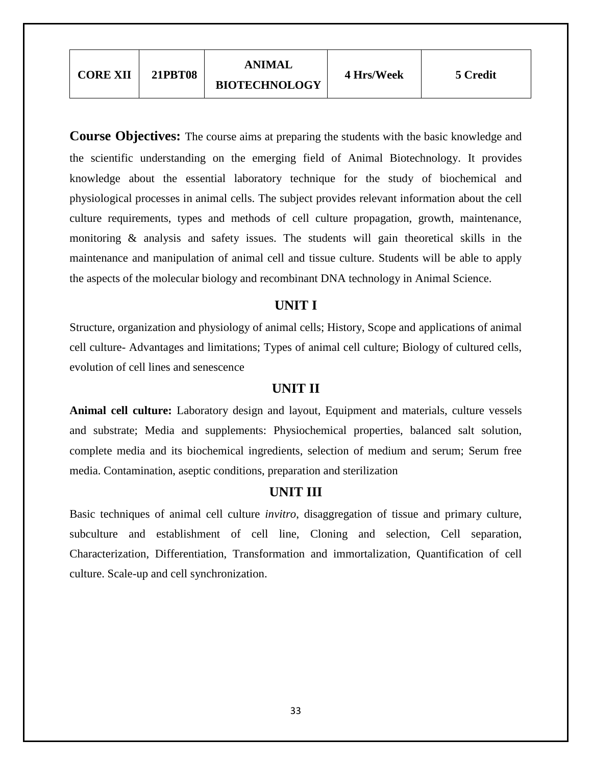| <b>CORE XII</b> | <b>21PBT08</b> | <b>ANIMAL</b><br><b>BIOTECHNOLOGY</b> | 4 Hrs/Week | 5 Credit |
|-----------------|----------------|---------------------------------------|------------|----------|
|-----------------|----------------|---------------------------------------|------------|----------|

**Course Objectives:** The course aims at preparing the students with the basic knowledge and the scientific understanding on the emerging field of Animal Biotechnology. It provides knowledge about the essential laboratory technique for the study of biochemical and physiological processes in animal cells. The subject provides relevant information about the cell culture requirements, types and methods of cell culture propagation, growth, maintenance, monitoring & analysis and safety issues. The students will gain theoretical skills in the maintenance and manipulation of animal cell and tissue culture. Students will be able to apply the aspects of the molecular biology and recombinant DNA technology in Animal Science.

## **UNIT I**

Structure, organization and physiology of animal cells; History, Scope and applications of animal cell culture- Advantages and limitations; Types of animal cell culture; Biology of cultured cells, evolution of cell lines and senescence

## **UNIT II**

**Animal cell culture:** Laboratory design and layout, Equipment and materials, culture vessels and substrate; Media and supplements: Physiochemical properties, balanced salt solution, complete media and its biochemical ingredients, selection of medium and serum; Serum free media. Contamination, aseptic conditions, preparation and sterilization

### **UNIT III**

Basic techniques of animal cell culture *invitro*, disaggregation of tissue and primary culture, subculture and establishment of cell line, Cloning and selection, Cell separation, Characterization, Differentiation, Transformation and immortalization, Quantification of cell culture. Scale-up and cell synchronization.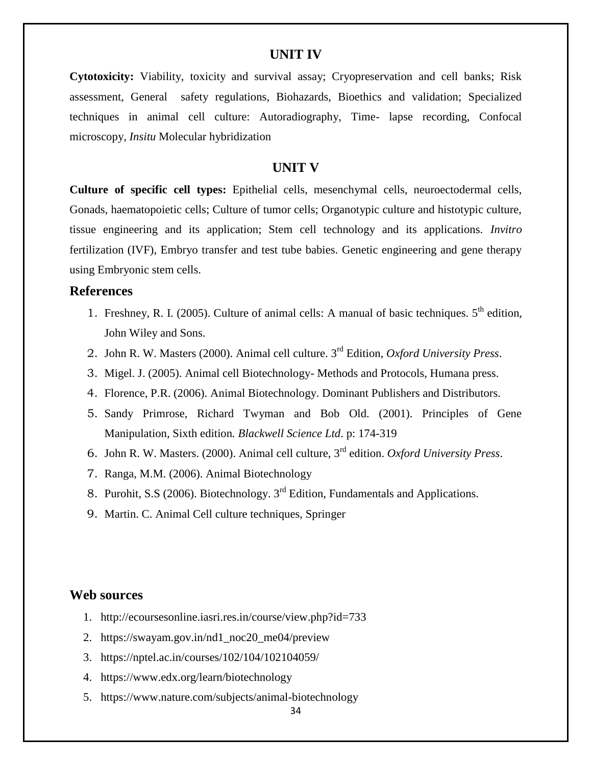#### **UNIT IV**

**Cytotoxicity:** Viability, toxicity and survival assay; Cryopreservation and cell banks; Risk assessment, General safety regulations, Biohazards, Bioethics and validation; Specialized techniques in animal cell culture: Autoradiography, Time- lapse recording, Confocal microscopy, *Insitu* Molecular hybridization

#### **UNIT V**

**Culture of specific cell types:** Epithelial cells, mesenchymal cells, neuroectodermal cells, Gonads, haematopoietic cells; Culture of tumor cells; Organotypic culture and histotypic culture, tissue engineering and its application; Stem cell technology and its applications. *Invitro*  fertilization (IVF), Embryo transfer and test tube babies. Genetic engineering and gene therapy using Embryonic stem cells.

#### **References**

- 1. Freshney, R. I. (2005). Culture of animal cells: A manual of basic techniques.  $5<sup>th</sup>$  edition, John Wiley and Sons.
- 2. John R. W. Masters (2000). Animal cell culture. 3rd Edition, *Oxford University Press*.
- 3. Migel. J. (2005). Animal cell Biotechnology- Methods and Protocols, Humana press.
- 4. Florence, P.R. (2006). Animal Biotechnology. Dominant Publishers and Distributors.
- 5. Sandy Primrose, Richard Twyman and Bob Old. (2001). Principles of Gene Manipulation, Sixth edition*. Blackwell Science Ltd*. p: 174-319
- 6. John R. W. Masters. (2000). Animal cell culture, 3rd edition. *Oxford University Press*.
- 7. Ranga, M.M. (2006). Animal Biotechnology
- 8. Purohit, S.S (2006). Biotechnology. 3rd Edition, Fundamentals and Applications.
- 9. Martin. C. Animal Cell culture techniques, Springer

#### **Web sources**

- 1. <http://ecoursesonline.iasri.res.in/course/view.php?id=733>
- 2. [https://swayam.gov.in/nd1\\_noc20\\_me04/preview](https://swayam.gov.in/nd1_noc20_me04/preview)
- 3. <https://nptel.ac.in/courses/102/104/102104059/>
- 4. <https://www.edx.org/learn/biotechnology>
- 5. <https://www.nature.com/subjects/animal-biotechnology>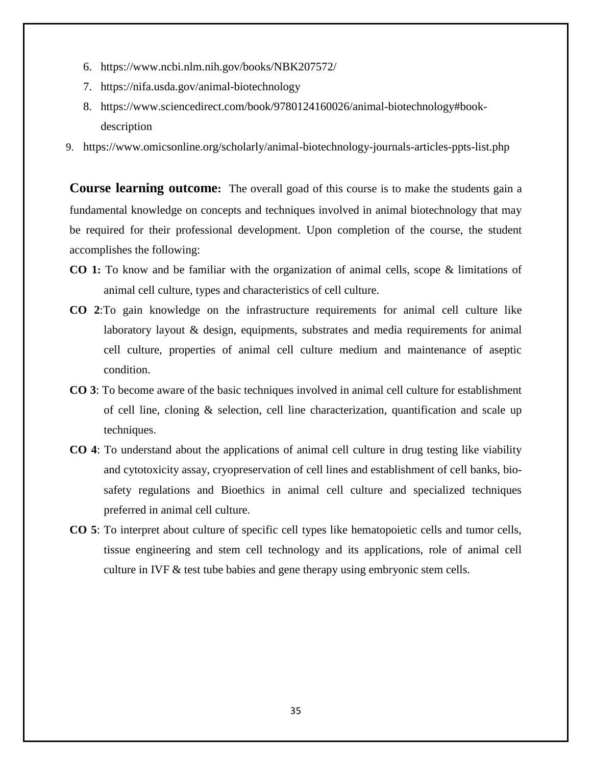- 6. <https://www.ncbi.nlm.nih.gov/books/NBK207572/>
- 7. <https://nifa.usda.gov/animal-biotechnology>
- 8. [https://www.sciencedirect.com/book/9780124160026/animal-biotechnology#book](https://www.sciencedirect.com/book/9780124160026/animal-biotechnology#book-description)[description](https://www.sciencedirect.com/book/9780124160026/animal-biotechnology#book-description)
- 9. <https://www.omicsonline.org/scholarly/animal-biotechnology-journals-articles-ppts-list.php>

**Course learning outcome:** The overall goad of this course is to make the students gain a fundamental knowledge on concepts and techniques involved in animal biotechnology that may be required for their professional development. Upon completion of the course, the student accomplishes the following:

- **CO 1:** To know and be familiar with the organization of animal cells, scope & limitations of animal cell culture, types and characteristics of cell culture.
- **CO 2**:To gain knowledge on the infrastructure requirements for animal cell culture like laboratory layout & design, equipments, substrates and media requirements for animal cell culture, properties of animal cell culture medium and maintenance of aseptic condition.
- **CO 3**: To become aware of the basic techniques involved in animal cell culture for establishment of cell line, cloning & selection, cell line characterization, quantification and scale up techniques.
- **CO 4**: To understand about the applications of animal cell culture in drug testing like viability and cytotoxicity assay, cryopreservation of cell lines and establishment of cell banks, biosafety regulations and Bioethics in animal cell culture and specialized techniques preferred in animal cell culture.
- **CO 5**: To interpret about culture of specific cell types like hematopoietic cells and tumor cells, tissue engineering and stem cell technology and its applications, role of animal cell culture in IVF & test tube babies and gene therapy using embryonic stem cells.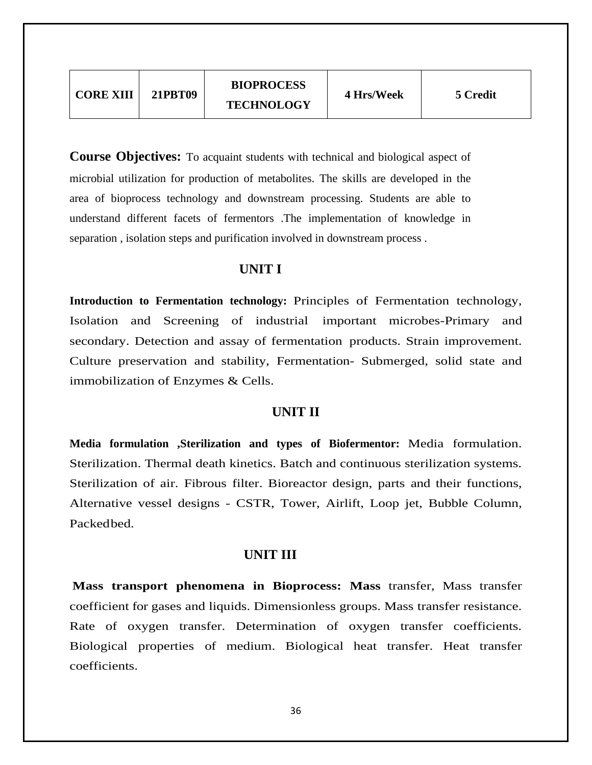| <b>TECHNOLOGY</b> | <b>CORE XIII</b> | 21PRT09 | <b>BIOPROCESS</b> | 4 Hrs/Week | 5 Credit |
|-------------------|------------------|---------|-------------------|------------|----------|
|-------------------|------------------|---------|-------------------|------------|----------|

**Course Objectives:** To acquaint students with technical and biological aspect of microbial utilization for production of metabolites. The skills are developed in the area of bioprocess technology and downstream processing. Students are able to understand different facets of fermentors .The implementation of knowledge in separation , isolation steps and purification involved in downstream process .

# **UNIT I**

**Introduction to Fermentation technology:** Principles of Fermentation technology, Isolation and Screening of industrial important microbes-Primary and secondary. Detection and assay of fermentation products. Strain improvement. Culture preservation and stability, Fermentation- Submerged, solid state and immobilization of Enzymes & Cells.

#### **UNIT II**

**Media formulation ,Sterilization and types of Biofermentor:** Media formulation. Sterilization. Thermal death kinetics. Batch and continuous sterilization systems. Sterilization of air. Fibrous filter. Bioreactor design, parts and their functions, Alternative vessel designs - CSTR, Tower, Airlift, Loop jet, Bubble Column, Packedbed.

#### **UNIT III**

**Mass transport phenomena in Bioprocess: Mass** transfer, Mass transfer coefficient for gases and liquids. Dimensionless groups. Mass transfer resistance. Rate of oxygen transfer. Determination of oxygen transfer coefficients. Biological properties of medium. Biological heat transfer. Heat transfer coefficients.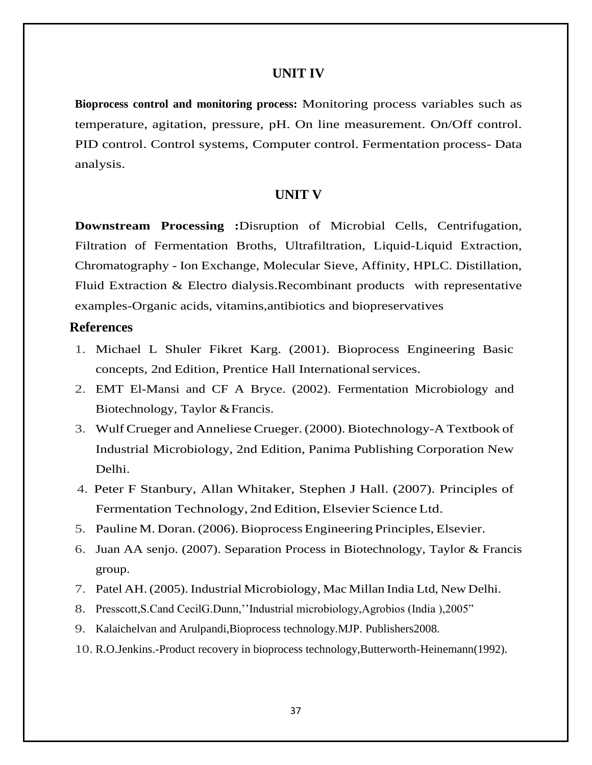### **UNIT IV**

**Bioprocess control and monitoring process:** Monitoring process variables such as temperature, agitation, pressure, pH. On line measurement. On/Off control. PID control. Control systems, Computer control. Fermentation process- Data analysis.

#### **UNIT V**

**Downstream Processing :**Disruption of Microbial Cells, Centrifugation, Filtration of Fermentation Broths, Ultrafiltration, Liquid-Liquid Extraction, Chromatography - Ion Exchange, Molecular Sieve, Affinity, HPLC. Distillation, Fluid Extraction & Electro dialysis.Recombinant products with representative examples-Organic acids, vitamins,antibiotics and biopreservatives

#### **References**

- 1. Michael L Shuler Fikret Karg. (2001). Bioprocess Engineering Basic concepts, 2nd Edition, Prentice Hall Internationalservices.
- 2. EMT El-Mansi and CF A Bryce. (2002). Fermentation Microbiology and Biotechnology, Taylor &Francis.
- 3. WulfCrueger and AnnelieseCrueger.(2000).Biotechnology-A Textbook of Industrial Microbiology, 2nd Edition, Panima Publishing Corporation New Delhi.
- 4. Peter F Stanbury, Allan Whitaker, Stephen J Hall. (2007). Principles of Fermentation Technology, 2nd Edition, Elsevier Science Ltd.
- 5. Pauline M. Doran.(2006).Bioprocess Engineering Principles, Elsevier.
- 6. Juan AA senjo. (2007). Separation Process in Biotechnology, Taylor & Francis group.
- 7. Patel AH. (2005). Industrial Microbiology, Mac Millan India Ltd, New Delhi.
- 8. Presscott,S.Cand CecilG.Dunn,""Industrial microbiology,Agrobios (India ),2005"
- 9. Kalaichelvan and Arulpandi,Bioprocess technology.MJP. Publishers2008.
- 10. R.O.Jenkins.-Product recovery in bioprocess technology,Butterworth-Heinemann(1992).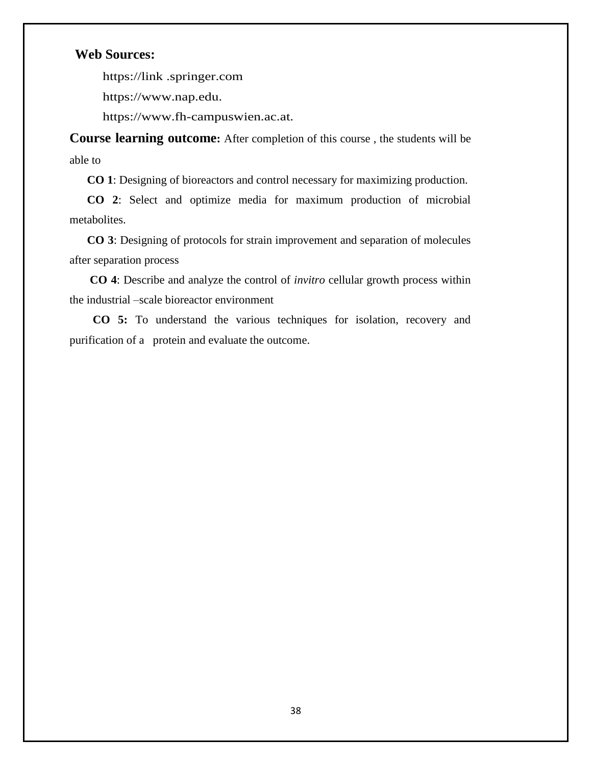## **Web Sources:**

https://link .springer.com

https://www.nap.edu.

https://www.fh-campuswien.ac.at.

**Course learning outcome:** After completion of this course , the students will be able to

 **CO 1**: Designing of bioreactors and control necessary for maximizing production.

 **CO 2**: Select and optimize media for maximum production of microbial metabolites.

 **CO 3**: Designing of protocols for strain improvement and separation of molecules after separation process

 **CO 4**: Describe and analyze the control of *invitro* cellular growth process within the industrial –scale bioreactor environment

 **CO 5:** To understand the various techniques for isolation, recovery and purification of a protein and evaluate the outcome.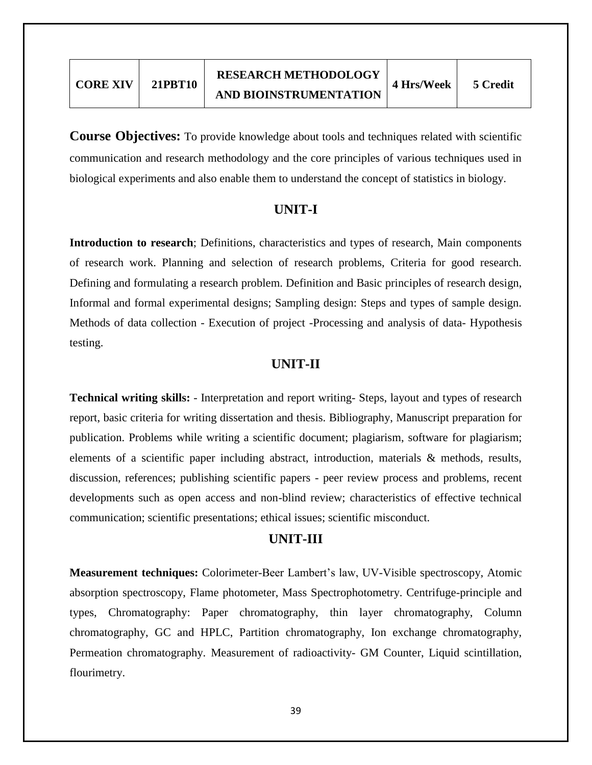**Course Objectives:** To provide knowledge about tools and techniques related with scientific communication and research methodology and the core principles of various techniques used in biological experiments and also enable them to understand the concept of statistics in biology.

## **UNIT-I**

**Introduction to research**; Definitions, characteristics and types of research, Main components of research work. Planning and selection of research problems, Criteria for good research. Defining and formulating a research problem. Definition and Basic principles of research design, Informal and formal experimental designs; Sampling design: Steps and types of sample design. Methods of data collection - Execution of project -Processing and analysis of data- Hypothesis testing.

### **UNIT-II**

**Technical writing skills:** - Interpretation and report writing- Steps, layout and types of research report, basic criteria for writing dissertation and thesis. Bibliography, Manuscript preparation for publication. Problems while writing a scientific document; plagiarism, software for plagiarism; elements of a scientific paper including abstract, introduction, materials & methods, results, discussion, references; publishing scientific papers - peer review process and problems, recent developments such as open access and non-blind review; characteristics of effective technical communication; scientific presentations; ethical issues; scientific misconduct.

## **UNIT-III**

**Measurement techniques:** Colorimeter-Beer Lambert"s law, UV-Visible spectroscopy, Atomic absorption spectroscopy, Flame photometer, Mass Spectrophotometry. Centrifuge-principle and types, Chromatography: Paper chromatography, thin layer chromatography, Column chromatography, GC and HPLC, Partition chromatography, Ion exchange chromatography, Permeation chromatography. Measurement of radioactivity- GM Counter, Liquid scintillation, flourimetry.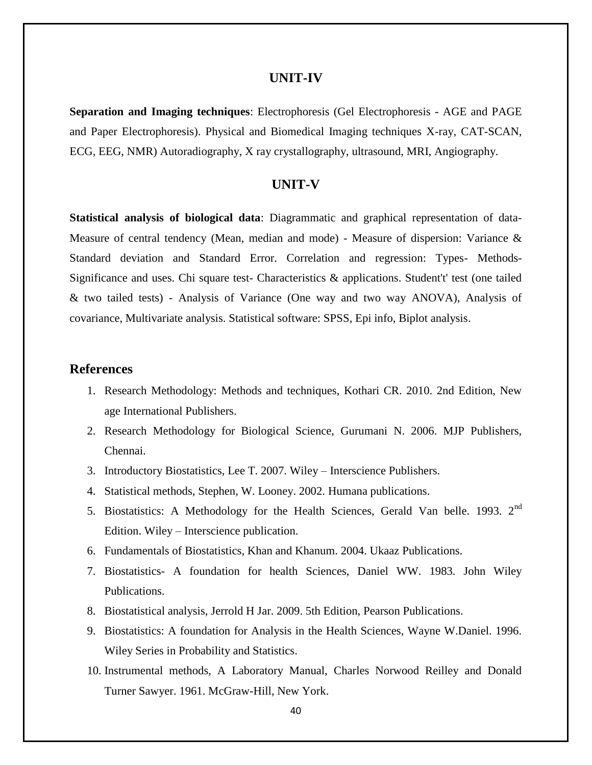#### **UNIT-IV**

**Separation and Imaging techniques**: Electrophoresis (Gel Electrophoresis - AGE and PAGE and Paper Electrophoresis). Physical and Biomedical Imaging techniques X-ray, CAT-SCAN, ECG, EEG, NMR) Autoradiography, X ray crystallography, ultrasound, MRI, Angiography.

#### **UNIT-V**

**Statistical analysis of biological data**: Diagrammatic and graphical representation of data-Measure of central tendency (Mean, median and mode) - Measure of dispersion: Variance & Standard deviation and Standard Error. Correlation and regression: Types- Methods-Significance and uses. Chi square test- Characteristics & applications. Student't' test (one tailed & two tailed tests) - Analysis of Variance (One way and two way ANOVA), Analysis of covariance, Multivariate analysis. Statistical software: SPSS, Epi info, Biplot analysis.

### **References**

- 1. Research Methodology: Methods and techniques, Kothari CR. 2010. 2nd Edition, New age International Publishers.
- 2. Research Methodology for Biological Science, Gurumani N. 2006. MJP Publishers, Chennai.
- 3. Introductory Biostatistics, Lee T. 2007. Wiley Interscience Publishers.
- 4. Statistical methods, Stephen, W. Looney. 2002. Humana publications.
- 5. Biostatistics: A Methodology for the Health Sciences, Gerald Van belle. 1993. 2<sup>nd</sup> Edition. Wiley – Interscience publication.
- 6. Fundamentals of Biostatistics, Khan and Khanum. 2004. Ukaaz Publications.
- 7. Biostatistics- A foundation for health Sciences, Daniel WW. 1983. John Wiley Publications.
- 8. Biostatistical analysis, Jerrold H Jar. 2009. 5th Edition, Pearson Publications.
- 9. Biostatistics: A foundation for Analysis in the Health Sciences, Wayne W.Daniel. 1996. Wiley Series in Probability and Statistics.
- 10. Instrumental methods, A Laboratory Manual, Charles Norwood Reilley and Donald Turner Sawyer. 1961. McGraw-Hill, New York.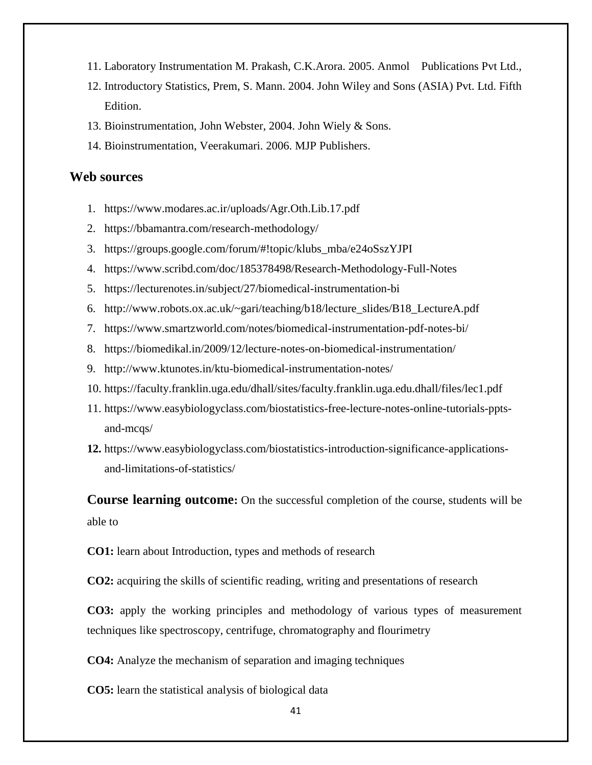- 11. Laboratory Instrumentation M. Prakash, C.K.Arora. 2005. Anmol Publications Pvt Ltd.,
- 12. Introductory Statistics, Prem, S. Mann. 2004. John Wiley and Sons (ASIA) Pvt. Ltd. Fifth Edition.
- 13. Bioinstrumentation, John Webster, 2004. John Wiely & Sons.
- 14. Bioinstrumentation, Veerakumari. 2006. MJP Publishers.

### **Web sources**

- 1. <https://www.modares.ac.ir/uploads/Agr.Oth.Lib.17.pdf>
- 2. <https://bbamantra.com/research-methodology/>
- 3. [https://groups.google.com/forum/#!topic/klubs\\_mba/e24oSszYJPI](https://groups.google.com/forum/#!topic/klubs_mba/e24oSszYJPI)
- 4. <https://www.scribd.com/doc/185378498/Research-Methodology-Full-Notes>
- 5. <https://lecturenotes.in/subject/27/biomedical-instrumentation-bi>
- 6. [http://www.robots.ox.ac.uk/~gari/teaching/b18/lecture\\_slides/B18\\_LectureA.pdf](http://www.robots.ox.ac.uk/~gari/teaching/b18/lecture_slides/B18_LectureA.pdf)
- 7. <https://www.smartzworld.com/notes/biomedical-instrumentation-pdf-notes-bi/>
- 8. <https://biomedikal.in/2009/12/lecture-notes-on-biomedical-instrumentation/>
- 9. <http://www.ktunotes.in/ktu-biomedical-instrumentation-notes/>
- 10. <https://faculty.franklin.uga.edu/dhall/sites/faculty.franklin.uga.edu.dhall/files/lec1.pdf>
- 11. [https://www.easybiologyclass.com/biostatistics-free-lecture-notes-online-tutorials-ppts](https://www.easybiologyclass.com/biostatistics-free-lecture-notes-online-tutorials-ppts-and-mcqs/)[and-mcqs/](https://www.easybiologyclass.com/biostatistics-free-lecture-notes-online-tutorials-ppts-and-mcqs/)
- **12.** [https://www.easybiologyclass.com/biostatistics-introduction-significance-applications](https://www.easybiologyclass.com/biostatistics-introduction-significance-applications-and-limitations-of-statistics/)[and-limitations-of-statistics/](https://www.easybiologyclass.com/biostatistics-introduction-significance-applications-and-limitations-of-statistics/)

**Course learning outcome:** On the successful completion of the course, students will be able to

**CO1:** learn about Introduction, types and methods of research

**CO2:** acquiring the skills of scientific reading, writing and presentations of research

**CO3:** apply the working principles and methodology of various types of measurement techniques like spectroscopy, centrifuge, chromatography and flourimetry

**CO4:** Analyze the mechanism of separation and imaging techniques

**CO5:** learn the statistical analysis of biological data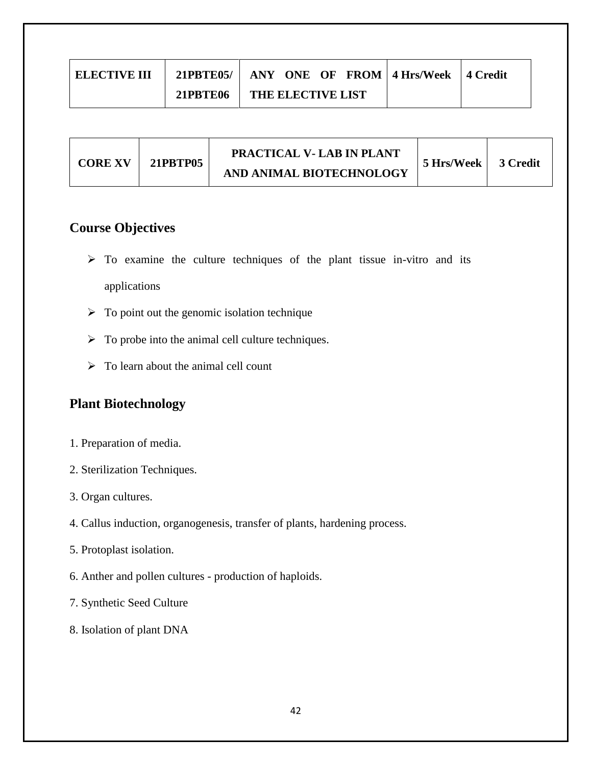| <b>ELECTIVE III</b> |                 | 21PBTE05/   ANY ONE OF FROM   4 Hrs/Week   4 Credit |  |
|---------------------|-----------------|-----------------------------------------------------|--|
|                     | <b>21PBTE06</b> | THE ELECTIVE LIST                                   |  |

| <b>CORE XV</b> | 21PRTP05 | PRACTICAL V- LAB IN PLANT | 5 Hrs/Week | 3 Credit |
|----------------|----------|---------------------------|------------|----------|
|                |          | AND ANIMAL BIOTECHNOLOGY  |            |          |

# **Course Objectives**

- $\triangleright$  To examine the culture techniques of the plant tissue in-vitro and its applications
- $\triangleright$  To point out the genomic isolation technique
- $\triangleright$  To probe into the animal cell culture techniques.
- $\triangleright$  To learn about the animal cell count

# **Plant Biotechnology**

- 1. Preparation of media.
- 2. Sterilization Techniques.
- 3. Organ cultures.
- 4. Callus induction, organogenesis, transfer of plants, hardening process.
- 5. Protoplast isolation.
- 6. Anther and pollen cultures production of haploids.
- 7. Synthetic Seed Culture
- 8. Isolation of plant DNA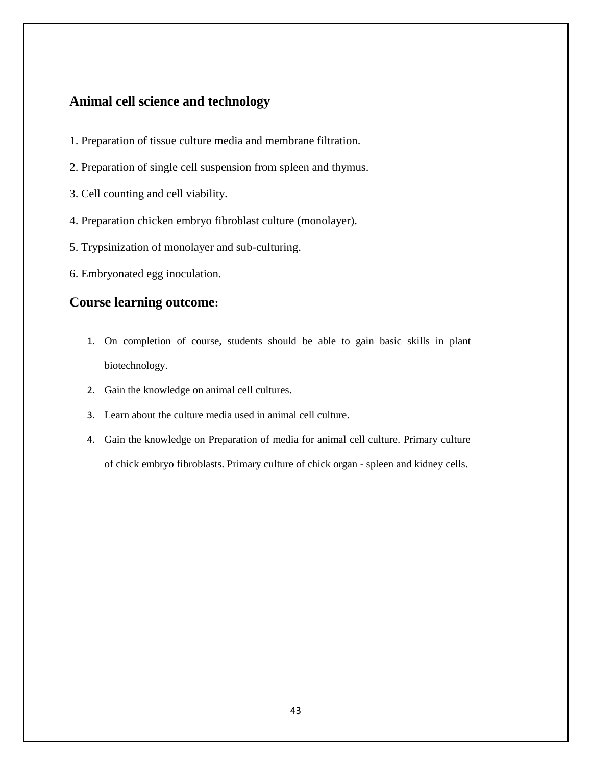## **Animal cell science and technology**

- 1. Preparation of tissue culture media and membrane filtration.
- 2. Preparation of single cell suspension from spleen and thymus.
- 3. Cell counting and cell viability.
- 4. Preparation chicken embryo fibroblast culture (monolayer).
- 5. Trypsinization of monolayer and sub-culturing.
- 6. Embryonated egg inoculation.

### **Course learning outcome:**

- 1. On completion of course, students should be able to gain basic skills in plant biotechnology.
- 2. Gain the knowledge on animal cell cultures.
- 3. Learn about the culture media used in animal cell culture.
- 4. Gain the knowledge on Preparation of media for animal cell culture. Primary culture of chick embryo fibroblasts. Primary culture of chick organ - spleen and kidney cells.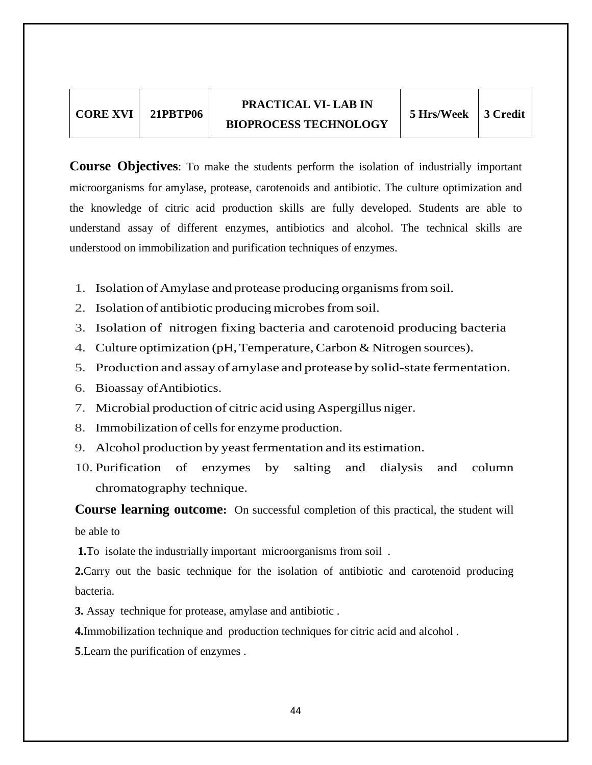| <b>CORE XVI   21PBTP06</b> |
|----------------------------|
|                            |

**Course Objectives**: To make the students perform the isolation of industrially important microorganisms for amylase, protease, carotenoids and antibiotic. The culture optimization and the knowledge of citric acid production skills are fully developed. Students are able to understand assay of different enzymes, antibiotics and alcohol. The technical skills are understood on immobilization and purification techniques of enzymes.

- 1. Isolation of Amylase and protease producing organismsfrom soil.
- 2. Isolation of antibiotic producing microbesfromsoil.
- 3. Isolation of nitrogen fixing bacteria and carotenoid producing bacteria
- 4. Culture optimization (pH, Temperature, Carbon & Nitrogen sources).
- 5. Production and assay of amylase and protease by solid-state fermentation.
- 6. Bioassay ofAntibiotics.
- 7. Microbial production of citric acid using Aspergillus niger.
- 8. Immobilization of cells for enzyme production.
- 9. Alcohol production by yeast fermentation and its estimation.
- 10. Purification of enzymes by salting and dialysis and column chromatography technique.

**Course learning outcome:** On successful completion of this practical, the student will be able to

**1.**To isolate the industrially important microorganisms from soil .

**2.**Carry out the basic technique for the isolation of antibiotic and carotenoid producing bacteria.

**3.** Assay technique for protease, amylase and antibiotic .

**4.**Immobilization technique and production techniques for citric acid and alcohol .

**5**.Learn the purification of enzymes .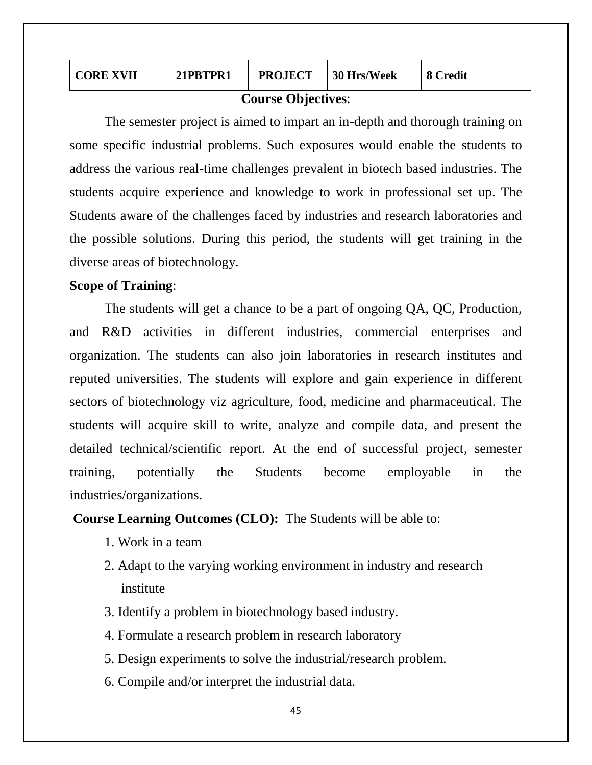| <b>CORE XVII</b>  | 21PRTPR1 | <b>PROJECT</b> | 30 Hrs/Week | 8 Credit |  |  |
|-------------------|----------|----------------|-------------|----------|--|--|
| Course Objectives |          |                |             |          |  |  |

#### **Course Objectives**:

The semester project is aimed to impart an in-depth and thorough training on some specific industrial problems. Such exposures would enable the students to address the various real-time challenges prevalent in biotech based industries. The students acquire experience and knowledge to work in professional set up. The Students aware of the challenges faced by industries and research laboratories and the possible solutions. During this period, the students will get training in the diverse areas of biotechnology.

### **Scope of Training**:

The students will get a chance to be a part of ongoing QA, QC, Production, and R&D activities in different industries, commercial enterprises and organization. The students can also join laboratories in research institutes and reputed universities. The students will explore and gain experience in different sectors of biotechnology viz agriculture, food, medicine and pharmaceutical. The students will acquire skill to write, analyze and compile data, and present the detailed technical/scientific report. At the end of successful project, semester training, potentially the Students become employable in the industries/organizations.

**Course Learning Outcomes (CLO):** The Students will be able to:

- 1. Work in a team
- 2. Adapt to the varying working environment in industry and research institute
- 3. Identify a problem in biotechnology based industry.
- 4. Formulate a research problem in research laboratory
- 5. Design experiments to solve the industrial/research problem.
- 6. Compile and/or interpret the industrial data.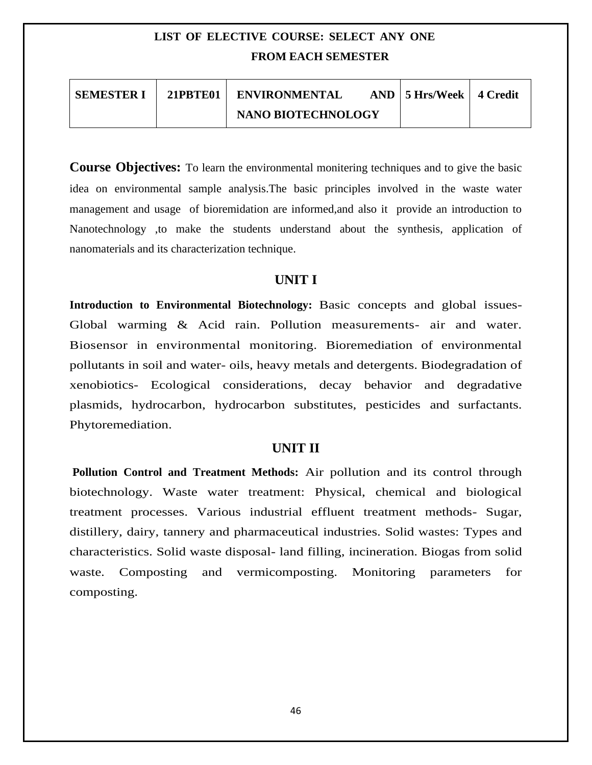# **LIST OF ELECTIVE COURSE: SELECT ANY ONE FROM EACH SEMESTER**

| <b>SEMESTER I</b> | 21PBTE01 | <b>ENVIRONMENTAL</b>      | $AND \mid 5$ Hrs/Week $\mid 4$ Credit |  |
|-------------------|----------|---------------------------|---------------------------------------|--|
|                   |          | <b>NANO BIOTECHNOLOGY</b> |                                       |  |

**Course Objectives:** To learn the environmental monitering techniques and to give the basic idea on environmental sample analysis.The basic principles involved in the waste water management and usage of bioremidation are informed,and also it provide an introduction to Nanotechnology ,to make the students understand about the synthesis, application of nanomaterials and its characterization technique.

## **UNIT I**

**Introduction to Environmental Biotechnology:** Basic concepts and global issues-Global warming & Acid rain. Pollution measurements- air and water. Biosensor in environmental monitoring. Bioremediation of environmental pollutants in soil and water- oils, heavy metals and detergents. Biodegradation of xenobiotics- Ecological considerations, decay behavior and degradative plasmids, hydrocarbon, hydrocarbon substitutes, pesticides and surfactants. Phytoremediation.

# **UNIT II**

**Pollution Control and Treatment Methods:** Air pollution and its control through biotechnology. Waste water treatment: Physical, chemical and biological treatment processes. Various industrial effluent treatment methods- Sugar, distillery, dairy, tannery and pharmaceutical industries. Solid wastes: Types and characteristics. Solid waste disposal- land filling, incineration. Biogas from solid waste. Composting and vermicomposting. Monitoring parameters for composting.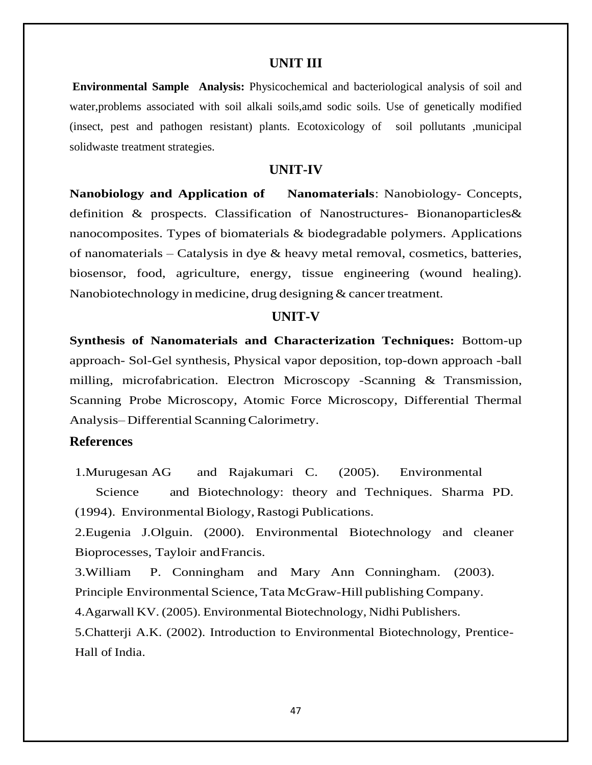#### **UNIT III**

**Environmental Sample Analysis:** Physicochemical and bacteriological analysis of soil and water,problems associated with soil alkali soils,amd sodic soils. Use of genetically modified (insect, pest and pathogen resistant) plants. Ecotoxicology of soil pollutants ,municipal solidwaste treatment strategies.

#### **UNIT-IV**

**Nanobiology and Application of Nanomaterials**: Nanobiology- Concepts, definition & prospects. Classification of Nanostructures- Bionanoparticles& nanocomposites. Types of biomaterials & biodegradable polymers. Applications of nanomaterials – Catalysis in dye & heavy metal removal, cosmetics, batteries, biosensor, food, agriculture, energy, tissue engineering (wound healing). Nanobiotechnology in medicine, drug designing  $&$  cancert reatment.

#### **UNIT-V**

**Synthesis of Nanomaterials and Characterization Techniques:** Bottom-up approach- Sol-Gel synthesis, Physical vapor deposition, top-down approach -ball milling, microfabrication. Electron Microscopy -Scanning & Transmission, Scanning Probe Microscopy, Atomic Force Microscopy, Differential Thermal Analysis–Differential Scanning Calorimetry.

#### **References**

1.Murugesan AG and Rajakumari C. (2005). Environmental Science and Biotechnology: theory and Techniques. Sharma PD. (1994). Environmental Biology, Rastogi Publications.

2.Eugenia J.Olguin. (2000). Environmental Biotechnology and cleaner Bioprocesses, Tayloir andFrancis.

3.William P. Conningham and Mary Ann Conningham. (2003). Principle Environmental Science, Tata McGraw-Hill publishing Company.

4.Agarwall KV. (2005). Environmental Biotechnology, Nidhi Publishers.

5.Chatterji A.K. (2002). Introduction to Environmental Biotechnology, Prentice-Hall of India.

47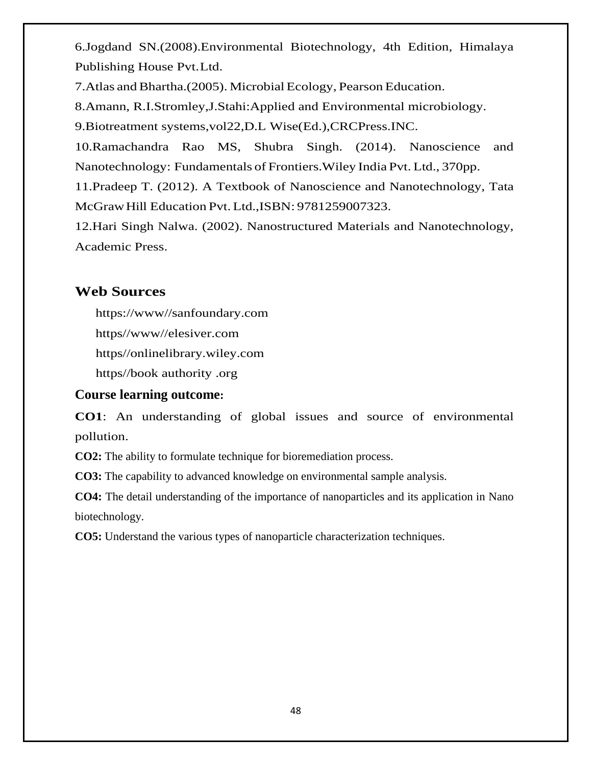6.Jogdand SN.(2008).Environmental Biotechnology, 4th Edition, Himalaya Publishing House Pvt.Ltd.

7. Atlas and Bhartha. (2005). Microbial Ecology, Pearson Education.

8.Amann, R.I.Stromley,J.Stahi:Applied and Environmental microbiology.

9.Biotreatment systems,vol22,D.L Wise(Ed.),CRCPress.INC.

10.Ramachandra Rao MS, Shubra Singh. (2014). Nanoscience and Nanotechnology: Fundamentals of Frontiers.Wiley India Pvt. Ltd., 370pp.

11.Pradeep T. (2012). A Textbook of Nanoscience and Nanotechnology, Tata McGrawHill Education Pvt. Ltd.,ISBN: 9781259007323.

12.Hari Singh Nalwa. (2002). Nanostructured Materials and Nanotechnology, Academic Press.

# **Web Sources**

https://www//sanfoundary.com

https//www//elesiver.com

https//onlinelibrary.wiley.com

https//book authority .org

# **Course learning outcome:**

**CO1**: An understanding of global issues and source of environmental pollution.

**CO2:** The ability to formulate technique for bioremediation process.

**CO3:** The capability to advanced knowledge on environmental sample analysis.

**CO4:** The detail understanding of the importance of nanoparticles and its application in Nano biotechnology.

**CO5:** Understand the various types of nanoparticle characterization techniques.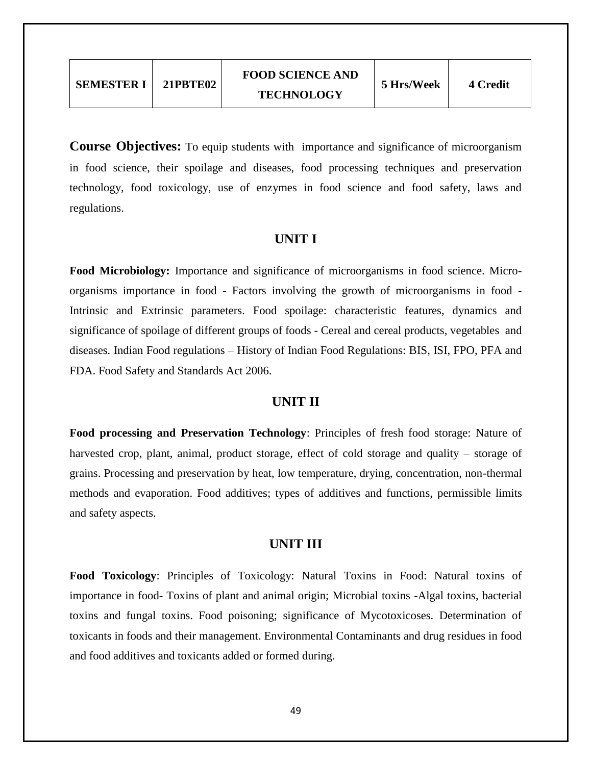**Course Objectives:** To equip students with importance and significance of microorganism in food science, their spoilage and diseases, food processing techniques and preservation technology, food toxicology, use of enzymes in food science and food safety, laws and regulations.

### **UNIT I**

**Food Microbiology:** Importance and significance of microorganisms in food science. Microorganisms importance in food - Factors involving the growth of microorganisms in food - Intrinsic and Extrinsic parameters. Food spoilage: characteristic features, dynamics and significance of spoilage of different groups of foods - Cereal and cereal products, vegetables and diseases. Indian Food regulations – History of Indian Food Regulations: BIS, ISI, FPO, PFA and FDA. Food Safety and Standards Act 2006.

### **UNIT II**

**Food processing and Preservation Technology**: Principles of fresh food storage: Nature of harvested crop, plant, animal, product storage, effect of cold storage and quality – storage of grains. Processing and preservation by heat, low temperature, drying, concentration, non-thermal methods and evaporation. Food additives; types of additives and functions, permissible limits and safety aspects.

# **UNIT III**

**Food Toxicology**: Principles of Toxicology: Natural Toxins in Food: Natural toxins of importance in food- Toxins of plant and animal origin; Microbial toxins -Algal toxins, bacterial toxins and fungal toxins. Food poisoning; significance of Mycotoxicoses. Determination of toxicants in foods and their management. Environmental Contaminants and drug residues in food and food additives and toxicants added or formed during.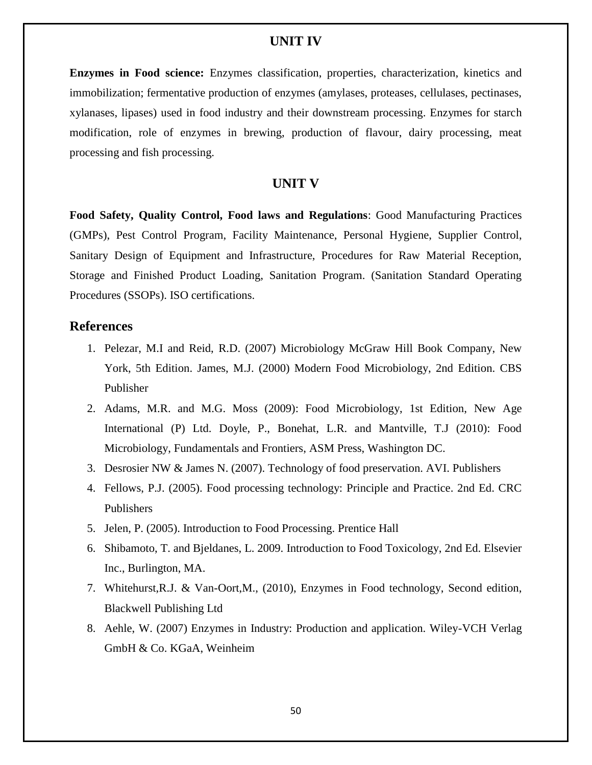### **UNIT IV**

**Enzymes in Food science:** Enzymes classification, properties, characterization, kinetics and immobilization; fermentative production of enzymes (amylases, proteases, cellulases, pectinases, xylanases, lipases) used in food industry and their downstream processing. Enzymes for starch modification, role of enzymes in brewing, production of flavour, dairy processing, meat processing and fish processing.

### **UNIT V**

**Food Safety, Quality Control, Food laws and Regulations**: Good Manufacturing Practices (GMPs), Pest Control Program, Facility Maintenance, Personal Hygiene, Supplier Control, Sanitary Design of Equipment and Infrastructure, Procedures for Raw Material Reception, Storage and Finished Product Loading, Sanitation Program. (Sanitation Standard Operating Procedures (SSOPs). ISO certifications.

#### **References**

- 1. Pelezar, M.I and Reid, R.D. (2007) Microbiology McGraw Hill Book Company, New York, 5th Edition. James, M.J. (2000) Modern Food Microbiology, 2nd Edition. CBS Publisher
- 2. Adams, M.R. and M.G. Moss (2009): Food Microbiology, 1st Edition, New Age International (P) Ltd. Doyle, P., Bonehat, L.R. and Mantville, T.J (2010): Food Microbiology, Fundamentals and Frontiers, ASM Press, Washington DC.
- 3. Desrosier NW & James N. (2007). Technology of food preservation. AVI. Publishers
- 4. Fellows, P.J. (2005). Food processing technology: Principle and Practice. 2nd Ed. CRC Publishers
- 5. Jelen, P. (2005). Introduction to Food Processing. Prentice Hall
- 6. Shibamoto, T. and Bjeldanes, L. 2009. Introduction to Food Toxicology, 2nd Ed. Elsevier Inc., Burlington, MA.
- 7. Whitehurst,R.J. & Van-Oort,M., (2010), Enzymes in Food technology, Second edition, Blackwell Publishing Ltd
- 8. Aehle, W. (2007) Enzymes in Industry: Production and application. Wiley-VCH Verlag GmbH & Co. KGaA, Weinheim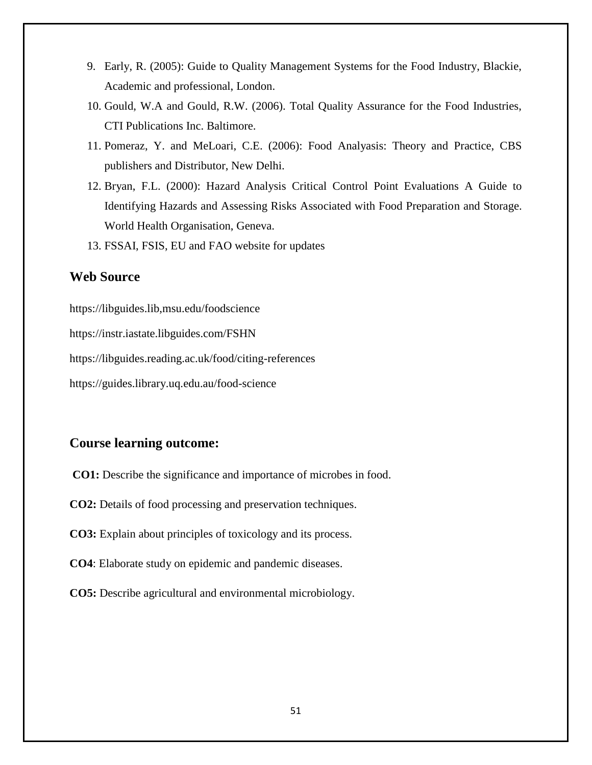- 9. Early, R. (2005): Guide to Quality Management Systems for the Food Industry, Blackie, Academic and professional, London.
- 10. Gould, W.A and Gould, R.W. (2006). Total Quality Assurance for the Food Industries, CTI Publications Inc. Baltimore.
- 11. Pomeraz, Y. and MeLoari, C.E. (2006): Food Analyasis: Theory and Practice, CBS publishers and Distributor, New Delhi.
- 12. Bryan, F.L. (2000): Hazard Analysis Critical Control Point Evaluations A Guide to Identifying Hazards and Assessing Risks Associated with Food Preparation and Storage. World Health Organisation, Geneva.
- 13. FSSAI, FSIS, EU and FAO website for updates

# **Web Source**

<https://libguides.lib,msu.edu/foodscience> <https://instr.iastate.libguides.com/FSHN> <https://libguides.reading.ac.uk/food/citing-references> https://guides.library.uq.edu.au/food-science

# **Course learning outcome:**

- **CO1:** Describe the significance and importance of microbes in food.
- **CO2:** Details of food processing and preservation techniques.
- **CO3:** Explain about principles of toxicology and its process.
- **CO4**: Elaborate study on epidemic and pandemic diseases.
- **CO5:** Describe agricultural and environmental microbiology.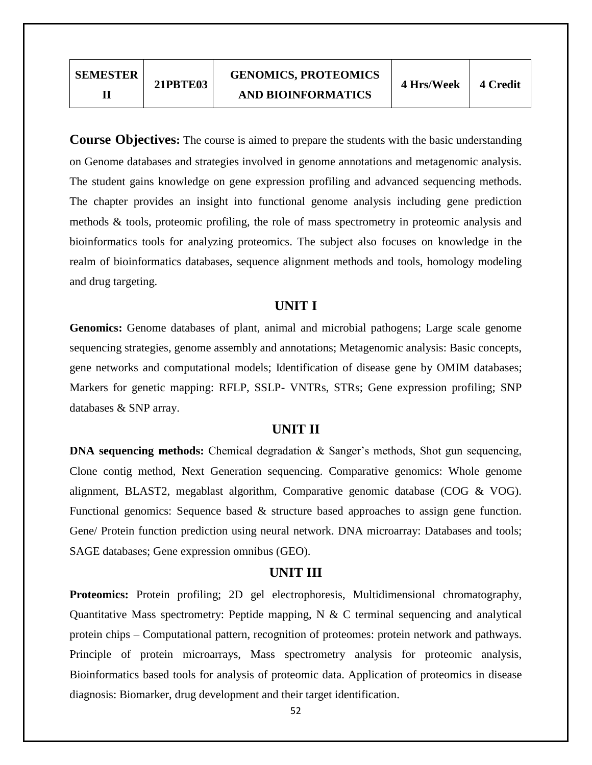**Course Objectives:** The course is aimed to prepare the students with the basic understanding on Genome databases and strategies involved in genome annotations and metagenomic analysis. The student gains knowledge on gene expression profiling and advanced sequencing methods. The chapter provides an insight into functional genome analysis including gene prediction methods & tools, proteomic profiling, the role of mass spectrometry in proteomic analysis and bioinformatics tools for analyzing proteomics. The subject also focuses on knowledge in the realm of bioinformatics databases, sequence alignment methods and tools, homology modeling and drug targeting.

### **UNIT I**

**Genomics:** Genome databases of plant, animal and microbial pathogens; Large scale genome sequencing strategies, genome assembly and annotations; Metagenomic analysis: Basic concepts, gene networks and computational models; Identification of disease gene by OMIM databases; Markers for genetic mapping: RFLP, SSLP- VNTRs, STRs; Gene expression profiling; SNP databases & SNP array.

# **UNIT II**

**DNA sequencing methods:** Chemical degradation & Sanger's methods, Shot gun sequencing, Clone contig method, Next Generation sequencing. Comparative genomics: Whole genome alignment, BLAST2, megablast algorithm, Comparative genomic database (COG & VOG). Functional genomics: Sequence based & structure based approaches to assign gene function. Gene/ Protein function prediction using neural network. DNA microarray: Databases and tools; SAGE databases; Gene expression omnibus (GEO).

# **UNIT III**

**Proteomics:** Protein profiling; 2D gel electrophoresis, Multidimensional chromatography, Quantitative Mass spectrometry: Peptide mapping,  $N \& C$  terminal sequencing and analytical protein chips – Computational pattern, recognition of proteomes: protein network and pathways. Principle of protein microarrays, Mass spectrometry analysis for proteomic analysis, Bioinformatics based tools for analysis of proteomic data. Application of proteomics in disease diagnosis: Biomarker, drug development and their target identification.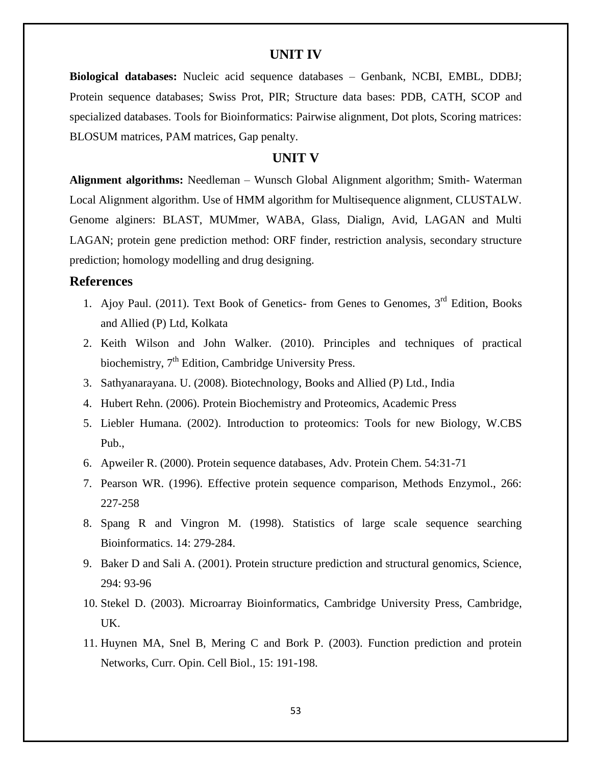### **UNIT IV**

**Biological databases:** Nucleic acid sequence databases – Genbank, NCBI, EMBL, DDBJ; Protein sequence databases; Swiss Prot, PIR; Structure data bases: PDB, CATH, SCOP and specialized databases. Tools for Bioinformatics: Pairwise alignment, Dot plots, Scoring matrices: BLOSUM matrices, PAM matrices, Gap penalty.

#### **UNIT V**

**Alignment algorithms:** Needleman – Wunsch Global Alignment algorithm; Smith- Waterman Local Alignment algorithm. Use of HMM algorithm for Multisequence alignment, CLUSTALW. Genome alginers: BLAST, MUMmer, WABA, Glass, Dialign, Avid, LAGAN and Multi LAGAN; protein gene prediction method: ORF finder, restriction analysis, secondary structure prediction; homology modelling and drug designing.

#### **References**

- 1. Ajoy Paul. (2011). Text Book of Genetics- from Genes to Genomes,  $3<sup>rd</sup>$  Edition, Books and Allied (P) Ltd, Kolkata
- 2. Keith Wilson and John Walker. (2010). Principles and techniques of practical biochemistry,  $7<sup>th</sup>$  Edition, Cambridge University Press.
- 3. Sathyanarayana. U. (2008). Biotechnology, Books and Allied (P) Ltd., India
- 4. Hubert Rehn. (2006). Protein Biochemistry and Proteomics, Academic Press
- 5. Liebler Humana. (2002). Introduction to proteomics: Tools for new Biology, W.CBS Pub.,
- 6. Apweiler R. (2000). Protein sequence databases, Adv. Protein Chem. 54:31-71
- 7. Pearson WR. (1996). Effective protein sequence comparison, Methods Enzymol., 266: 227-258
- 8. Spang R and Vingron M. (1998). Statistics of large scale sequence searching Bioinformatics. 14: 279-284.
- 9. Baker D and Sali A. (2001). Protein structure prediction and structural genomics, Science, 294: 93-96
- 10. Stekel D. (2003). Microarray Bioinformatics, Cambridge University Press, Cambridge, UK.
- 11. Huynen MA, Snel B, Mering C and Bork P. (2003). Function prediction and protein Networks, Curr. Opin. Cell Biol., 15: 191-198.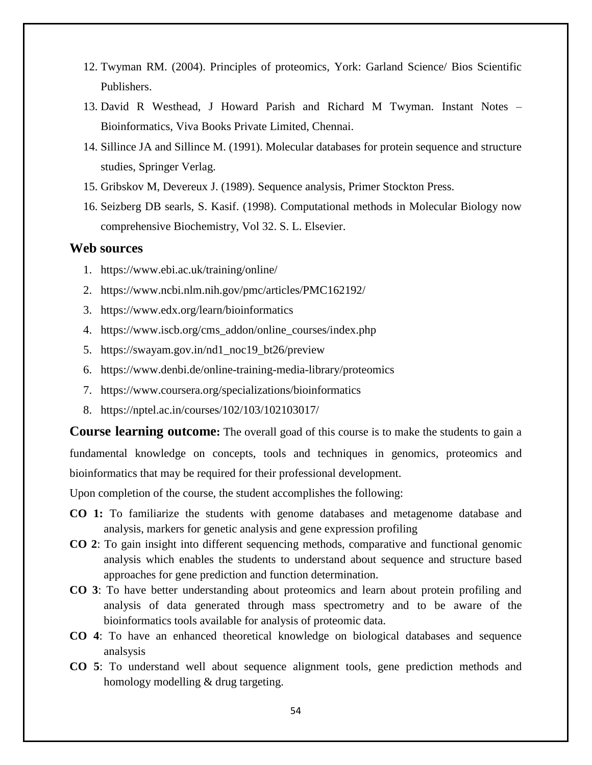- 12. Twyman RM. (2004). Principles of proteomics, York: Garland Science/ Bios Scientific Publishers.
- 13. David R Westhead, J Howard Parish and Richard M Twyman. Instant Notes Bioinformatics, Viva Books Private Limited, Chennai.
- 14. Sillince JA and Sillince M. (1991). Molecular databases for protein sequence and structure studies, Springer Verlag.
- 15. Gribskov M, Devereux J. (1989). Sequence analysis, Primer Stockton Press.
- 16. Seizberg DB searls, S. Kasif. (1998). Computational methods in Molecular Biology now comprehensive Biochemistry, Vol 32. S. L. Elsevier.

### **Web sources**

- 1. <https://www.ebi.ac.uk/training/online/>
- 2. <https://www.ncbi.nlm.nih.gov/pmc/articles/PMC162192/>
- 3. <https://www.edx.org/learn/bioinformatics>
- 4. [https://www.iscb.org/cms\\_addon/online\\_courses/index.php](https://www.iscb.org/cms_addon/online_courses/index.php)
- 5. [https://swayam.gov.in/nd1\\_noc19\\_bt26/preview](https://swayam.gov.in/nd1_noc19_bt26/preview)
- 6. <https://www.denbi.de/online-training-media-library/proteomics>
- 7. <https://www.coursera.org/specializations/bioinformatics>
- 8. <https://nptel.ac.in/courses/102/103/102103017/>

**Course learning outcome:** The overall goad of this course is to make the students to gain a fundamental knowledge on concepts, tools and techniques in genomics, proteomics and bioinformatics that may be required for their professional development.

Upon completion of the course, the student accomplishes the following:

- **CO 1:** To familiarize the students with genome databases and metagenome database and analysis, markers for genetic analysis and gene expression profiling
- **CO 2**: To gain insight into different sequencing methods, comparative and functional genomic analysis which enables the students to understand about sequence and structure based approaches for gene prediction and function determination.
- **CO 3**: To have better understanding about proteomics and learn about protein profiling and analysis of data generated through mass spectrometry and to be aware of the bioinformatics tools available for analysis of proteomic data.
- **CO 4**: To have an enhanced theoretical knowledge on biological databases and sequence analsysis
- **CO 5**: To understand well about sequence alignment tools, gene prediction methods and homology modelling & drug targeting.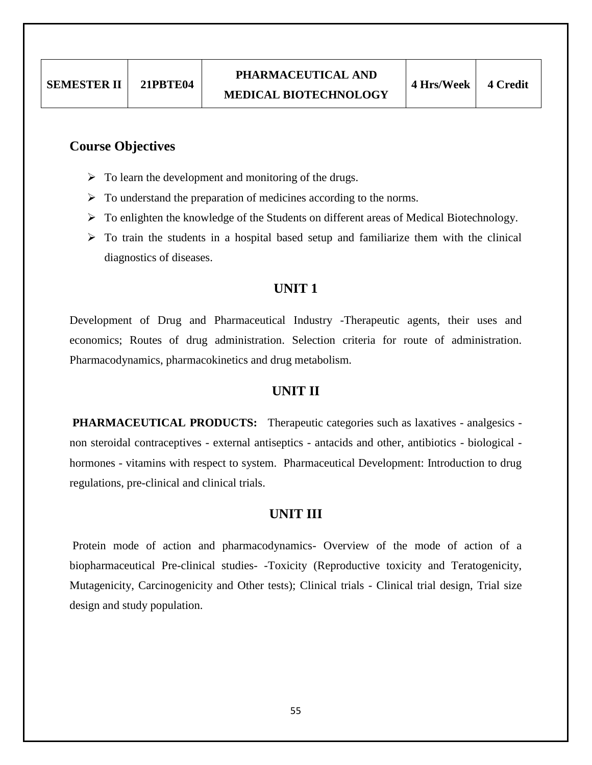# **Course Objectives**

- $\triangleright$  To learn the development and monitoring of the drugs.
- $\triangleright$  To understand the preparation of medicines according to the norms.
- > To enlighten the knowledge of the Students on different areas of Medical Biotechnology.
- $\triangleright$  To train the students in a hospital based setup and familiarize them with the clinical diagnostics of diseases.

### **UNIT 1**

Development of Drug and Pharmaceutical Industry -Therapeutic agents, their uses and economics; Routes of drug administration. Selection criteria for route of administration. Pharmacodynamics, pharmacokinetics and drug metabolism.

### **UNIT II**

**PHARMACEUTICAL PRODUCTS:** Therapeutic categories such as laxatives - analgesics non steroidal contraceptives - external antiseptics - antacids and other, antibiotics - biological hormones - vitamins with respect to system. Pharmaceutical Development: Introduction to drug regulations, pre-clinical and clinical trials.

### **UNIT III**

Protein mode of action and pharmacodynamics- Overview of the mode of action of a biopharmaceutical Pre-clinical studies- -Toxicity (Reproductive toxicity and Teratogenicity, Mutagenicity, Carcinogenicity and Other tests); Clinical trials - Clinical trial design, Trial size design and study population.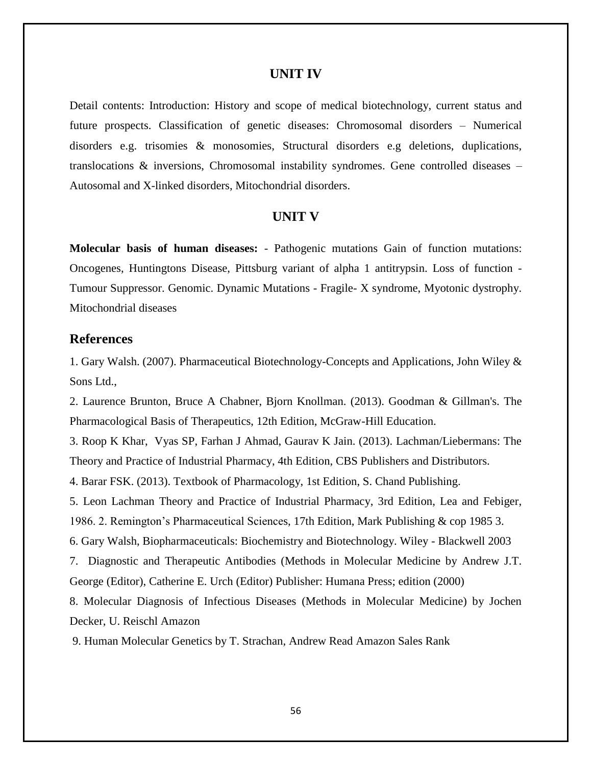#### **UNIT IV**

Detail contents: Introduction: History and scope of medical biotechnology, current status and future prospects. Classification of genetic diseases: Chromosomal disorders – Numerical disorders e.g. trisomies & monosomies, Structural disorders e.g deletions, duplications, translocations  $\&$  inversions, Chromosomal instability syndromes. Gene controlled diseases – Autosomal and X-linked disorders, Mitochondrial disorders.

#### **UNIT V**

**Molecular basis of human diseases:** - Pathogenic mutations Gain of function mutations: Oncogenes, Huntingtons Disease, Pittsburg variant of alpha 1 antitrypsin. Loss of function - Tumour Suppressor. Genomic. Dynamic Mutations - Fragile- X syndrome, Myotonic dystrophy. Mitochondrial diseases

#### **References**

1. Gary Walsh. (2007). Pharmaceutical Biotechnology-Concepts and Applications, John Wiley & Sons Ltd.,

2. Laurence Brunton, Bruce A Chabner, Bjorn Knollman. (2013). Goodman & Gillman's. The Pharmacological Basis of Therapeutics, 12th Edition, McGraw-Hill Education.

3. Roop K Khar, Vyas SP, Farhan J Ahmad, Gaurav K Jain. (2013). Lachman/Liebermans: The Theory and Practice of Industrial Pharmacy, 4th Edition, CBS Publishers and Distributors.

4. Barar FSK. (2013). Textbook of Pharmacology, 1st Edition, S. Chand Publishing.

5. Leon Lachman Theory and Practice of Industrial Pharmacy, 3rd Edition, Lea and Febiger,

1986. 2. Remington"s Pharmaceutical Sciences, 17th Edition, Mark Publishing & cop 1985 3.

6. Gary Walsh, Biopharmaceuticals: Biochemistry and Biotechnology. Wiley - Blackwell 2003

7. Diagnostic and Therapeutic Antibodies (Methods in Molecular Medicine by Andrew J.T. George (Editor), Catherine E. Urch (Editor) Publisher: Humana Press; edition (2000)

8. Molecular Diagnosis of Infectious Diseases (Methods in Molecular Medicine) by Jochen Decker, U. Reischl Amazon

9. Human Molecular Genetics by T. Strachan, Andrew Read Amazon Sales Rank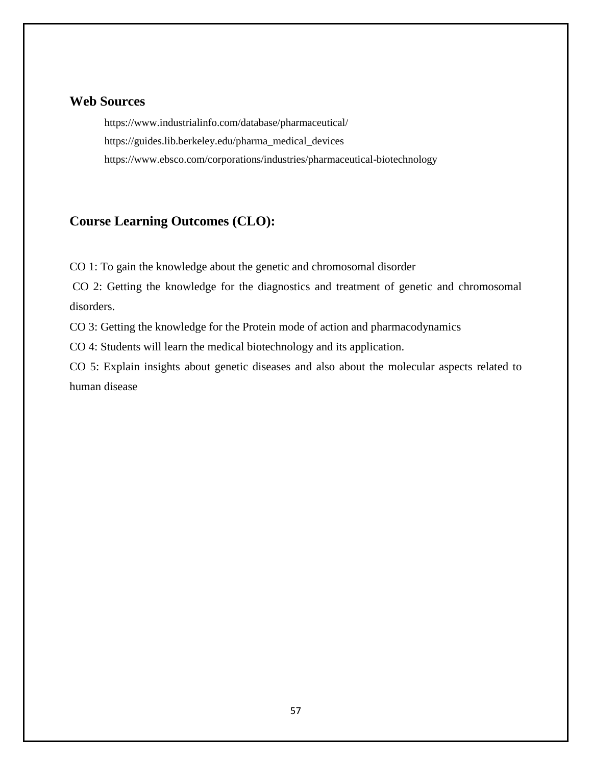### **Web Sources**

<https://www.industrialinfo.com/database/pharmaceutical/> [https://guides.lib.berkeley.edu/pharma\\_medical\\_devices](https://guides.lib.berkeley.edu/pharma_medical_devices) <https://www.ebsco.com/corporations/industries/pharmaceutical-biotechnology>

# **Course Learning Outcomes (CLO):**

CO 1: To gain the knowledge about the genetic and chromosomal disorder

CO 2: Getting the knowledge for the diagnostics and treatment of genetic and chromosomal disorders.

CO 3: Getting the knowledge for the Protein mode of action and pharmacodynamics

CO 4: Students will learn the medical biotechnology and its application.

CO 5: Explain insights about genetic diseases and also about the molecular aspects related to human disease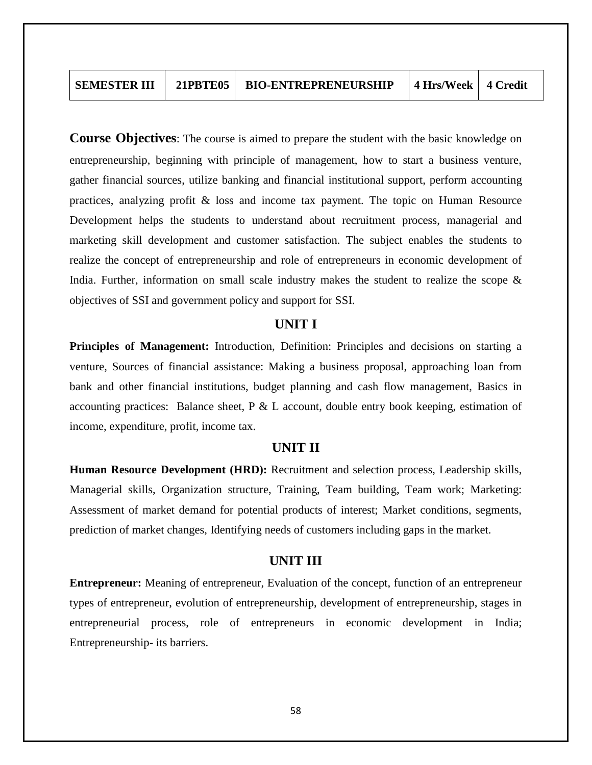**Course Objectives**: The course is aimed to prepare the student with the basic knowledge on entrepreneurship, beginning with principle of management, how to start a business venture, gather financial sources, utilize banking and financial institutional support, perform accounting practices, analyzing profit & loss and income tax payment. The topic on Human Resource Development helps the students to understand about recruitment process, managerial and marketing skill development and customer satisfaction. The subject enables the students to realize the concept of entrepreneurship and role of entrepreneurs in economic development of India. Further, information on small scale industry makes the student to realize the scope & objectives of SSI and government policy and support for SSI.

#### **UNIT I**

**Principles of Management:** Introduction, Definition: Principles and decisions on starting a venture, Sources of financial assistance: Making a business proposal, approaching loan from bank and other financial institutions, budget planning and cash flow management, Basics in accounting practices: Balance sheet, P & L account, double entry book keeping, estimation of income, expenditure, profit, income tax.

### **UNIT II**

**Human Resource Development (HRD):** Recruitment and selection process, Leadership skills, Managerial skills, Organization structure, Training, Team building, Team work; Marketing: Assessment of market demand for potential products of interest; Market conditions, segments, prediction of market changes, Identifying needs of customers including gaps in the market.

#### **UNIT III**

**Entrepreneur:** Meaning of entrepreneur, Evaluation of the concept, function of an entrepreneur types of entrepreneur, evolution of entrepreneurship, development of entrepreneurship, stages in entrepreneurial process, role of entrepreneurs in economic development in India; Entrepreneurship- its barriers.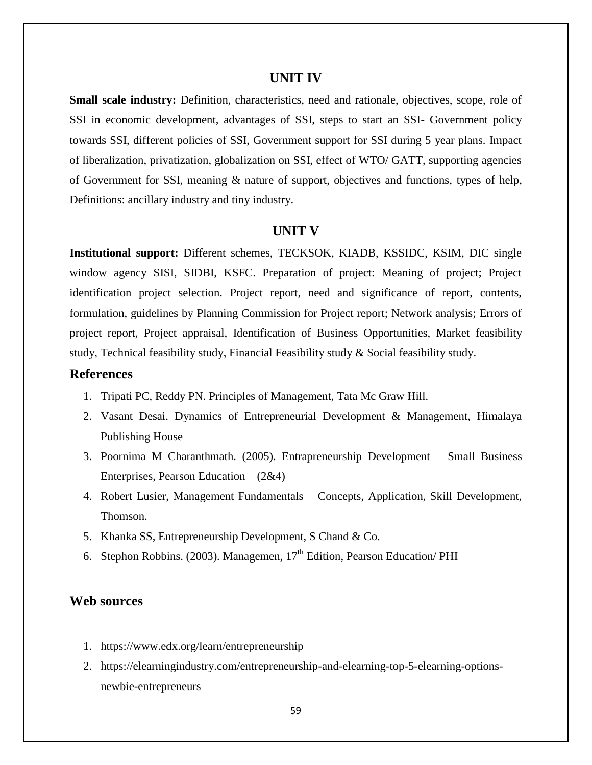#### **UNIT IV**

**Small scale industry:** Definition, characteristics, need and rationale, objectives, scope, role of SSI in economic development, advantages of SSI, steps to start an SSI- Government policy towards SSI, different policies of SSI, Government support for SSI during 5 year plans. Impact of liberalization, privatization, globalization on SSI, effect of WTO/ GATT, supporting agencies of Government for SSI, meaning & nature of support, objectives and functions, types of help, Definitions: ancillary industry and tiny industry.

#### **UNIT V**

**Institutional support:** Different schemes, TECKSOK, KIADB, KSSIDC, KSIM, DIC single window agency SISI, SIDBI, KSFC. Preparation of project: Meaning of project; Project identification project selection. Project report, need and significance of report, contents, formulation, guidelines by Planning Commission for Project report; Network analysis; Errors of project report, Project appraisal, Identification of Business Opportunities, Market feasibility study, Technical feasibility study, Financial Feasibility study & Social feasibility study.

### **References**

- 1. Tripati PC, Reddy PN. Principles of Management, Tata Mc Graw Hill.
- 2. Vasant Desai. Dynamics of Entrepreneurial Development & Management, Himalaya Publishing House
- 3. Poornima M Charanthmath. (2005). Entrapreneurship Development Small Business Enterprises, Pearson Education – (2&4)
- 4. Robert Lusier, Management Fundamentals Concepts, Application, Skill Development, Thomson.
- 5. Khanka SS, Entrepreneurship Development, S Chand & Co.
- 6. Stephon Robbins. (2003). Managemen,  $17<sup>th</sup>$  Edition, Pearson Education/ PHI

### **Web sources**

- 1. <https://www.edx.org/learn/entrepreneurship>
- 2. [https://elearningindustry.com/entrepreneurship-and-elearning-top-5-elearning-options](https://elearningindustry.com/entrepreneurship-and-elearning-top-5-elearning-options-newbie-entrepreneurs)[newbie-entrepreneurs](https://elearningindustry.com/entrepreneurship-and-elearning-top-5-elearning-options-newbie-entrepreneurs)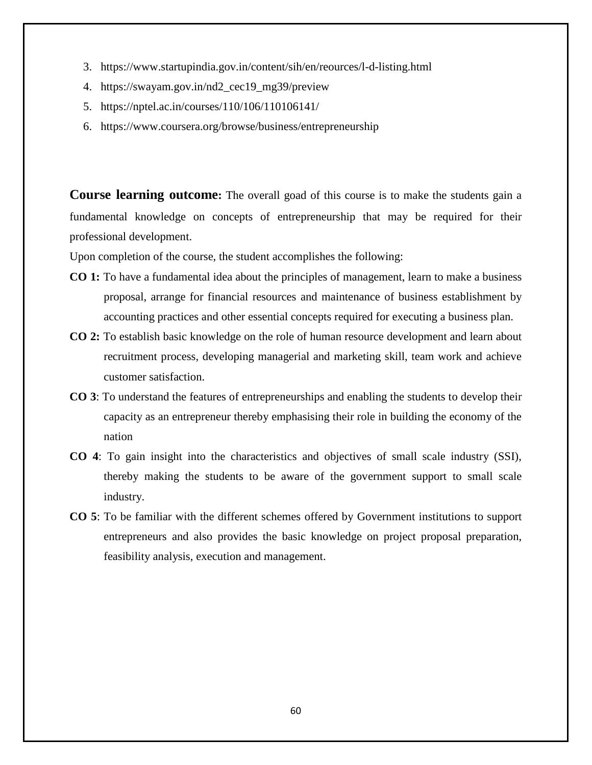- 3. <https://www.startupindia.gov.in/content/sih/en/reources/l-d-listing.html>
- 4. [https://swayam.gov.in/nd2\\_cec19\\_mg39/preview](https://swayam.gov.in/nd2_cec19_mg39/preview)
- 5. <https://nptel.ac.in/courses/110/106/110106141/>
- 6. <https://www.coursera.org/browse/business/entrepreneurship>

**Course learning outcome:** The overall goad of this course is to make the students gain a fundamental knowledge on concepts of entrepreneurship that may be required for their professional development.

Upon completion of the course, the student accomplishes the following:

- **CO 1:** To have a fundamental idea about the principles of management, learn to make a business proposal, arrange for financial resources and maintenance of business establishment by accounting practices and other essential concepts required for executing a business plan.
- **CO 2:** To establish basic knowledge on the role of human resource development and learn about recruitment process, developing managerial and marketing skill, team work and achieve customer satisfaction.
- **CO 3**: To understand the features of entrepreneurships and enabling the students to develop their capacity as an entrepreneur thereby emphasising their role in building the economy of the nation
- **CO 4**: To gain insight into the characteristics and objectives of small scale industry (SSI), thereby making the students to be aware of the government support to small scale industry.
- **CO 5**: To be familiar with the different schemes offered by Government institutions to support entrepreneurs and also provides the basic knowledge on project proposal preparation, feasibility analysis, execution and management.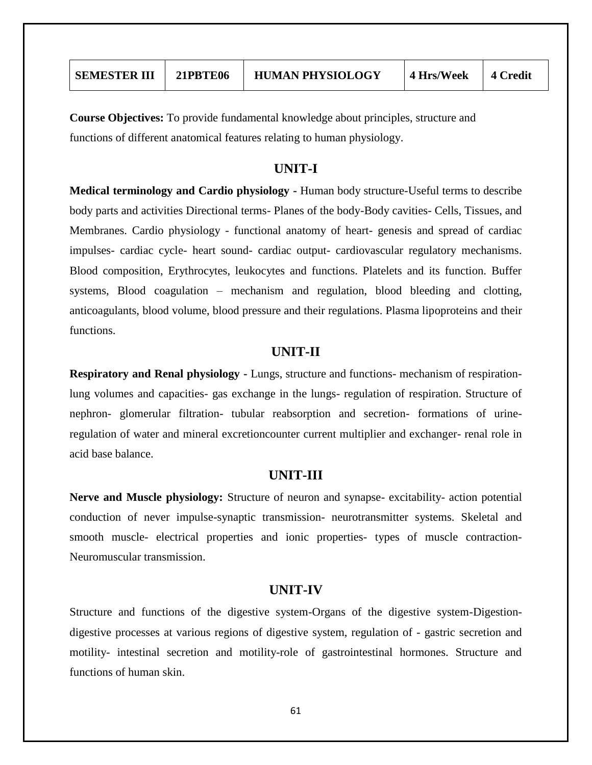| <b>SEMESTER III</b> | <b>21PBTE06</b> | <b>HUMAN PHYSIOLOGY</b> | 4 Hrs/Week | 4 Credit |
|---------------------|-----------------|-------------------------|------------|----------|
|                     |                 |                         |            |          |

**Course Objectives:** To provide fundamental knowledge about principles, structure and functions of different anatomical features relating to human physiology.

### **UNIT-I**

**Medical terminology and Cardio physiology -** Human body structure-Useful terms to describe body parts and activities Directional terms- Planes of the body-Body cavities- Cells, Tissues, and Membranes. Cardio physiology - functional anatomy of heart- genesis and spread of cardiac impulses- cardiac cycle- heart sound- cardiac output- cardiovascular regulatory mechanisms. Blood composition, Erythrocytes, leukocytes and functions. Platelets and its function. Buffer systems, Blood coagulation – mechanism and regulation, blood bleeding and clotting, anticoagulants, blood volume, blood pressure and their regulations. Plasma lipoproteins and their functions.

#### **UNIT-II**

**Respiratory and Renal physiology -** Lungs, structure and functions- mechanism of respirationlung volumes and capacities- gas exchange in the lungs- regulation of respiration. Structure of nephron- glomerular filtration- tubular reabsorption and secretion- formations of urineregulation of water and mineral excretioncounter current multiplier and exchanger- renal role in acid base balance.

### **UNIT-III**

**Nerve and Muscle physiology:** Structure of neuron and synapse- excitability- action potential conduction of never impulse-synaptic transmission- neurotransmitter systems. Skeletal and smooth muscle- electrical properties and ionic properties- types of muscle contraction-Neuromuscular transmission.

#### **UNIT-IV**

Structure and functions of the digestive system-Organs of the digestive system-Digestiondigestive processes at various regions of digestive system, regulation of - gastric secretion and motility- intestinal secretion and motility-role of gastrointestinal hormones. Structure and functions of human skin.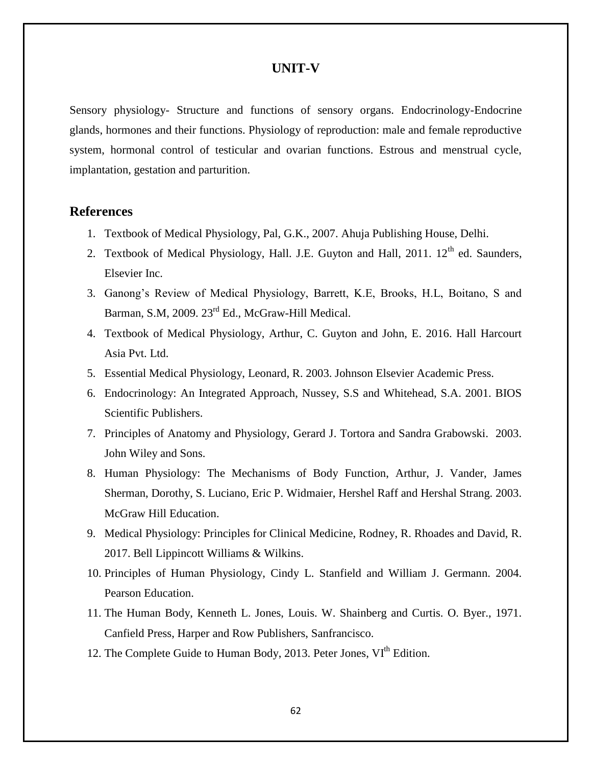### **UNIT-V**

Sensory physiology- Structure and functions of sensory organs. Endocrinology-Endocrine glands, hormones and their functions. Physiology of reproduction: male and female reproductive system, hormonal control of testicular and ovarian functions. Estrous and menstrual cycle, implantation, gestation and parturition.

### **References**

- 1. Textbook of Medical Physiology, Pal, G.K., 2007. Ahuja Publishing House, Delhi.
- 2. Textbook of Medical Physiology, Hall. J.E. Guyton and Hall,  $2011$ .  $12<sup>th</sup>$  ed. Saunders, Elsevier Inc.
- 3. Ganong"s Review of Medical Physiology, Barrett, K.E, Brooks, H.L, Boitano, S and Barman, S.M, 2009. 23<sup>rd</sup> Ed., McGraw-Hill Medical.
- 4. Textbook of Medical Physiology, Arthur, C. Guyton and John, E. 2016. Hall Harcourt Asia Pvt. Ltd.
- 5. Essential Medical Physiology, Leonard, R. 2003. Johnson Elsevier Academic Press.
- 6. Endocrinology: An Integrated Approach, Nussey, S.S and Whitehead, S.A. 2001. BIOS Scientific Publishers.
- 7. Principles of Anatomy and Physiology, Gerard J. Tortora and Sandra Grabowski. 2003. John Wiley and Sons.
- 8. Human Physiology: The Mechanisms of Body Function, Arthur, J. Vander, James Sherman, Dorothy, S. Luciano, Eric P. Widmaier, Hershel Raff and Hershal Strang. 2003. McGraw Hill Education.
- 9. Medical Physiology: Principles for Clinical Medicine, Rodney, R. Rhoades and David, R. 2017. Bell Lippincott Williams & Wilkins.
- 10. Principles of Human Physiology, Cindy L. Stanfield and William J. Germann. 2004. Pearson Education.
- 11. The Human Body, Kenneth L. Jones, Louis. W. Shainberg and Curtis. O. Byer., 1971. Canfield Press, Harper and Row Publishers, Sanfrancisco.
- 12. The Complete Guide to Human Body, 2013. Peter Jones, VI<sup>th</sup> Edition.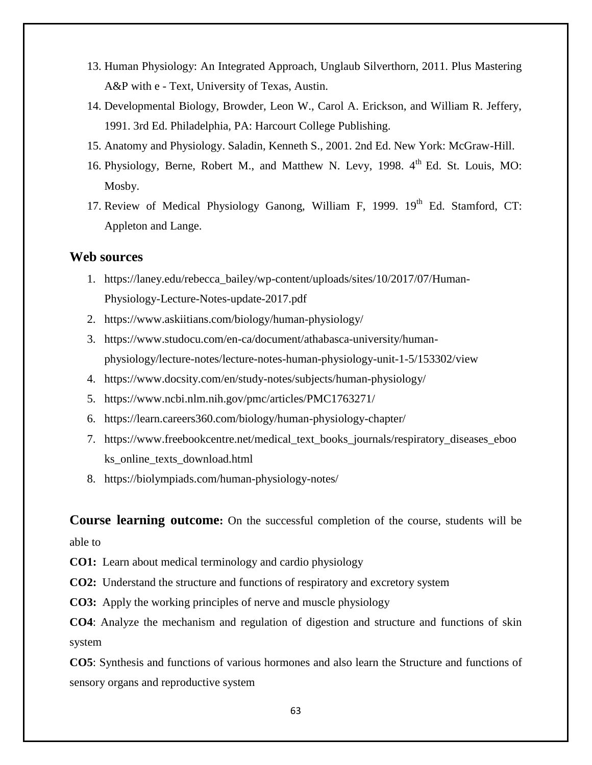- 13. Human Physiology: An Integrated Approach, Unglaub Silverthorn, 2011. Plus Mastering A&P with e - Text, University of Texas, Austin.
- 14. Developmental Biology, Browder, Leon W., Carol A. Erickson, and William R. Jeffery, 1991. 3rd Ed. Philadelphia, PA: Harcourt College Publishing.
- 15. Anatomy and Physiology. Saladin, Kenneth S., 2001. 2nd Ed. New York: McGraw-Hill.
- 16. Physiology, Berne, Robert M., and Matthew N. Levy, 1998. 4<sup>th</sup> Ed. St. Louis, MO: Mosby.
- 17. Review of Medical Physiology Ganong, William F, 1999.  $19<sup>th</sup>$  Ed. Stamford, CT: Appleton and Lange.

### **Web sources**

- 1. [https://laney.edu/rebecca\\_bailey/wp-content/uploads/sites/10/2017/07/Human-](https://laney.edu/rebecca_bailey/wp-content/uploads/sites/10/2017/07/Human-Physiology-Lecture-Notes-update-2017.pdf)[Physiology-Lecture-Notes-update-2017.pdf](https://laney.edu/rebecca_bailey/wp-content/uploads/sites/10/2017/07/Human-Physiology-Lecture-Notes-update-2017.pdf)
- 2. <https://www.askiitians.com/biology/human-physiology/>
- 3. [https://www.studocu.com/en-ca/document/athabasca-university/human](https://www.studocu.com/en-ca/document/athabasca-university/human-physiology/lecture-notes/lecture-notes-human-physiology-unit-1-5/153302/view)[physiology/lecture-notes/lecture-notes-human-physiology-unit-1-5/153302/view](https://www.studocu.com/en-ca/document/athabasca-university/human-physiology/lecture-notes/lecture-notes-human-physiology-unit-1-5/153302/view)
- 4. <https://www.docsity.com/en/study-notes/subjects/human-physiology/>
- 5. <https://www.ncbi.nlm.nih.gov/pmc/articles/PMC1763271/>
- 6. <https://learn.careers360.com/biology/human-physiology-chapter/>
- 7. [https://www.freebookcentre.net/medical\\_text\\_books\\_journals/respiratory\\_diseases\\_eboo](https://www.freebookcentre.net/medical_text_books_journals/respiratory_diseases_ebooks_online_texts_download.html) [ks\\_online\\_texts\\_download.html](https://www.freebookcentre.net/medical_text_books_journals/respiratory_diseases_ebooks_online_texts_download.html)
- 8. <https://biolympiads.com/human-physiology-notes/>

**Course learning outcome:** On the successful completion of the course, students will be

able to

**CO1:** Learn about medical terminology and cardio physiology

**CO2:** Understand the structure and functions of respiratory and excretory system

**CO3:** Apply the working principles of nerve and muscle physiology

**CO4**: Analyze the mechanism and regulation of digestion and structure and functions of skin system

**CO5**: Synthesis and functions of various hormones and also learn the Structure and functions of sensory organs and reproductive system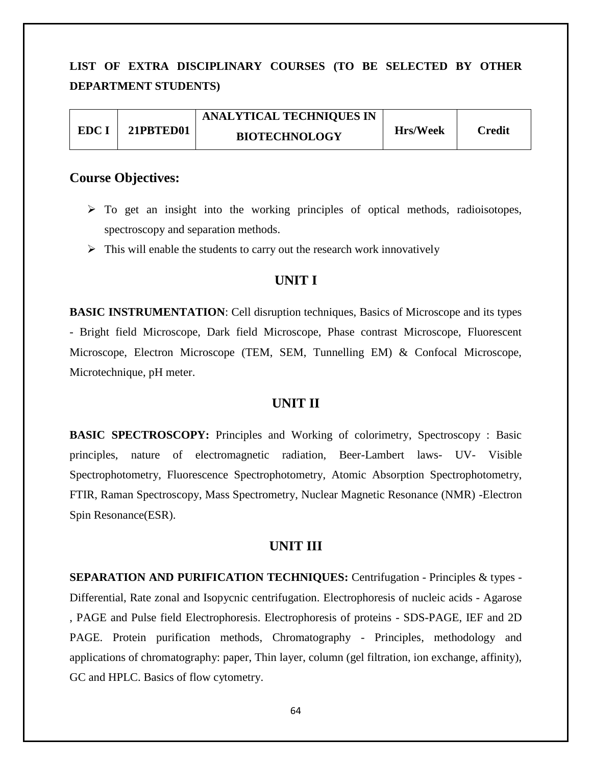# **LIST OF EXTRA DISCIPLINARY COURSES (TO BE SELECTED BY OTHER DEPARTMENT STUDENTS)**

|       |           | <b>ANALYTICAL TECHNIQUES IN</b> |                 |        |
|-------|-----------|---------------------------------|-----------------|--------|
| EDC I | 21PBTED01 | <b>BIOTECHNOLOGY</b>            | <b>Hrs/Week</b> | Credit |

### **Course Objectives:**

- $\triangleright$  To get an insight into the working principles of optical methods, radioisotopes, spectroscopy and separation methods.
- $\triangleright$  This will enable the students to carry out the research work innovatively

### **UNIT I**

**BASIC INSTRUMENTATION:** Cell disruption techniques, Basics of Microscope and its types - Bright field Microscope, Dark field Microscope, Phase contrast Microscope, Fluorescent Microscope, Electron Microscope (TEM, SEM, Tunnelling EM) & Confocal Microscope, Microtechnique, pH meter.

#### **UNIT II**

**BASIC SPECTROSCOPY:** Principles and Working of colorimetry, Spectroscopy : Basic principles, nature of electromagnetic radiation, Beer-Lambert laws- UV- Visible Spectrophotometry, Fluorescence Spectrophotometry, Atomic Absorption Spectrophotometry, FTIR, Raman Spectroscopy, Mass Spectrometry, Nuclear Magnetic Resonance (NMR) -Electron Spin Resonance(ESR).

#### **UNIT III**

**SEPARATION AND PURIFICATION TECHNIQUES:** Centrifugation - Principles & types - Differential, Rate zonal and Isopycnic centrifugation. Electrophoresis of nucleic acids - Agarose , PAGE and Pulse field Electrophoresis. Electrophoresis of proteins - SDS-PAGE, IEF and 2D PAGE. Protein purification methods, Chromatography - Principles, methodology and applications of chromatography: paper, Thin layer, column (gel filtration, ion exchange, affinity), GC and HPLC. Basics of flow cytometry.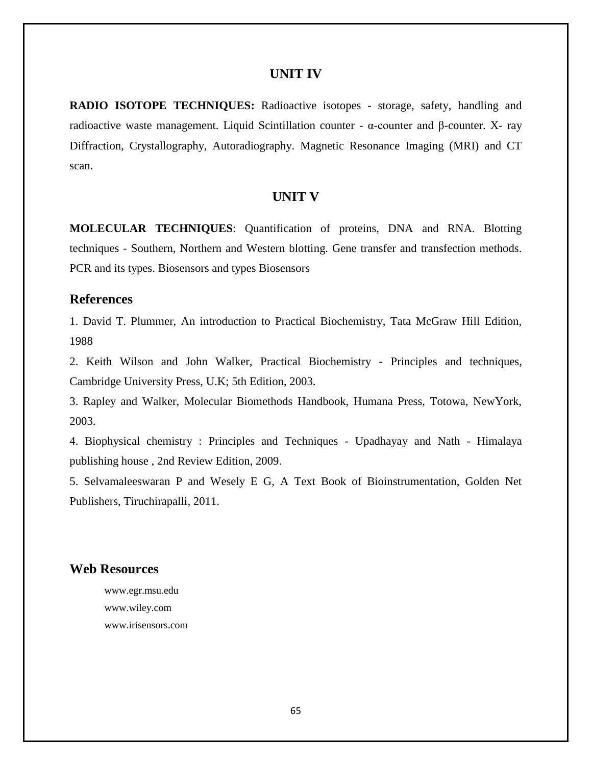#### **UNIT IV**

**RADIO ISOTOPE TECHNIQUES:** Radioactive isotopes - storage, safety, handling and radioactive waste management. Liquid Scintillation counter - α-counter and β-counter. X- ray Diffraction, Crystallography, Autoradiography. Magnetic Resonance Imaging (MRI) and CT scan.

### **UNIT V**

**MOLECULAR TECHNIQUES**: Quantification of proteins, DNA and RNA. Blotting techniques - Southern, Northern and Western blotting. Gene transfer and transfection methods. PCR and its types. Biosensors and types Biosensors

# **References**

1. David T. Plummer, An introduction to Practical Biochemistry, Tata McGraw Hill Edition, 1988

2. Keith Wilson and John Walker, Practical Biochemistry - Principles and techniques, Cambridge University Press, U.K; 5th Edition, 2003.

3. Rapley and Walker, Molecular Biomethods Handbook, Humana Press, Totowa, NewYork, 2003.

4. Biophysical chemistry : Principles and Techniques - Upadhayay and Nath - Himalaya publishing house , 2nd Review Edition, 2009.

5. Selvamaleeswaran P and Wesely E G, A Text Book of Bioinstrumentation, Golden Net Publishers, Tiruchirapalli, 2011.

### **Web Resources**

www.egr.msu.edu www.wiley.com www.irisensors.com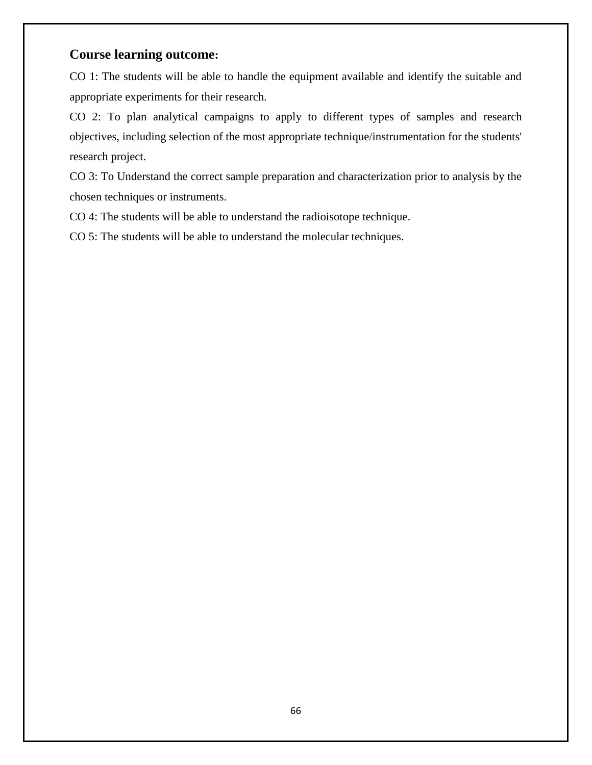# **Course learning outcome:**

CO 1: The students will be able to handle the equipment available and identify the suitable and appropriate experiments for their research.

CO 2: To plan analytical campaigns to apply to different types of samples and research objectives, including selection of the most appropriate technique/instrumentation for the students' research project.

CO 3: To Understand the correct sample preparation and characterization prior to analysis by the chosen techniques or instruments.

CO 4: The students will be able to understand the radioisotope technique.

CO 5: The students will be able to understand the molecular techniques.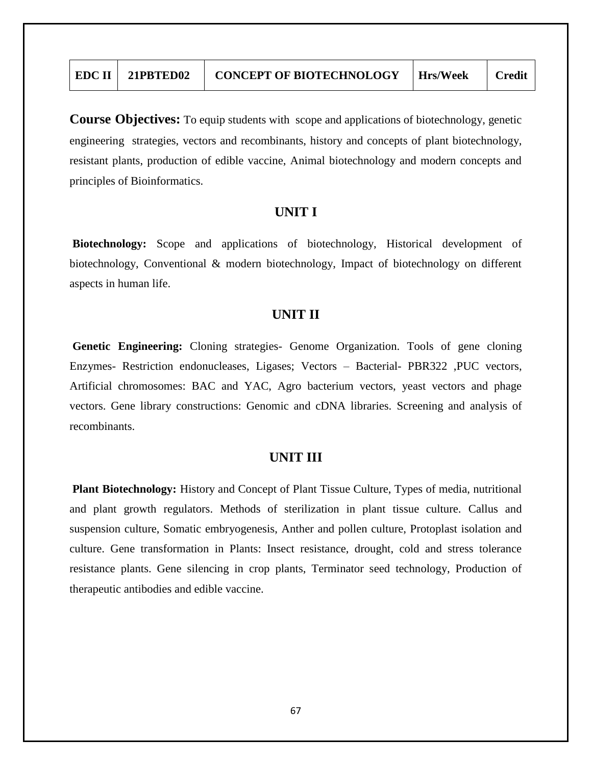| $EDC II$   21PBTED02 | <b>CONCEPT OF BIOTECHNOLOGY</b> | Hrs/Week | <b>Credit</b> |
|----------------------|---------------------------------|----------|---------------|
|                      |                                 |          |               |

**Course Objectives:** To equip students with scope and applications of biotechnology, genetic engineering strategies, vectors and recombinants, history and concepts of plant biotechnology, resistant plants, production of edible vaccine, Animal biotechnology and modern concepts and principles of Bioinformatics.

### **UNIT I**

**Biotechnology:** Scope and applications of biotechnology, Historical development of biotechnology, Conventional & modern biotechnology, Impact of biotechnology on different aspects in human life.

### **UNIT II**

**Genetic Engineering:** Cloning strategies- Genome Organization. Tools of gene cloning Enzymes- Restriction endonucleases, Ligases; Vectors – Bacterial- PBR322 ,PUC vectors, Artificial chromosomes: BAC and YAC, Agro bacterium vectors, yeast vectors and phage vectors. Gene library constructions: Genomic and cDNA libraries. Screening and analysis of recombinants.

### **UNIT III**

**Plant Biotechnology:** History and Concept of Plant Tissue Culture, Types of media, nutritional and plant growth regulators. Methods of sterilization in plant tissue culture. Callus and suspension culture, Somatic embryogenesis, Anther and pollen culture, Protoplast isolation and culture. Gene transformation in Plants: Insect resistance, drought, cold and stress tolerance resistance plants. Gene silencing in crop plants, Terminator seed technology, Production of therapeutic antibodies and edible vaccine.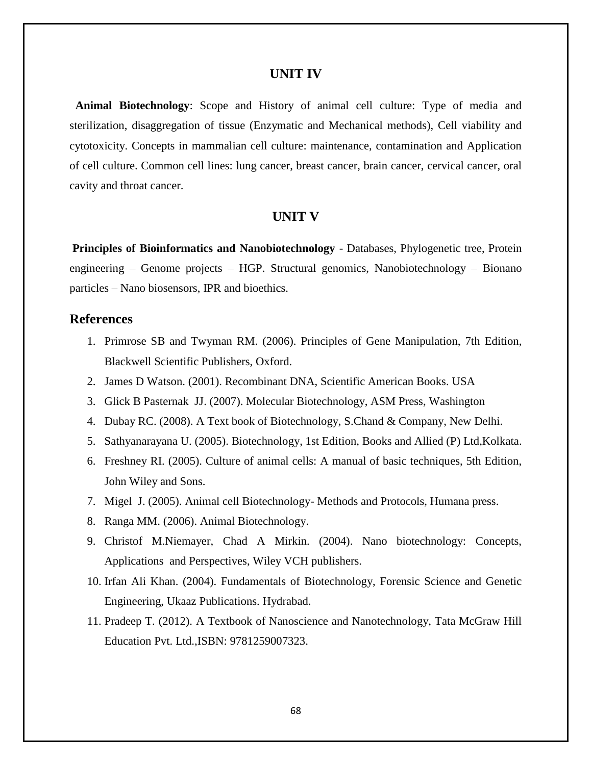#### **UNIT IV**

 **Animal Biotechnology**: Scope and History of animal cell culture: Type of media and sterilization, disaggregation of tissue (Enzymatic and Mechanical methods), Cell viability and cytotoxicity. Concepts in mammalian cell culture: maintenance, contamination and Application of cell culture. Common cell lines: lung cancer, breast cancer, brain cancer, cervical cancer, oral cavity and throat cancer.

#### **UNIT V**

**Principles of Bioinformatics and Nanobiotechnology** - Databases, Phylogenetic tree, Protein engineering – Genome projects – HGP. Structural genomics, Nanobiotechnology – Bionano particles – Nano biosensors, IPR and bioethics.

### **References**

- 1. Primrose SB and Twyman RM. (2006). Principles of Gene Manipulation, 7th Edition, Blackwell Scientific Publishers, Oxford.
- 2. James D Watson. (2001). Recombinant DNA, Scientific American Books. USA
- 3. Glick B Pasternak JJ. (2007). Molecular Biotechnology, ASM Press, Washington
- 4. Dubay RC. (2008). A Text book of Biotechnology, S.Chand & Company, New Delhi.
- 5. Sathyanarayana U. (2005). Biotechnology, 1st Edition, Books and Allied (P) Ltd,Kolkata.
- 6. Freshney RI. (2005). Culture of animal cells: A manual of basic techniques, 5th Edition, John Wiley and Sons.
- 7. Migel J. (2005). Animal cell Biotechnology- Methods and Protocols, Humana press.
- 8. Ranga MM. (2006). Animal Biotechnology.
- 9. Christof M.Niemayer, Chad A Mirkin. (2004). Nano biotechnology: Concepts, Applications and Perspectives, Wiley VCH publishers.
- 10. Irfan Ali Khan. (2004). Fundamentals of Biotechnology, Forensic Science and Genetic Engineering, Ukaaz Publications. Hydrabad.
- 11. Pradeep T. (2012). A Textbook of Nanoscience and Nanotechnology, Tata McGraw Hill Education Pvt. Ltd.,ISBN: 9781259007323.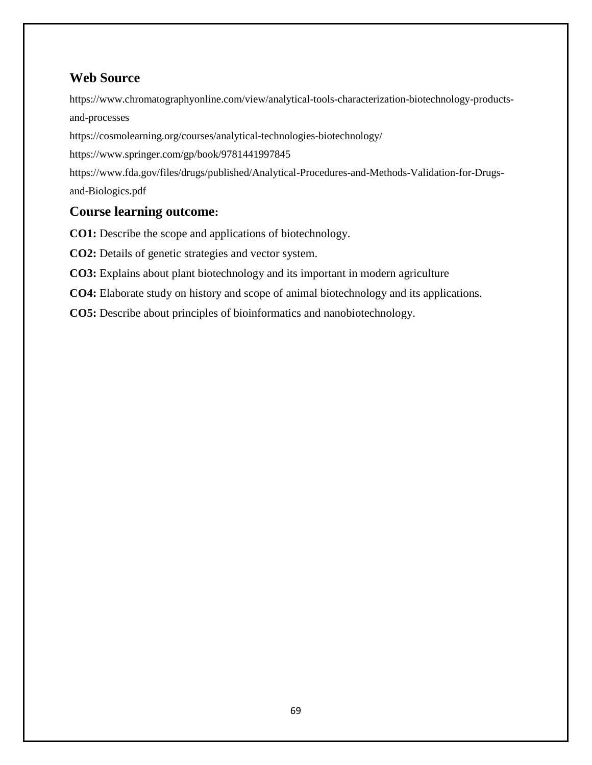# **Web Source**

[https://www.chromatographyonline.com/view/analytical-tools-characterization-biotechnology-products](https://www.chromatographyonline.com/view/analytical-tools-characterization-biotechnology-products-and-processes)[and-processes](https://www.chromatographyonline.com/view/analytical-tools-characterization-biotechnology-products-and-processes)

<https://cosmolearning.org/courses/analytical-technologies-biotechnology/>

<https://www.springer.com/gp/book/9781441997845>

[https://www.fda.gov/files/drugs/published/Analytical-Procedures-and-Methods-Validation-for-Drugs](https://www.fda.gov/files/drugs/published/Analytical-Procedures-and-Methods-Validation-for-Drugs-and-Biologics.pdf)[and-Biologics.pdf](https://www.fda.gov/files/drugs/published/Analytical-Procedures-and-Methods-Validation-for-Drugs-and-Biologics.pdf)

# **Course learning outcome:**

**CO1:** Describe the scope and applications of biotechnology.

**CO2:** Details of genetic strategies and vector system.

**CO3:** Explains about plant biotechnology and its important in modern agriculture

**CO4:** Elaborate study on history and scope of animal biotechnology and its applications.

**CO5:** Describe about principles of bioinformatics and nanobiotechnology.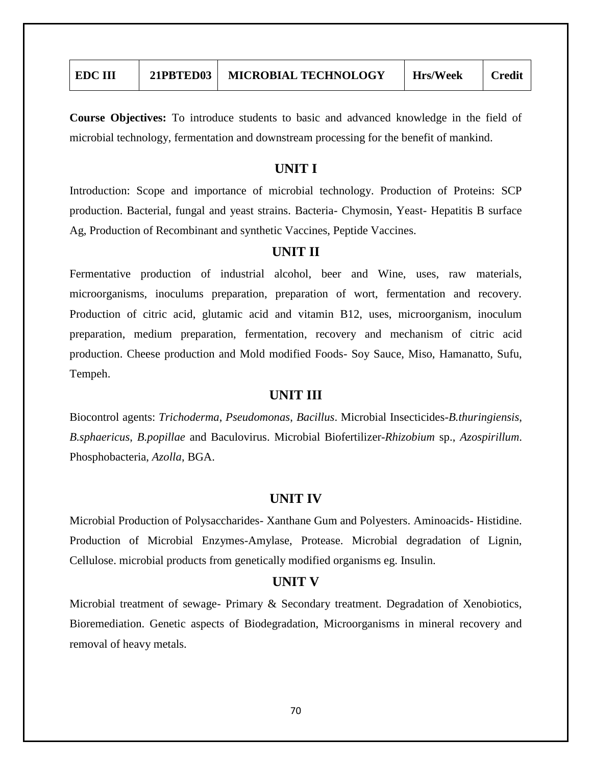| <b>EDC III</b> | 21PBTED03 | <b>MICROBIAL TECHNOLOGY</b> | <b>Hrs/Week</b> | <b>Credit</b> |
|----------------|-----------|-----------------------------|-----------------|---------------|
|                |           |                             |                 |               |

**Course Objectives:** To introduce students to basic and advanced knowledge in the field of microbial technology, fermentation and downstream processing for the benefit of mankind.

### **UNIT I**

Introduction: Scope and importance of microbial technology. Production of Proteins: SCP production. Bacterial, fungal and yeast strains. Bacteria- Chymosin, Yeast- Hepatitis B surface Ag, Production of Recombinant and synthetic Vaccines, Peptide Vaccines.

### **UNIT II**

Fermentative production of industrial alcohol, beer and Wine, uses, raw materials, microorganisms, inoculums preparation, preparation of wort, fermentation and recovery. Production of citric acid, glutamic acid and vitamin B12, uses, microorganism, inoculum preparation, medium preparation, fermentation, recovery and mechanism of citric acid production. Cheese production and Mold modified Foods- Soy Sauce, Miso, Hamanatto, Sufu, Tempeh.

### **UNIT III**

Biocontrol agents: *Trichoderma*, *Pseudomonas*, *Bacillus*. Microbial Insecticides-*B.thuringiensis*, *B.sphaericus*, *B.popillae* and Baculovirus. Microbial Biofertilizer-*Rhizobium* sp., *Azospirillum*. Phosphobacteria, *Azolla*, BGA.

#### **UNIT IV**

Microbial Production of Polysaccharides- Xanthane Gum and Polyesters. Aminoacids- Histidine. Production of Microbial Enzymes-Amylase, Protease. Microbial degradation of Lignin, Cellulose. microbial products from genetically modified organisms eg. Insulin.

#### **UNIT V**

Microbial treatment of sewage- Primary & Secondary treatment. Degradation of Xenobiotics, Bioremediation. Genetic aspects of Biodegradation, Microorganisms in mineral recovery and removal of heavy metals.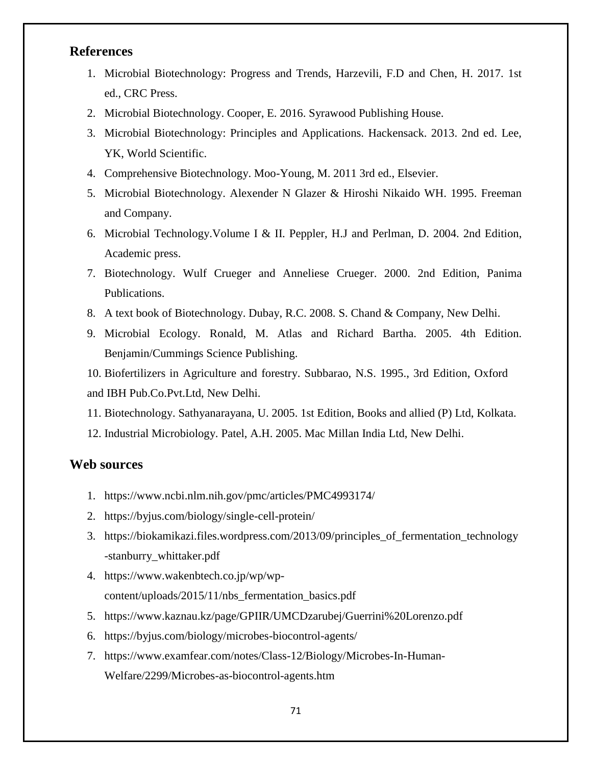# **References**

- 1. Microbial Biotechnology: Progress and Trends, Harzevili, F.D and Chen, H. 2017. 1st ed., CRC Press.
- 2. Microbial Biotechnology. Cooper, E. 2016. Syrawood Publishing House.
- 3. Microbial Biotechnology: Principles and Applications. Hackensack. 2013. 2nd ed. Lee, YK, World Scientific.
- 4. Comprehensive Biotechnology. Moo-Young, M. 2011 3rd ed., Elsevier.
- 5. Microbial Biotechnology. Alexender N Glazer & Hiroshi Nikaido WH. 1995. Freeman and Company.
- 6. Microbial Technology.Volume I & II. Peppler, H.J and Perlman, D. 2004. 2nd Edition, Academic press.
- 7. Biotechnology. Wulf Crueger and Anneliese Crueger. 2000. 2nd Edition, Panima Publications.
- 8. A text book of Biotechnology. Dubay, R.C. 2008. S. Chand & Company, New Delhi.
- 9. Microbial Ecology. Ronald, M. Atlas and Richard Bartha. 2005. 4th Edition. Benjamin/Cummings Science Publishing.

10. Biofertilizers in Agriculture and forestry. Subbarao, N.S. 1995., 3rd Edition, Oxford and IBH Pub.Co.Pvt.Ltd, New Delhi.

- 11. Biotechnology. Sathyanarayana, U. 2005. 1st Edition, Books and allied (P) Ltd, Kolkata.
- 12. Industrial Microbiology. Patel, A.H. 2005. Mac Millan India Ltd, New Delhi.

### **Web sources**

- 1. <https://www.ncbi.nlm.nih.gov/pmc/articles/PMC4993174/>
- 2. <https://byjus.com/biology/single-cell-protein/>
- 3. [https://biokamikazi.files.wordpress.com/2013/09/principles\\_of\\_fermentation\\_technology](https://biokamikazi.files.wordpress.com/2013/09/principles_of_fermentation_technology-stanburry_whittaker.pdf) [-stanburry\\_whittaker.pdf](https://biokamikazi.files.wordpress.com/2013/09/principles_of_fermentation_technology-stanburry_whittaker.pdf)
- 4. [https://www.wakenbtech.co.jp/wp/wp](https://www.wakenbtech.co.jp/wp/wp-content/uploads/2015/11/nbs_fermentation_basics.pdf)[content/uploads/2015/11/nbs\\_fermentation\\_basics.pdf](https://www.wakenbtech.co.jp/wp/wp-content/uploads/2015/11/nbs_fermentation_basics.pdf)
- 5. <https://www.kaznau.kz/page/GPIIR/UMCDzarubej/Guerrini%20Lorenzo.pdf>
- 6. <https://byjus.com/biology/microbes-biocontrol-agents/>
- 7. [https://www.examfear.com/notes/Class-12/Biology/Microbes-In-Human-](https://www.examfear.com/notes/Class-12/Biology/Microbes-In-Human-Welfare/2299/Microbes-as-biocontrol-agents.htm)[Welfare/2299/Microbes-as-biocontrol-agents.htm](https://www.examfear.com/notes/Class-12/Biology/Microbes-In-Human-Welfare/2299/Microbes-as-biocontrol-agents.htm)